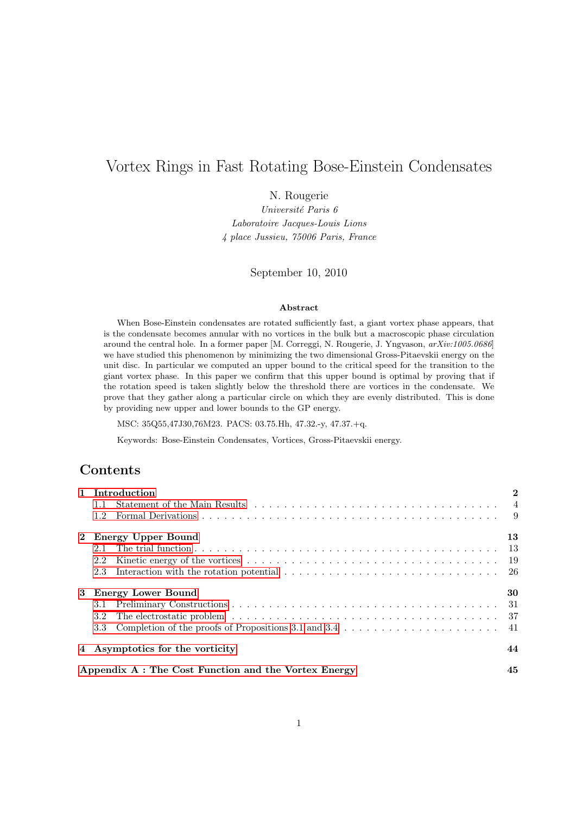# Vortex Rings in Fast Rotating Bose-Einstein Condensates

N. Rougerie

Université Paris 6 Laboratoire Jacques-Louis Lions 4 place Jussieu, 75006 Paris, France

September 10, 2010

#### Abstract

When Bose-Einstein condensates are rotated sufficiently fast, a giant vortex phase appears, that is the condensate becomes annular with no vortices in the bulk but a macroscopic phase circulation around the central hole. In a former paper [M. Correggi, N. Rougerie, J. Yngvason,  $arXiv:1005.0686$ ] we have studied this phenomenon by minimizing the two dimensional Gross-Pitaevskii energy on the unit disc. In particular we computed an upper bound to the critical speed for the transition to the giant vortex phase. In this paper we confirm that this upper bound is optimal by proving that if the rotation speed is taken slightly below the threshold there are vortices in the condensate. We prove that they gather along a particular circle on which they are evenly distributed. This is done by providing new upper and lower bounds to the GP energy.

MSC: 35Q55,47J30,76M23. PACS: 03.75.Hh, 47.32.-y, 47.37.+q.

Keywords: Bose-Einstein Condensates, Vortices, Gross-Pitaevskii energy.

## **Contents**

| 1 Introduction                                                                                                   | $\overline{2}$ |
|------------------------------------------------------------------------------------------------------------------|----------------|
| $1.1 -$                                                                                                          |                |
| $1.2^{\circ}$                                                                                                    |                |
| 2 Energy Upper Bound                                                                                             | 13             |
| 2.1                                                                                                              |                |
| 2.2                                                                                                              |                |
| 2.3                                                                                                              |                |
| 3 Energy Lower Bound                                                                                             | 30             |
| 3.1                                                                                                              |                |
| 3.2                                                                                                              |                |
| Completion of the proofs of Propositions 3.1 and 3.4 $\dots \dots \dots \dots \dots \dots \dots \dots$ 41<br>3.3 |                |
| 4 Asymptotics for the vorticity                                                                                  | 44             |
| Appendix A: The Cost Function and the Vortex Energy                                                              | 45             |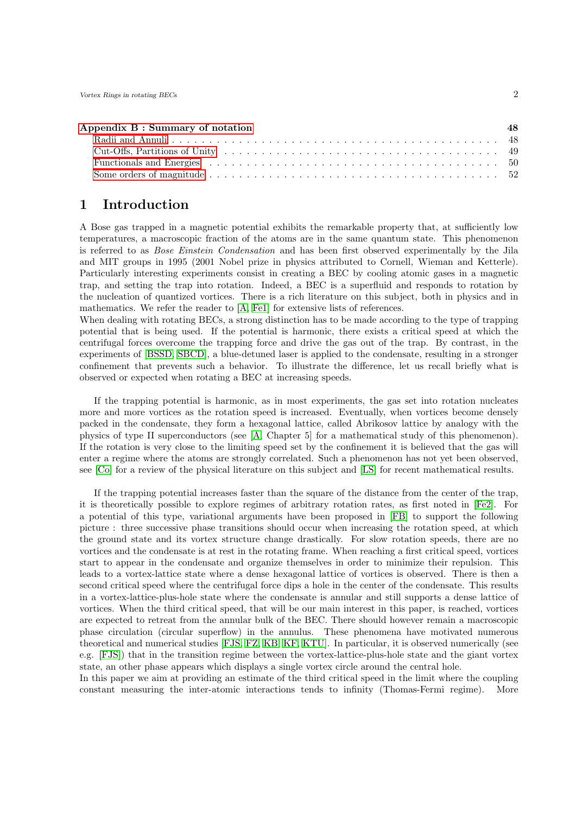| Appendix B: Summary of notation |  |
|---------------------------------|--|
|                                 |  |
|                                 |  |
|                                 |  |
|                                 |  |

## <span id="page-1-0"></span>1 Introduction

A Bose gas trapped in a magnetic potential exhibits the remarkable property that, at sufficiently low temperatures, a macroscopic fraction of the atoms are in the same quantum state. This phenomenon is referred to as *Bose Einstein Condensation* and has been first observed experimentally by the Jila and MIT groups in 1995 (2001 Nobel prize in physics attributed to Cornell, Wieman and Ketterle). Particularly interesting experiments consist in creating a BEC by cooling atomic gases in a magnetic trap, and setting the trap into rotation. Indeed, a BEC is a superfluid and responds to rotation by the nucleation of quantized vortices. There is a rich literature on this subject, both in physics and in mathematics. We refer the reader to [\[A,](#page-51-1) [Fe1\]](#page-52-0) for extensive lists of references.

When dealing with rotating BECs, a strong distinction has to be made according to the type of trapping potential that is being used. If the potential is harmonic, there exists a critical speed at which the centrifugal forces overcome the trapping force and drive the gas out of the trap. By contrast, in the experiments of [\[BSSD,](#page-52-1) [SBCD\]](#page-53-0), a blue-detuned laser is applied to the condensate, resulting in a stronger confinement that prevents such a behavior. To illustrate the difference, let us recall briefly what is observed or expected when rotating a BEC at increasing speeds.

If the trapping potential is harmonic, as in most experiments, the gas set into rotation nucleates more and more vortices as the rotation speed is increased. Eventually, when vortices become densely packed in the condensate, they form a hexagonal lattice, called Abrikosov lattice by analogy with the physics of type II superconductors (see [\[A,](#page-51-1) Chapter 5] for a mathematical study of this phenomenon). If the rotation is very close to the limiting speed set by the confinement it is believed that the gas will enter a regime where the atoms are strongly correlated. Such a phenomenon has not yet been observed, see [\[Co\]](#page-52-2) for a review of the physical literature on this subject and [\[LS\]](#page-53-1) for recent mathematical results.

If the trapping potential increases faster than the square of the distance from the center of the trap, it is theoretically possible to explore regimes of arbitrary rotation rates, as first noted in [\[Fe2\]](#page-52-3). For a potential of this type, variational arguments have been proposed in [\[FB\]](#page-52-4) to support the following picture : three successive phase transitions should occur when increasing the rotation speed, at which the ground state and its vortex structure change drastically. For slow rotation speeds, there are no vortices and the condensate is at rest in the rotating frame. When reaching a first critical speed, vortices start to appear in the condensate and organize themselves in order to minimize their repulsion. This leads to a vortex-lattice state where a dense hexagonal lattice of vortices is observed. There is then a second critical speed where the centrifugal force dips a hole in the center of the condensate. This results in a vortex-lattice-plus-hole state where the condensate is annular and still supports a dense lattice of vortices. When the third critical speed, that will be our main interest in this paper, is reached, vortices are expected to retreat from the annular bulk of the BEC. There should however remain a macroscopic phase circulation (circular superflow) in the annulus. These phenomena have motivated numerous theoretical and numerical studies [\[FJS,](#page-52-5) [FZ,](#page-52-6) [KB,](#page-53-2) [KF,](#page-53-3) [KTU\]](#page-53-4). In particular, it is observed numerically (see e.g. [\[FJS\]](#page-52-5)) that in the transition regime between the vortex-lattice-plus-hole state and the giant vortex state, an other phase appears which displays a single vortex circle around the central hole.

In this paper we aim at providing an estimate of the third critical speed in the limit where the coupling constant measuring the inter-atomic interactions tends to infinity (Thomas-Fermi regime). More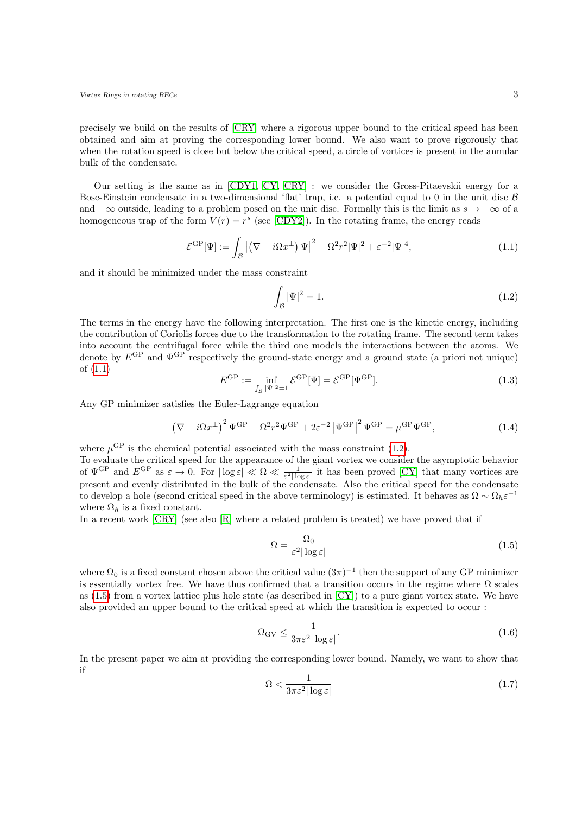precisely we build on the results of [\[CRY\]](#page-52-7) where a rigorous upper bound to the critical speed has been obtained and aim at proving the corresponding lower bound. We also want to prove rigorously that when the rotation speed is close but below the critical speed, a circle of vortices is present in the annular bulk of the condensate.

Our setting is the same as in [\[CDY1,](#page-52-8) [CY,](#page-52-9) [CRY\]](#page-52-7) : we consider the Gross-Pitaevskii energy for a Bose-Einstein condensate in a two-dimensional 'flat' trap, i.e. a potential equal to 0 in the unit disc  $\beta$ and  $+\infty$  outside, leading to a problem posed on the unit disc. Formally this is the limit as  $s \to +\infty$  of a homogeneous trap of the form  $V(r) = r^s$  (see [\[CDY2\]](#page-52-10)). In the rotating frame, the energy reads

$$
\mathcal{E}^{\rm GP}[\Psi] := \int_{\mathcal{B}} \left| \left( \nabla - i\Omega x^{\perp} \right) \Psi \right|^2 - \Omega^2 r^2 |\Psi|^2 + \varepsilon^{-2} |\Psi|^4, \tag{1.1}
$$

and it should be minimized under the mass constraint

<span id="page-2-1"></span><span id="page-2-0"></span>
$$
\int_{\mathcal{B}} |\Psi|^2 = 1. \tag{1.2}
$$

The terms in the energy have the following interpretation. The first one is the kinetic energy, including the contribution of Coriolis forces due to the transformation to the rotating frame. The second term takes into account the centrifugal force while the third one models the interactions between the atoms. We denote by  $E^{\text{GP}}$  and  $\Psi^{\text{GP}}$  respectively the ground-state energy and a ground state (a priori not unique) of [\(1.1\)](#page-2-0)

$$
E^{\rm GP} := \inf_{\int_{\mathcal{B}} |\Psi|^2 = 1} \mathcal{E}^{\rm GP}[\Psi] = \mathcal{E}^{\rm GP}[\Psi^{\rm GP}]. \tag{1.3}
$$

Any GP minimizer satisfies the Euler-Lagrange equation

$$
-\left(\nabla - i\Omega x^{\perp}\right)^2 \Psi^{\rm GP} - \Omega^2 r^2 \Psi^{\rm GP} + 2\varepsilon^{-2} \left|\Psi^{\rm GP}\right|^2 \Psi^{\rm GP} = \mu^{\rm GP} \Psi^{\rm GP},\tag{1.4}
$$

where  $\mu^{\text{GP}}$  is the chemical potential associated with the mass constraint [\(1.2\)](#page-2-1).

To evaluate the critical speed for the appearance of the giant vortex we consider the asymptotic behavior of  $\Psi^{\text{GP}}$  and  $E^{\text{GP}}$  as  $\varepsilon \to 0$ . For  $|\log \varepsilon| \ll \Omega \ll \frac{1}{\varepsilon^2 |\log \varepsilon|}$  it has been proved [\[CY\]](#page-52-9) that many vortices are present and evenly distributed in the bulk of the condensate. Also the critical speed for the condensate to develop a hole (second critical speed in the above terminology) is estimated. It behaves as  $\Omega \sim \Omega_h \varepsilon^{-1}$ where  $\Omega_h$  is a fixed constant.

In a recent work  $[CRY]$  (see also  $[R]$  where a related problem is treated) we have proved that if

<span id="page-2-2"></span>
$$
\Omega = \frac{\Omega_0}{\varepsilon^2 |\log \varepsilon|} \tag{1.5}
$$

where  $\Omega_0$  is a fixed constant chosen above the critical value  $(3\pi)^{-1}$  then the support of any GP minimizer is essentially vortex free. We have thus confirmed that a transition occurs in the regime where  $\Omega$  scales as [\(1.5\)](#page-2-2) from a vortex lattice plus hole state (as described in [\[CY\]](#page-52-9)) to a pure giant vortex state. We have also provided an upper bound to the critical speed at which the transition is expected to occur :

$$
\Omega_{\rm GV} \le \frac{1}{3\pi\varepsilon^2 |\log\varepsilon|}.\tag{1.6}
$$

In the present paper we aim at providing the corresponding lower bound. Namely, we want to show that if

$$
\Omega < \frac{1}{3\pi\varepsilon^2|\log\varepsilon|} \tag{1.7}
$$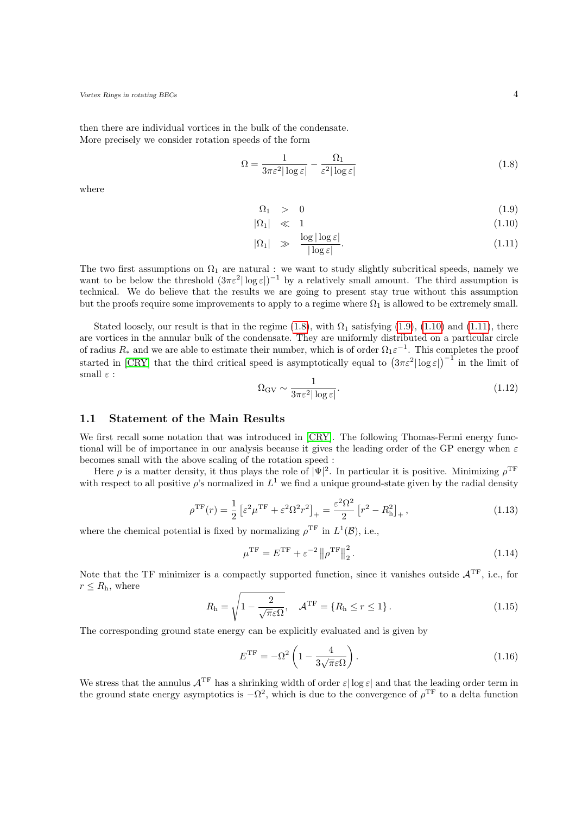then there are individual vortices in the bulk of the condensate. More precisely we consider rotation speeds of the form

<span id="page-3-1"></span>
$$
\Omega = \frac{1}{3\pi\varepsilon^2|\log\varepsilon|} - \frac{\Omega_1}{\varepsilon^2|\log\varepsilon|} \tag{1.8}
$$

where

<span id="page-3-2"></span>
$$
\Omega_1 > 0 \tag{1.9}
$$

$$
|\Omega_1| \ll 1 \tag{1.10}
$$

$$
|\Omega_1| \gg \frac{\log|\log \varepsilon|}{|\log \varepsilon|}. \tag{1.11}
$$

The two first assumptions on  $\Omega_1$  are natural : we want to study slightly subcritical speeds, namely we want to be below the threshold  $(3\pi\varepsilon^2|\log\varepsilon|)^{-1}$  by a relatively small amount. The third assumption is technical. We do believe that the results we are going to present stay true without this assumption but the proofs require some improvements to apply to a regime where  $\Omega_1$  is allowed to be extremely small.

<span id="page-3-3"></span>Stated loosely, our result is that in the regime [\(1.8\)](#page-3-1), with  $\Omega_1$  satisfying [\(1.9\)](#page-3-2), [\(1.10\)](#page-3-2) and [\(1.11\)](#page-3-2), there are vortices in the annular bulk of the condensate. They are uniformly distributed on a particular circle of radius  $R_*$  and we are able to estimate their number, which is of order  $\Omega_1 \varepsilon^{-1}$ . This completes the proof started in [\[CRY\]](#page-52-7) that the third critical speed is asymptotically equal to  $(3\pi\varepsilon^2 |\log \varepsilon|)^{-1}$  in the limit of small  $\varepsilon$  :

$$
\Omega_{\rm GV} \sim \frac{1}{3\pi\varepsilon^2 |\log\varepsilon|}.\tag{1.12}
$$

## <span id="page-3-0"></span>1.1 Statement of the Main Results

We first recall some notation that was introduced in [\[CRY\]](#page-52-7). The following Thomas-Fermi energy functional will be of importance in our analysis because it gives the leading order of the GP energy when  $\varepsilon$ becomes small with the above scaling of the rotation speed :

Here  $\rho$  is a matter density, it thus plays the role of  $|\Psi|^2$ . In particular it is positive. Minimizing  $\rho^{\rm TF}$ with respect to all positive  $\rho$ 's normalized in  $L^1$  we find a unique ground-state given by the radial density

$$
\rho^{\rm TF}(r) = \frac{1}{2} \left[ \varepsilon^2 \mu^{\rm TF} + \varepsilon^2 \Omega^2 r^2 \right]_+ = \frac{\varepsilon^2 \Omega^2}{2} \left[ r^2 - R_{\rm h}^2 \right]_+, \tag{1.13}
$$

where the chemical potential is fixed by normalizing  $\rho^{\text{TF}}$  in  $L^1(\mathcal{B})$ , i.e.,

$$
\mu^{\rm TF} = E^{\rm TF} + \varepsilon^{-2} \left\| \rho^{\rm TF} \right\|_2^2.
$$
\n(1.14)

Note that the TF minimizer is a compactly supported function, since it vanishes outside  $A<sup>TF</sup>$ , i.e., for  $r \leq R_{\rm h}$ , where

$$
R_{\rm h} = \sqrt{1 - \frac{2}{\sqrt{\pi}\varepsilon\Omega}}, \quad \mathcal{A}^{\rm TF} = \{R_{\rm h} \le r \le 1\}.
$$
 (1.15)

The corresponding ground state energy can be explicitly evaluated and is given by

$$
E^{\rm TF} = -\Omega^2 \left( 1 - \frac{4}{3\sqrt{\pi}\varepsilon\Omega} \right). \tag{1.16}
$$

We stress that the annulus  $A^{TF}$  has a shrinking width of order  $\varepsilon |\log \varepsilon|$  and that the leading order term in the ground state energy asymptotics is  $-\Omega^2$ , which is due to the convergence of  $\rho^{\text{TF}}$  to a delta function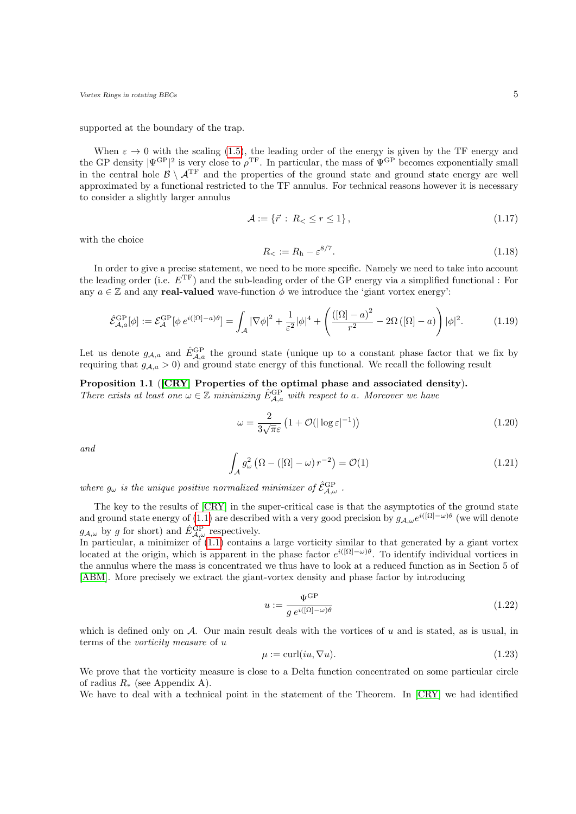supported at the boundary of the trap.

When  $\varepsilon \to 0$  with the scaling [\(1.5\)](#page-2-2), the leading order of the energy is given by the TF energy and the GP density  $|\Psi^{\text{GP}}|^{2}$  is very close to  $\rho^{\text{TF}}$ . In particular, the mass of  $\Psi^{\text{GP}}$  becomes exponentially small in the central hole  $\mathcal{B} \setminus \mathcal{A}^{TF}$  and the properties of the ground state and ground state energy are well approximated by a functional restricted to the TF annulus. For technical reasons however it is necessary to consider a slightly larger annulus

$$
\mathcal{A} := \{ \vec{r} : R_{<} \le r \le 1 \},\tag{1.17}
$$

<span id="page-4-0"></span>with the choice

$$
R_{<} := R_{\rm h} - \varepsilon^{8/7}.\tag{1.18}
$$

In order to give a precise statement, we need to be more specific. Namely we need to take into account the leading order (i.e.  $E^{TF}$ ) and the sub-leading order of the GP energy via a simplified functional : For any  $a \in \mathbb{Z}$  and any **real-valued** wave-function  $\phi$  we introduce the 'giant vortex energy':

$$
\hat{\mathcal{E}}_{\mathcal{A},a}^{\text{GP}}[\phi] := \mathcal{E}_{\mathcal{A}}^{\text{GP}}[\phi e^{i([\Omega]-a)\theta}] = \int_{\mathcal{A}} |\nabla \phi|^2 + \frac{1}{\varepsilon^2} |\phi|^4 + \left( \frac{([\Omega]-a)^2}{r^2} - 2\Omega\left([\Omega]-a\right) \right) |\phi|^2. \tag{1.19}
$$

Let us denote  $g_{\mathcal{A},a}$  and  $\hat{E}_{\mathcal{A},a}^{\text{GP}}$  the ground state (unique up to a constant phase factor that we fix by requiring that  $g_{A,a} > 0$  and ground state energy of this functional. We recall the following result

#### <span id="page-4-3"></span>Proposition 1.1 ([\[CRY\]](#page-52-7) Properties of the optimal phase and associated density).

There exists at least one  $\omega \in \mathbb{Z}$  minimizing  $\hat{E}_{\mathcal{A},a}^{\text{GP}}$  with respect to a. Moreover we have

$$
\omega = \frac{2}{3\sqrt{\pi\varepsilon}} \left( 1 + \mathcal{O}(|\log \varepsilon|^{-1}) \right) \tag{1.20}
$$

<span id="page-4-1"></span>and

$$
\int_{\mathcal{A}} g_{\omega}^{2} \left( \Omega - \left( [\Omega] - \omega \right) r^{-2} \right) = \mathcal{O}(1) \tag{1.21}
$$

where  $g_{\omega}$  is the unique positive normalized minimizer of  $\hat{\mathcal{E}}_{\mathcal{A},\omega}^{\text{GP}}$ .

The key to the results of [\[CRY\]](#page-52-7) in the super-critical case is that the asymptotics of the ground state and ground state energy of [\(1.1\)](#page-2-0) are described with a very good precision by  $g_{A,\omega}e^{i([\Omega]-\omega)\theta}$  (we will denote  $g_{A,\omega}$  by g for short) and  $\hat{E}_{A,\omega}^{\text{GP}}$  respectively.

In particular, a minimizer of  $(1.1)$  contains a large vorticity similar to that generated by a giant vortex located at the origin, which is apparent in the phase factor  $e^{i([\Omega]-\omega)\theta}$ . To identify individual vortices in the annulus where the mass is concentrated we thus have to look at a reduced function as in Section 5 of [\[ABM\]](#page-52-11). More precisely we extract the giant-vortex density and phase factor by introducing

<span id="page-4-2"></span>
$$
u := \frac{\Psi^{\text{GP}}}{g \, e^{i([\Omega] - \omega)\theta}} \tag{1.22}
$$

which is defined only on  $A$ . Our main result deals with the vortices of u and is stated, as is usual, in terms of the vorticity measure of u

$$
\mu := \text{curl}(iu, \nabla u). \tag{1.23}
$$

We prove that the vorticity measure is close to a Delta function concentrated on some particular circle of radius  $R_*$  (see Appendix A).

We have to deal with a technical point in the statement of the Theorem. In [\[CRY\]](#page-52-7) we had identified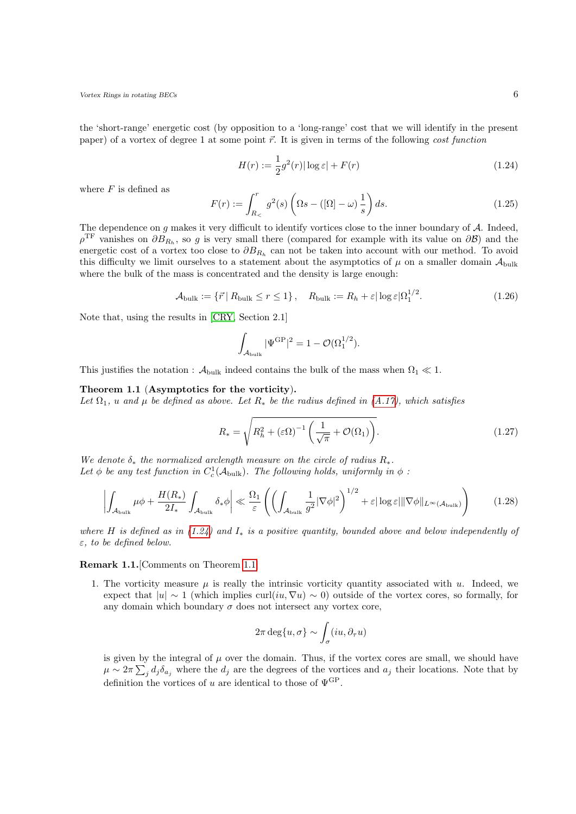the 'short-range' energetic cost (by opposition to a 'long-range' cost that we will identify in the present paper) of a vortex of degree 1 at some point  $\vec{r}$ . It is given in terms of the following *cost function* 

<span id="page-5-0"></span>
$$
H(r) := \frac{1}{2}g^2(r)|\log \varepsilon| + F(r)
$$
\n(1.24)

where  $F$  is defined as

<span id="page-5-3"></span>
$$
F(r) := \int_{R_{\leq}}^{r} g^{2}(s) \left( \Omega s - \left( [\Omega] - \omega \right) \frac{1}{s} \right) ds. \tag{1.25}
$$

The dependence on  $g$  makes it very difficult to identify vortices close to the inner boundary of  $\mathcal A$ . Indeed,  $\rho^{\text{TF}}$  vanishes on  $\partial B_{R_h}$ , so g is very small there (compared for example with its value on  $\partial \mathcal{B}$ ) and the energetic cost of a vortex too close to  $\partial B_{R_h}$  can not be taken into account with our method. To avoid this difficulty we limit ourselves to a statement about the asymptotics of  $\mu$  on a smaller domain  $\mathcal{A}_{\text{bulk}}$ where the bulk of the mass is concentrated and the density is large enough:

$$
\mathcal{A}_{\text{bulk}} := \{ \vec{r} \mid R_{\text{bulk}} \le r \le 1 \}, \quad R_{\text{bulk}} := R_h + \varepsilon |\log \varepsilon| \Omega_1^{1/2}.
$$
 (1.26)

Note that, using the results in [\[CRY,](#page-52-7) Section 2.1]

$$
\int_{\mathcal{A}_{\text{bulk}}} |\Psi^{\text{GP}}|^2 = 1 - \mathcal{O}(\Omega_1^{1/2}).
$$

<span id="page-5-1"></span>This justifies the notation :  $\mathcal{A}_{\text{bulk}}$  indeed contains the bulk of the mass when  $\Omega_1 \ll 1$ .

Theorem 1.1 (Asymptotics for the vorticity).

Let  $\Omega_1$ , u and  $\mu$  be defined as above. Let  $R_*$  be the radius defined in [\(A.17\)](#page-46-0), which satisfies

<span id="page-5-2"></span>
$$
R_* = \sqrt{R_h^2 + (\varepsilon \Omega)^{-1} \left(\frac{1}{\sqrt{\pi}} + \mathcal{O}(\Omega_1)\right)}.
$$
 (1.27)

We denote  $\delta_*$  the normalized arclength measure on the circle of radius  $R_*$ . Let  $\phi$  be any test function in  $C_c^1(\mathcal{A}_{\text{bulk}})$ . The following holds, uniformly in  $\phi$ :

$$
\left| \int_{\mathcal{A}_{\text{bulk}}} \mu \phi + \frac{H(R_*)}{2I_*} \int_{\mathcal{A}_{\text{bulk}}} \delta_* \phi \right| \ll \frac{\Omega_1}{\varepsilon} \left( \left( \int_{\mathcal{A}_{\text{bulk}}} \frac{1}{g^2} |\nabla \phi|^2 \right)^{1/2} + \varepsilon |\log \varepsilon| \|\nabla \phi\|_{L^\infty(\mathcal{A}_{\text{bulk}})} \right) \tag{1.28}
$$

where H is defined as in  $(1.24)$  and  $I_*$  is a positive quantity, bounded above and below independently of  $\varepsilon$ , to be defined below.

Remark 1.1.[Comments on Theorem [1.1\]](#page-5-1)

1. The vorticity measure  $\mu$  is really the intrinsic vorticity quantity associated with  $u$ . Indeed, we expect that  $|u| \sim 1$  (which implies curl(iu,  $\nabla u \sim 0$ ) outside of the vortex cores, so formally, for any domain which boundary  $\sigma$  does not intersect any vortex core,

$$
2\pi \deg\{u,\sigma\} \sim \int_{\sigma} (iu, \partial_{\tau} u)
$$

is given by the integral of  $\mu$  over the domain. Thus, if the vortex cores are small, we should have  $\mu \sim 2\pi \sum_j d_j \delta_{a_j}$  where the  $d_j$  are the degrees of the vortices and  $a_j$  their locations. Note that by definition the vortices of  $u$  are identical to those of  $\Psi^{\mathrm{GP}}.$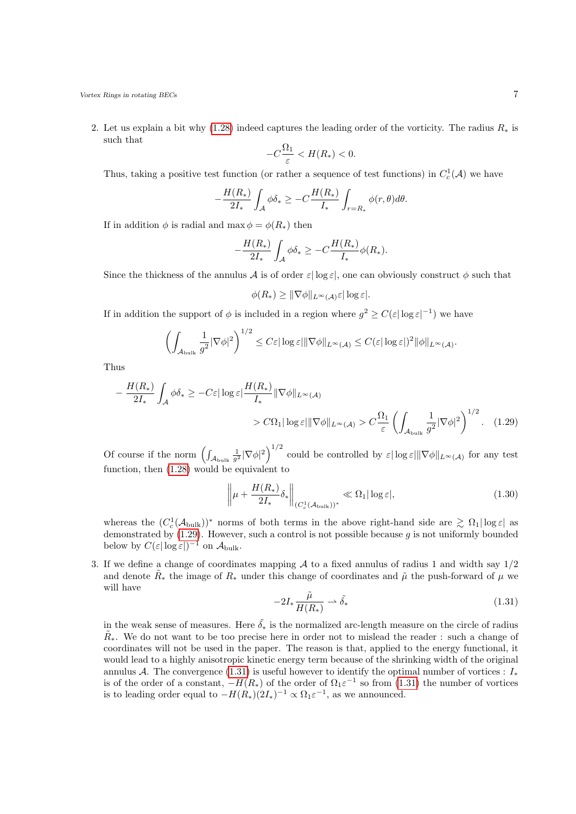2. Let us explain a bit why [\(1.28\)](#page-5-2) indeed captures the leading order of the vorticity. The radius  $R_*$  is such that

$$
-C\frac{\Omega_1}{\varepsilon} < H(R_*) < 0.
$$

Thus, taking a positive test function (or rather a sequence of test functions) in  $C_c^1(\mathcal{A})$  we have

$$
-\frac{H(R_*)}{2I_*} \int_{\mathcal{A}} \phi \delta_* \geq -C \frac{H(R_*)}{I_*} \int_{r=R_*} \phi(r,\theta) d\theta.
$$

If in addition  $\phi$  is radial and max  $\phi = \phi(R_*)$  then

$$
-\frac{H(R_*)}{2I_*}\int_{\mathcal{A}}\phi\delta_* \geq -C\frac{H(R_*)}{I_*}\phi(R_*).
$$

Since the thickness of the annulus A is of order  $\varepsilon|\log\varepsilon|$ , one can obviously construct  $\phi$  such that

<span id="page-6-0"></span>
$$
\phi(R_*) \geq \|\nabla \phi\|_{L^\infty(\mathcal{A})} \varepsilon |\log \varepsilon|.
$$

If in addition the support of  $\phi$  is included in a region where  $g^2 \geq C(\varepsilon |\log \varepsilon|^{-1})$  we have

$$
\left(\int_{\mathcal{A}_{\text{bulk}}}\frac{1}{g^2}|\nabla\phi|^2\right)^{1/2}\leq C\varepsilon|\log\varepsilon|\|\nabla\phi\|_{L^\infty(\mathcal{A})}\leq C(\varepsilon|\log\varepsilon|)^2\|\phi\|_{L^\infty(\mathcal{A})}.
$$

Thus

$$
-\frac{H(R_*)}{2I_*} \int_A \phi \delta_* \ge -C\varepsilon |\log \varepsilon| \frac{H(R_*)}{I_*} \|\nabla \phi\|_{L^\infty(\mathcal{A})}
$$

$$
> C\Omega_1 |\log \varepsilon| \|\nabla \phi\|_{L^\infty(\mathcal{A})} > C\frac{\Omega_1}{\varepsilon} \left( \int_{\mathcal{A}_{\text{bulk}}} \frac{1}{g^2} |\nabla \phi|^2 \right)^{1/2} . \quad (1.29)
$$

Of course if the norm  $\left(\int_{\mathcal{A}_{\text{bulk}}}\frac{1}{g^2}|\nabla\phi|^2\right)^{1/2}$  could be controlled by  $\varepsilon|\log\varepsilon|\|\nabla\phi\|_{L^\infty(\mathcal{A})}$  for any test function, then [\(1.28\)](#page-5-2) would be equivalent to

$$
\left\|\mu + \frac{H(R_*)}{2I_*} \delta_*\right\|_{(C_c^1(\mathcal{A}_{\text{bulk}}))^*} \ll \Omega_1 |\log \varepsilon|,
$$
\n(1.30)

whereas the  $(C_c^1(\mathcal{A}_{\text{bulk}}))^*$  norms of both terms in the above right-hand side are  $\gtrsim \Omega_1 |\log \varepsilon|$  as demonstrated by  $(1.29)$ . However, such a control is not possible because q is not uniformly bounded below by  $C(\varepsilon|\log\varepsilon|)^{-1}$  on  $\mathcal{A}_{\text{bulk}}$ .

<span id="page-6-1"></span>3. If we define a change of coordinates mapping  $A$  to a fixed annulus of radius 1 and width say  $1/2$ and denote  $\tilde{R}_*$  the image of  $R_*$  under this change of coordinates and  $\tilde{\mu}$  the push-forward of  $\mu$  we will have

$$
-2I_*\frac{\tilde{\mu}}{H(R_*)} \rightharpoonup \tilde{\delta_*} \tag{1.31}
$$

in the weak sense of measures. Here  $\tilde{\delta}_*$  is the normalized arc-length measure on the circle of radius  $\tilde{R}_{*}$ . We do not want to be too precise here in order not to mislead the reader : such a change of coordinates will not be used in the paper. The reason is that, applied to the energy functional, it would lead to a highly anisotropic kinetic energy term because of the shrinking width of the original annulus A. The convergence [\(1.31\)](#page-6-1) is useful however to identify the optimal number of vortices :  $I_*$ is of the order of a constant,  $-H(R_*)$  of the order of  $\Omega_1 \varepsilon^{-1}$  so from [\(1.31\)](#page-6-1) the number of vortices is to leading order equal to  $-H(R_*)(2I_*)^{-1} \propto \Omega_1 \varepsilon^{-1}$ , as we announced.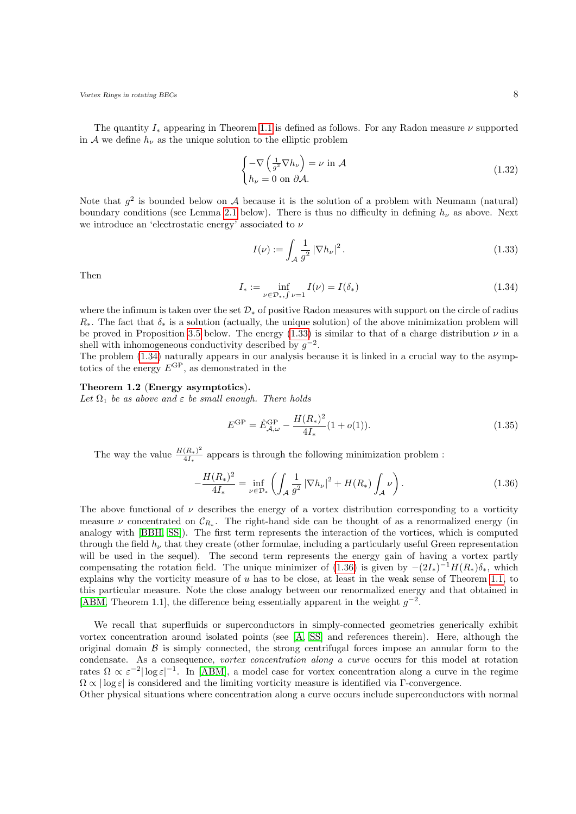The quantity  $I_*$  appearing in Theorem [1.1](#page-5-1) is defined as follows. For any Radon measure  $\nu$  supported in A we define  $h_{\nu}$  as the unique solution to the elliptic problem

<span id="page-7-3"></span>
$$
\begin{cases}\n-\nabla \left(\frac{1}{g^2} \nabla h_{\nu}\right) = \nu \text{ in } \mathcal{A} \\
h_{\nu} = 0 \text{ on } \partial \mathcal{A}.\n\end{cases}
$$
\n(1.32)

Note that  $g^2$  is bounded below on A because it is the solution of a problem with Neumann (natural) boundary conditions (see Lemma [2.1](#page-15-0) below). There is thus no difficulty in defining  $h_{\nu}$  as above. Next we introduce an 'electrostatic energy' associated to  $\nu$ 

<span id="page-7-0"></span>
$$
I(\nu) := \int_{\mathcal{A}} \frac{1}{g^2} \left| \nabla h_{\nu} \right|^2.
$$
\n(1.33)

<span id="page-7-1"></span>Then

$$
I_* := \inf_{\nu \in \mathcal{D}_*, \int \nu = 1} I(\nu) = I(\delta_*)
$$
\n(1.34)

where the infimum is taken over the set  $\mathcal{D}_*$  of positive Radon measures with support on the circle of radius  $R_{*}$ . The fact that  $\delta_{*}$  is a solution (actually, the unique solution) of the above minimization problem will be proved in Proposition [3.5](#page-38-0) below. The energy [\(1.33\)](#page-7-0) is similar to that of a charge distribution  $\nu$  in a shell with inhomogeneous conductivity described by  $g^{-2}$ .

The problem [\(1.34\)](#page-7-1) naturally appears in our analysis because it is linked in a crucial way to the asymptotics of the energy  $E^{GP}$ , as demonstrated in the

### <span id="page-7-4"></span>Theorem 1.2 (Energy asymptotics).

Let  $\Omega_1$  be as above and  $\varepsilon$  be small enough. There holds

<span id="page-7-2"></span>
$$
E^{\rm GP} = \hat{E}_{\mathcal{A},\omega}^{\rm GP} - \frac{H(R_*)^2}{4I_*} (1 + o(1)).
$$
\n(1.35)

The way the value  $\frac{H(R_*)^2}{4L}$  $\frac{(R_*)^+}{4I_*}$  appears is through the following minimization problem :

$$
-\frac{H(R_*)^2}{4I_*} = \inf_{\nu \in \mathcal{D}_*} \left( \int_{\mathcal{A}} \frac{1}{g^2} \left| \nabla h_{\nu} \right|^2 + H(R_*) \int_{\mathcal{A}} \nu \right). \tag{1.36}
$$

The above functional of  $\nu$  describes the energy of a vortex distribution corresponding to a vorticity measure  $\nu$  concentrated on  $\mathcal{C}_{R_*}$ . The right-hand side can be thought of as a renormalized energy (in analogy with [\[BBH,](#page-52-12) [SS\]](#page-53-6)). The first term represents the interaction of the vortices, which is computed through the field  $h_{\nu}$  that they create (other formulae, including a particularly useful Green representation will be used in the sequel). The second term represents the energy gain of having a vortex partly compensating the rotation field. The unique minimizer of [\(1.36\)](#page-7-2) is given by  $-(2I_*)^{-1}H(R_*)\delta_*$ , which explains why the vorticity measure of  $u$  has to be close, at least in the weak sense of Theorem [1.1,](#page-5-1) to this particular measure. Note the close analogy between our renormalized energy and that obtained in [\[ABM,](#page-52-11) Theorem 1.1], the difference being essentially apparent in the weight  $g^{-2}$ .

We recall that superfluids or superconductors in simply-connected geometries generically exhibit vortex concentration around isolated points (see [\[A,](#page-51-1) [SS\]](#page-53-6) and references therein). Here, although the original domain  $\beta$  is simply connected, the strong centrifugal forces impose an annular form to the condensate. As a consequence, vortex concentration along a curve occurs for this model at rotation rates  $\Omega \propto \varepsilon^{-2} |\log \varepsilon|^{-1}$ . In [\[ABM\]](#page-52-11), a model case for vortex concentration along a curve in the regime  $\Omega \propto |\log \varepsilon|$  is considered and the limiting vorticity measure is identified via Γ-convergence.

Other physical situations where concentration along a curve occurs include superconductors with normal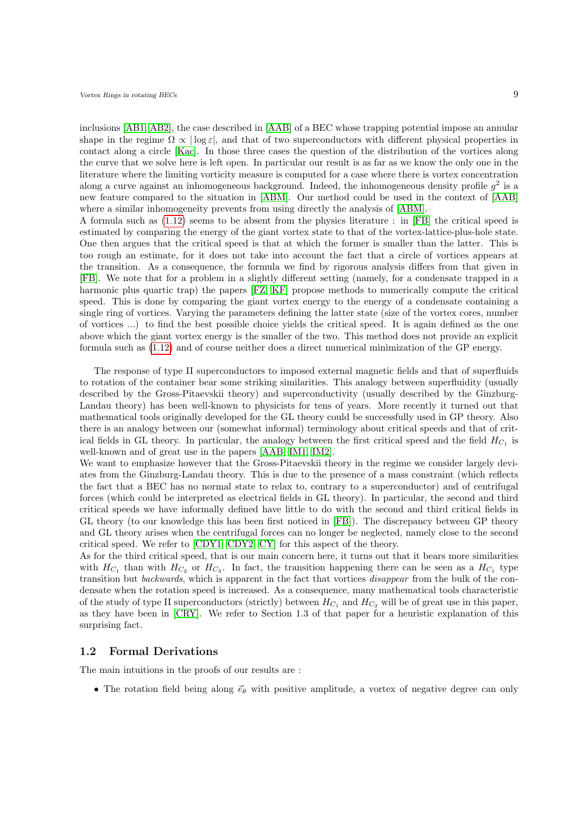inclusions [\[AB1,](#page-52-13) [AB2\]](#page-52-14), the case described in [\[AAB\]](#page-52-15) of a BEC whose trapping potential impose an annular shape in the regime  $\Omega \propto |\log \varepsilon|$ , and that of two superconductors with different physical properties in contact along a circle [\[Kac\]](#page-53-7). In those three cases the question of the distribution of the vortices along the curve that we solve here is left open. In particular our result is as far as we know the only one in the literature where the limiting vorticity measure is computed for a case where there is vortex concentration along a curve against an inhomogeneous background. Indeed, the inhomogeneous density profile  $g^2$  is a new feature compared to the situation in [\[ABM\]](#page-52-11). Our method could be used in the context of [\[AAB\]](#page-52-15) where a similar inhomogeneity prevents from using directly the analysis of [\[ABM\]](#page-52-11).

A formula such as [\(1.12\)](#page-3-3) seems to be absent from the physics literature : in [\[FB\]](#page-52-4) the critical speed is estimated by comparing the energy of the giant vortex state to that of the vortex-lattice-plus-hole state. One then argues that the critical speed is that at which the former is smaller than the latter. This is too rough an estimate, for it does not take into account the fact that a circle of vortices appears at the transition. As a consequence, the formula we find by rigorous analysis differs from that given in [\[FB\]](#page-52-4). We note that for a problem in a slightly different setting (namely, for a condensate trapped in a harmonic plus quartic trap) the papers [\[FZ,](#page-52-6) [KF\]](#page-53-3) propose methods to numerically compute the critical speed. This is done by comparing the giant vortex energy to the energy of a condensate containing a single ring of vortices. Varying the parameters defining the latter state (size of the vortex cores, number of vortices ...) to find the best possible choice yields the critical speed. It is again defined as the one above which the giant vortex energy is the smaller of the two. This method does not provide an explicit formula such as [\(1.12\)](#page-3-3) and of course neither does a direct numerical minimization of the GP energy.

The response of type II superconductors to imposed external magnetic fields and that of superfluids to rotation of the container bear some striking similarities. This analogy between superfluidity (usually described by the Gross-Pitaevskii theory) and superconductivity (usually described by the Ginzburg-Landau theory) has been well-known to physicists for tens of years. More recently it turned out that mathematical tools originally developed for the GL theory could be successfully used in GP theory. Also there is an analogy between our (somewhat informal) terminology about critical speeds and that of critical fields in GL theory. In particular, the analogy between the first critical speed and the field  $H_{C_1}$  is well-known and of great use in the papers [\[AAB,](#page-52-15) [IM1,](#page-52-16) [IM2\]](#page-52-17).

We want to emphasize however that the Gross-Pitaevskii theory in the regime we consider largely deviates from the Ginzburg-Landau theory. This is due to the presence of a mass constraint (which reflects the fact that a BEC has no normal state to relax to, contrary to a superconductor) and of centrifugal forces (which could be interpreted as electrical fields in GL theory). In particular, the second and third critical speeds we have informally defined have little to do with the second and third critical fields in GL theory (to our knowledge this has been first noticed in [\[FB\]](#page-52-4)). The discrepancy between GP theory and GL theory arises when the centrifugal forces can no longer be neglected, namely close to the second critical speed. We refer to [\[CDY1,](#page-52-8) [CDY2,](#page-52-10) [CY\]](#page-52-9) for this aspect of the theory.

As for the third critical speed, that is our main concern here, it turns out that it bears more similarities with  $H_{C_1}$  than with  $H_{C_2}$  or  $H_{C_3}$ . In fact, the transition happening there can be seen as a  $H_{C_1}$  type transition but backwards, which is apparent in the fact that vortices disappear from the bulk of the condensate when the rotation speed is increased. As a consequence, many mathematical tools characteristic of the study of type II superconductors (strictly) between  $H_{C_1}$  and  $H_{C_2}$  will be of great use in this paper, as they have been in [\[CRY\]](#page-52-7). We refer to Section 1.3 of that paper for a heuristic explanation of this surprising fact.

### <span id="page-8-0"></span>1.2 Formal Derivations

The main intuitions in the proofs of our results are :

• The rotation field being along  $\vec{e}_{\theta}$  with positive amplitude, a vortex of negative degree can only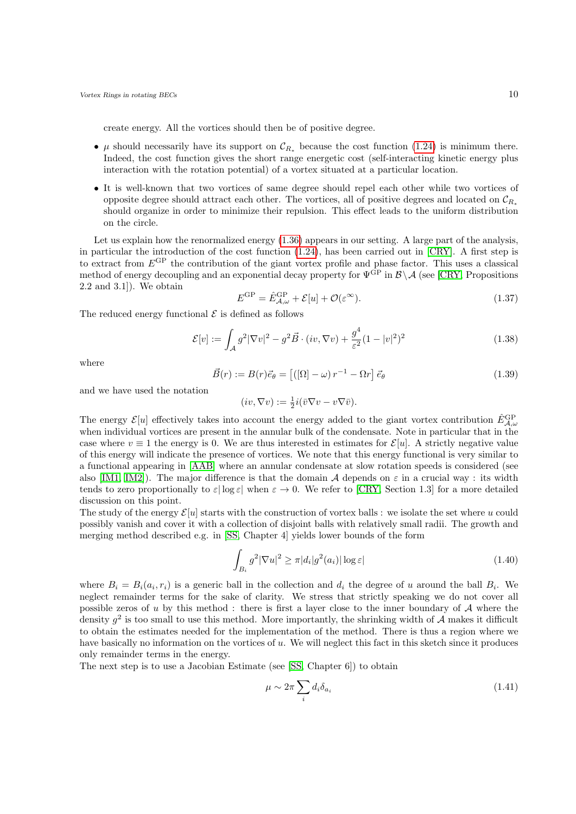create energy. All the vortices should then be of positive degree.

- $\mu$  should necessarily have its support on  $\mathcal{C}_{R_*}$  because the cost function [\(1.24\)](#page-5-0) is minimum there. Indeed, the cost function gives the short range energetic cost (self-interacting kinetic energy plus interaction with the rotation potential) of a vortex situated at a particular location.
- It is well-known that two vortices of same degree should repel each other while two vortices of opposite degree should attract each other. The vortices, all of positive degrees and located on  $\mathcal{C}_{R_{*}}$ should organize in order to minimize their repulsion. This effect leads to the uniform distribution on the circle.

Let us explain how the renormalized energy [\(1.36\)](#page-7-2) appears in our setting. A large part of the analysis, in particular the introduction of the cost function [\(1.24\)](#page-5-0), has been carried out in [\[CRY\]](#page-52-7). A first step is to extract from  $E^{GP}$  the contribution of the giant vortex profile and phase factor. This uses a classical method of energy decoupling and an exponential decay property for  $\Psi^{\hat{GP}}$  in  $\mathcal{B} \setminus \mathcal{A}$  (see [\[CRY,](#page-52-7) Propositions 2.2 and 3.1]). We obtain

<span id="page-9-0"></span>
$$
E^{\rm GP} = \hat{E}_{\mathcal{A},\omega}^{\rm GP} + \mathcal{E}[u] + \mathcal{O}(\varepsilon^{\infty}).\tag{1.37}
$$

The reduced energy functional  $\mathcal E$  is defined as follows

$$
\mathcal{E}[v] := \int_{\mathcal{A}} g^2 |\nabla v|^2 - g^2 \vec{B} \cdot (iv, \nabla v) + \frac{g^4}{\varepsilon^2} (1 - |v|^2)^2 \tag{1.38}
$$

where

$$
\vec{B}(r) := B(r)\vec{e}_{\theta} = \left[ \left( [\Omega] - \omega \right) r^{-1} - \Omega r \right] \vec{e}_{\theta} \tag{1.39}
$$

and we have used the notation

$$
(iv, \nabla v) := \frac{1}{2}i(\bar{v}\nabla v - v\nabla \bar{v}).
$$

The energy  $\mathcal{E}[u]$  effectively takes into account the energy added to the giant vortex contribution  $\hat{E}_{\mathcal{A},\omega}^{\text{GP}}$ when individual vortices are present in the annular bulk of the condensate. Note in particular that in the case where  $v \equiv 1$  the energy is 0. We are thus interested in estimates for  $\mathcal{E}[u]$ . A strictly negative value of this energy will indicate the presence of vortices. We note that this energy functional is very similar to a functional appearing in [\[AAB\]](#page-52-15) where an annular condensate at slow rotation speeds is considered (see also [\[IM1,](#page-52-16) [IM2\]](#page-52-17)). The major difference is that the domain A depends on  $\varepsilon$  in a crucial way : its width tends to zero proportionally to  $\varepsilon|\log \varepsilon|$  when  $\varepsilon \to 0$ . We refer to [\[CRY,](#page-52-7) Section 1.3] for a more detailed discussion on this point.

The study of the energy  $\mathcal{E}[u]$  starts with the construction of vortex balls : we isolate the set where u could possibly vanish and cover it with a collection of disjoint balls with relatively small radii. The growth and merging method described e.g. in [\[SS,](#page-53-6) Chapter 4] yields lower bounds of the form

<span id="page-9-1"></span>
$$
\int_{B_i} g^2 |\nabla u|^2 \ge \pi |d_i| g^2(a_i) |\log \varepsilon| \tag{1.40}
$$

where  $B_i = B_i(a_i, r_i)$  is a generic ball in the collection and  $d_i$  the degree of u around the ball  $B_i$ . We neglect remainder terms for the sake of clarity. We stress that strictly speaking we do not cover all possible zeros of u by this method : there is first a layer close to the inner boundary of  $A$  where the density  $g^2$  is too small to use this method. More importantly, the shrinking width of A makes it difficult to obtain the estimates needed for the implementation of the method. There is thus a region where we have basically no information on the vortices of u. We will neglect this fact in this sketch since it produces only remainder terms in the energy.

The next step is to use a Jacobian Estimate (see [\[SS,](#page-53-6) Chapter 6]) to obtain

<span id="page-9-2"></span>
$$
\mu \sim 2\pi \sum_{i} d_i \delta_{a_i} \tag{1.41}
$$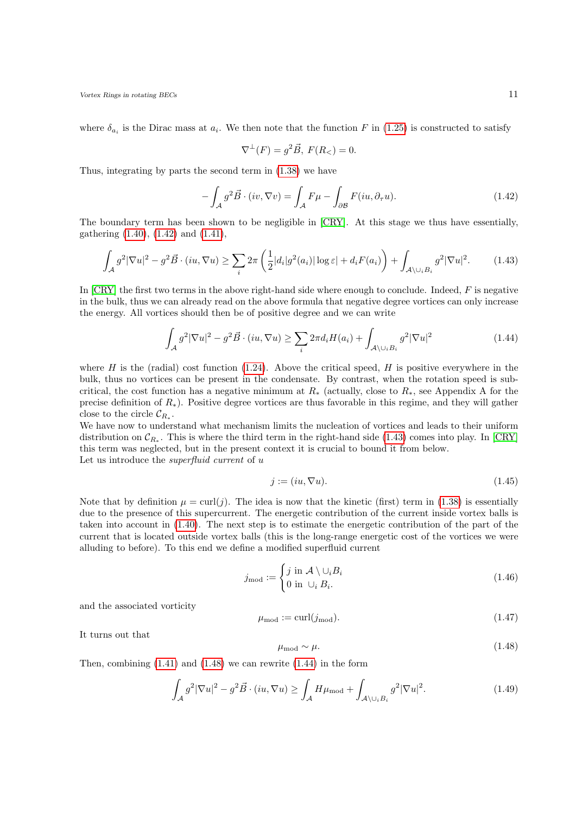where  $\delta_{a_i}$  is the Dirac mass at  $a_i$ . We then note that the function F in [\(1.25\)](#page-5-3) is constructed to satisfy

<span id="page-10-0"></span>
$$
\nabla^{\perp}(F) = g^2 \vec{B}, \ F(R_<) = 0.
$$

Thus, integrating by parts the second term in [\(1.38\)](#page-9-0) we have

<span id="page-10-1"></span>
$$
-\int_{\mathcal{A}} g^2 \vec{B} \cdot (iv, \nabla v) = \int_{\mathcal{A}} F\mu - \int_{\partial \mathcal{B}} F(iu, \partial_{\tau} u). \tag{1.42}
$$

The boundary term has been shown to be negligible in [\[CRY\]](#page-52-7). At this stage we thus have essentially, gathering [\(1.40\)](#page-9-1), [\(1.42\)](#page-10-0) and [\(1.41\)](#page-9-2),

$$
\int_{\mathcal{A}} g^2 |\nabla u|^2 - g^2 \vec{B} \cdot (iu, \nabla u) \ge \sum_i 2\pi \left( \frac{1}{2} |d_i| g^2(a_i) |\log \varepsilon| + d_i F(a_i) \right) + \int_{\mathcal{A} \setminus \cup_i B_i} g^2 |\nabla u|^2. \tag{1.43}
$$

In  $[CRY]$  the first two terms in the above right-hand side where enough to conclude. Indeed,  $F$  is negative in the bulk, thus we can already read on the above formula that negative degree vortices can only increase the energy. All vortices should then be of positive degree and we can write

$$
\int_{\mathcal{A}} g^2 |\nabla u|^2 - g^2 \vec{B} \cdot (iu, \nabla u) \ge \sum_i 2\pi d_i H(a_i) + \int_{\mathcal{A} \setminus \cup_i B_i} g^2 |\nabla u|^2 \tag{1.44}
$$

where H is the (radial) cost function  $(1.24)$ . Above the critical speed, H is positive everywhere in the bulk, thus no vortices can be present in the condensate. By contrast, when the rotation speed is subcritical, the cost function has a negative minimum at  $R_*$  (actually, close to  $R_*$ , see Appendix A for the precise definition of R∗). Positive degree vortices are thus favorable in this regime, and they will gather close to the circle  $\mathcal{C}_{R_*}.$ 

We have now to understand what mechanism limits the nucleation of vortices and leads to their uniform distribution on  $\mathcal{C}_{R_*}$ . This is where the third term in the right-hand side [\(1.43\)](#page-10-1) comes into play. In [\[CRY\]](#page-52-7) this term was neglected, but in the present context it is crucial to bound it from below. Let us introduce the *superfluid current* of u

<span id="page-10-3"></span>
$$
j := (iu, \nabla u). \tag{1.45}
$$

Note that by definition  $\mu = \text{curl}(j)$ . The idea is now that the kinetic (first) term in [\(1.38\)](#page-9-0) is essentially due to the presence of this supercurrent. The energetic contribution of the current inside vortex balls is taken into account in [\(1.40\)](#page-9-1). The next step is to estimate the energetic contribution of the part of the current that is located outside vortex balls (this is the long-range energetic cost of the vortices we were alluding to before). To this end we define a modified superfluid current

$$
j_{\text{mod}} := \begin{cases} j \text{ in } \mathcal{A} \setminus \cup_i B_i \\ 0 \text{ in } \cup_i B_i. \end{cases} \tag{1.46}
$$

and the associated vorticity

$$
\mu_{\text{mod}} := \text{curl}(j_{\text{mod}}). \tag{1.47}
$$

It turns out that

<span id="page-10-4"></span>
$$
\mu_{\text{mod}} \sim \mu. \tag{1.48}
$$

Then, combining  $(1.41)$  and  $(1.48)$  we can rewrite  $(1.44)$  in the form

<span id="page-10-2"></span>
$$
\int_{\mathcal{A}} g^2 |\nabla u|^2 - g^2 \vec{B} \cdot (iu, \nabla u) \ge \int_{\mathcal{A}} H \mu_{\text{mod}} + \int_{\mathcal{A} \setminus \cup_i B_i} g^2 |\nabla u|^2. \tag{1.49}
$$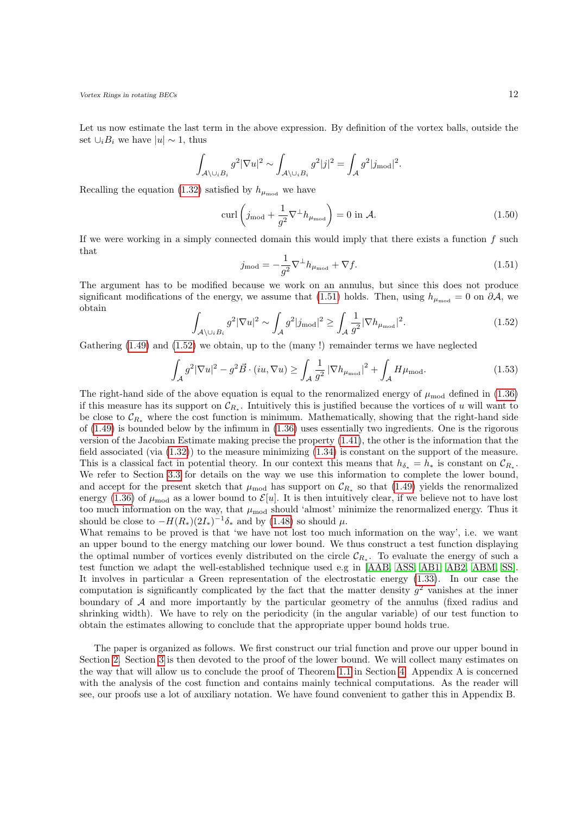Let us now estimate the last term in the above expression. By definition of the vortex balls, outside the set  $\cup_i B_i$  we have  $|u| \sim 1$ , thus

$$
\int_{\mathcal{A}\setminus\cup_{i}B_{i}} g^{2} |\nabla u|^{2} \sim \int_{\mathcal{A}\setminus\cup_{i}B_{i}} g^{2} |j|^{2} = \int_{\mathcal{A}} g^{2} |j_{\text{mod}}|^{2}.
$$

Recalling the equation [\(1.32\)](#page-7-3) satisfied by  $h_{\mu_{mod}}$  we have

$$
\operatorname{curl}\left(j_{\text{mod}} + \frac{1}{g^2}\nabla^{\perp}h_{\mu_{\text{mod}}}\right) = 0 \text{ in } \mathcal{A}.\tag{1.50}
$$

<span id="page-11-0"></span>If we were working in a simply connected domain this would imply that there exists a function  $f$  such that

$$
j_{\text{mod}} = -\frac{1}{g^2} \nabla^{\perp} h_{\mu_{\text{mod}}} + \nabla f. \tag{1.51}
$$

<span id="page-11-1"></span>The argument has to be modified because we work on an annulus, but since this does not produce significant modifications of the energy, we assume that [\(1.51\)](#page-11-0) holds. Then, using  $h_{\mu_{mod}} = 0$  on  $\partial A$ , we obtain

$$
\int_{\mathcal{A}\backslash\cup_{i}B_{i}} g^{2}|\nabla u|^{2} \sim \int_{\mathcal{A}} g^{2}|j_{\text{mod}}|^{2} \ge \int_{\mathcal{A}} \frac{1}{g^{2}}|\nabla h_{\mu_{\text{mod}}}|^{2}.
$$
\n(1.52)

Gathering [\(1.49\)](#page-10-4) and [\(1.52\)](#page-11-1) we obtain, up to the (many !) remainder terms we have neglected

$$
\int_{\mathcal{A}} g^2 |\nabla u|^2 - g^2 \vec{B} \cdot (iu, \nabla u) \ge \int_{\mathcal{A}} \frac{1}{g^2} |\nabla h_{\mu_{\text{mod}}}|^2 + \int_{\mathcal{A}} H \mu_{\text{mod}}.
$$
\n(1.53)

The right-hand side of the above equation is equal to the renormalized energy of  $\mu_{mod}$  defined in [\(1.36\)](#page-7-2) if this measure has its support on  $\mathcal{C}_{R_*}$ . Intuitively this is justified because the vortices of u will want to be close to  $\mathcal{C}_{R*}$  where the cost function is minimum. Mathematically, showing that the right-hand side of [\(1.49\)](#page-10-4) is bounded below by the infimum in [\(1.36\)](#page-7-2) uses essentially two ingredients. One is the rigorous version of the Jacobian Estimate making precise the property [\(1.41\)](#page-9-2), the other is the information that the field associated (via [\(1.32\)](#page-7-3)) to the measure minimizing [\(1.34\)](#page-7-1) is constant on the support of the measure. This is a classical fact in potential theory. In our context this means that  $h_{\delta_*} = h_*$  is constant on  $\mathcal{C}_{R_*}$ . We refer to Section [3.3](#page-40-0) for details on the way we use this information to complete the lower bound, and accept for the present sketch that  $\mu_{mod}$  has support on  $\mathcal{C}_{R_*}$  so that [\(1.49\)](#page-10-4) yields the renormalized energy [\(1.36\)](#page-7-2) of  $\mu_{\text{mod}}$  as a lower bound to  $\mathcal{E}[u]$ . It is then intuitively clear, if we believe not to have lost too much information on the way, that  $\mu_{mod}$  should 'almost' minimize the renormalized energy. Thus it should be close to  $-H(R_*)(2I_*)^{-1}\delta_*$  and by [\(1.48\)](#page-10-2) so should  $\mu$ .

What remains to be proved is that 'we have not lost too much information on the way', i.e. we want an upper bound to the energy matching our lower bound. We thus construct a test function displaying the optimal number of vortices evenly distributed on the circle  $\mathcal{C}_{R_*}$ . To evaluate the energy of such a test function we adapt the well-established technique used e.g in [\[AAB,](#page-52-15) [ASS,](#page-52-18) [AB1,](#page-52-13) [AB2,](#page-52-14) [ABM,](#page-52-11) [SS\]](#page-53-6). It involves in particular a Green representation of the electrostatic energy [\(1.33\)](#page-7-0). In our case the computation is significantly complicated by the fact that the matter density  $g^2$  vanishes at the inner boundary of  $A$  and more importantly by the particular geometry of the annulus (fixed radius and shrinking width). We have to rely on the periodicity (in the angular variable) of our test function to obtain the estimates allowing to conclude that the appropriate upper bound holds true.

The paper is organized as follows. We first construct our trial function and prove our upper bound in Section [2.](#page-12-0) Section [3](#page-29-0) is then devoted to the proof of the lower bound. We will collect many estimates on the way that will allow us to conclude the proof of Theorem [1.1](#page-5-1) in Section [4.](#page-43-0) Appendix A is concerned with the analysis of the cost function and contains mainly technical computations. As the reader will see, our proofs use a lot of auxiliary notation. We have found convenient to gather this in Appendix B.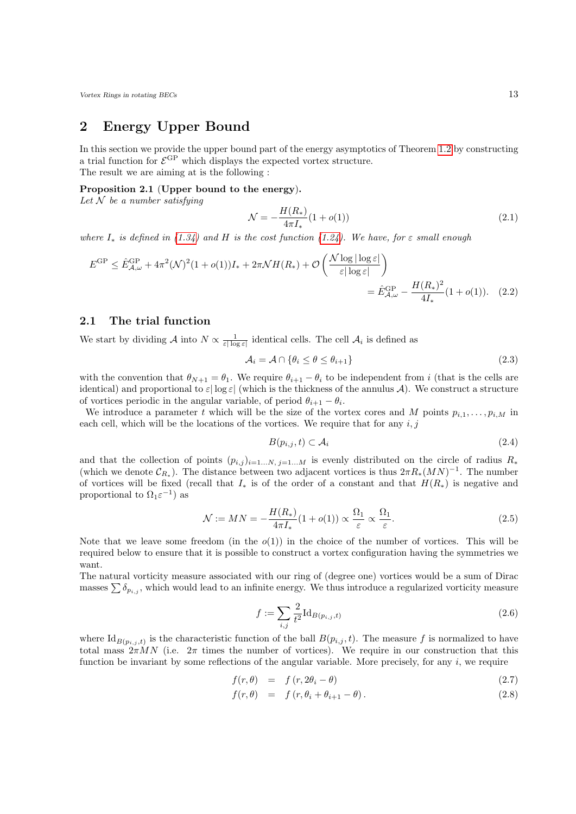## <span id="page-12-0"></span>2 Energy Upper Bound

In this section we provide the upper bound part of the energy asymptotics of Theorem [1.2](#page-7-4) by constructing a trial function for  $\mathcal{E}^{\rm GP}$  which displays the expected vortex structure. The result we are aiming at is the following :

#### <span id="page-12-2"></span>Proposition 2.1 (Upper bound to the energy).

Let  $N$  be a number satisfying

<span id="page-12-5"></span>
$$
\mathcal{N} = -\frac{H(R_*)}{4\pi I_*} (1 + o(1))
$$
\n(2.1)

where  $I_*$  is defined in [\(1.34\)](#page-7-1) and H is the cost function [\(1.24\)](#page-5-0). We have, for  $\varepsilon$  small enough

$$
E^{GP} \leq \hat{E}_{\mathcal{A},\omega}^{GP} + 4\pi^2 (\mathcal{N})^2 (1+o(1))I_* + 2\pi \mathcal{N}H(R_*) + \mathcal{O}\left(\frac{\mathcal{N}\log|\log \varepsilon|}{\varepsilon|\log \varepsilon|}\right)
$$
  
=  $\hat{E}_{\mathcal{A},\omega}^{GP} - \frac{H(R_*)^2}{4I_*} (1+o(1)).$  (2.2)

### <span id="page-12-1"></span>2.1 The trial function

We start by dividing  $\mathcal A$  into  $N \propto \frac{1}{\varepsilon |\log \varepsilon|}$  identical cells. The cell  $\mathcal A_i$  is defined as

$$
\mathcal{A}_i = \mathcal{A} \cap \{ \theta_i \le \theta \le \theta_{i+1} \} \tag{2.3}
$$

with the convention that  $\theta_{N+1} = \theta_1$ . We require  $\theta_{i+1} - \theta_i$  to be independent from i (that is the cells are identical) and proportional to  $\varepsilon |\log \varepsilon|$  (which is the thickness of the annulus A). We construct a structure of vortices periodic in the angular variable, of period  $\theta_{i+1} - \theta_i$ .

We introduce a parameter t which will be the size of the vortex cores and M points  $p_{i,1}, \ldots, p_{i,M}$  in each cell, which will be the locations of the vortices. We require that for any  $i, j$ 

$$
B(p_{i,j}, t) \subset \mathcal{A}_i \tag{2.4}
$$

and that the collection of points  $(p_{i,j})_{i=1...N, j=1...M}$  is evenly distributed on the circle of radius  $R_*$ (which we denote  $\mathcal{C}_{R_*}$ ). The distance between two adjacent vortices is thus  $2\pi R_*(MN)^{-1}$ . The number of vortices will be fixed (recall that  $I_*$  is of the order of a constant and that  $H(R_*)$  is negative and proportional to  $\Omega_1 \varepsilon^{-1}$ ) as

<span id="page-12-3"></span>
$$
\mathcal{N} := MN = -\frac{H(R_*)}{4\pi I_*} (1 + o(1)) \propto \frac{\Omega_1}{\varepsilon} \propto \frac{\Omega_1}{\varepsilon}.
$$
\n(2.5)

Note that we leave some freedom (in the  $o(1)$ ) in the choice of the number of vortices. This will be required below to ensure that it is possible to construct a vortex configuration having the symmetries we want.

The natural vorticity measure associated with our ring of (degree one) vortices would be a sum of Dirac masses  $\sum \delta_{p_{i,j}}$ , which would lead to an infinite energy. We thus introduce a regularized vorticity measure

$$
f := \sum_{i,j} \frac{2}{t^2} \mathrm{Id}_{B(p_{i,j},t)} \tag{2.6}
$$

where  $\mathrm{Id}_{B(p_{i,j},t)}$  is the characteristic function of the ball  $B(p_{i,j},t)$ . The measure f is normalized to have total mass  $2\pi MN$  (i.e.  $2\pi$  times the number of vortices). We require in our construction that this function be invariant by some reflections of the angular variable. More precisely, for any  $i$ , we require

<span id="page-12-4"></span>
$$
f(r,\theta) = f(r, 2\theta_i - \theta) \tag{2.7}
$$

$$
f(r,\theta) = f(r,\theta_i + \theta_{i+1} - \theta). \tag{2.8}
$$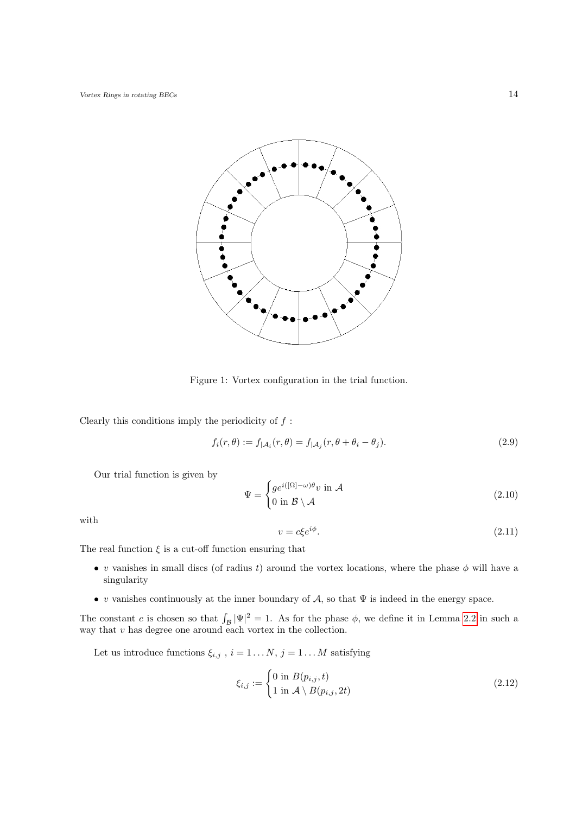

Figure 1: Vortex configuration in the trial function.

Clearly this conditions imply the periodicity of  $f$ :

$$
f_i(r,\theta) := f_{|\mathcal{A}_i}(r,\theta) = f_{|\mathcal{A}_j}(r,\theta + \theta_i - \theta_j). \tag{2.9}
$$

Our trial function is given by

<span id="page-13-0"></span>
$$
\Psi = \begin{cases} ge^{i([\Omega]-\omega)\theta}v \text{ in } \mathcal{A} \\ 0 \text{ in } \mathcal{B} \setminus \mathcal{A} \end{cases} \tag{2.10}
$$

<span id="page-13-1"></span>with

$$
v = c\xi e^{i\phi}.\tag{2.11}
$$

The real function  $\xi$  is a cut-off function ensuring that

- v vanishes in small discs (of radius t) around the vortex locations, where the phase  $\phi$  will have a singularity
- v vanishes continuously at the inner boundary of  $A$ , so that  $\Psi$  is indeed in the energy space.

The constant c is chosen so that  $\int_{\mathcal{B}} |\Psi|^2 = 1$ . As for the phase  $\phi$ , we define it in Lemma [2.2](#page-15-1) in such a way that  $v$  has degree one around each vortex in the collection.

Let us introduce functions  $\xi_{i,j}$ ,  $i = 1...N$ ,  $j = 1...M$  satisfying

$$
\xi_{i,j} := \begin{cases} 0 \text{ in } B(p_{i,j}, t) \\ 1 \text{ in } \mathcal{A} \setminus B(p_{i,j}, 2t) \end{cases} \tag{2.12}
$$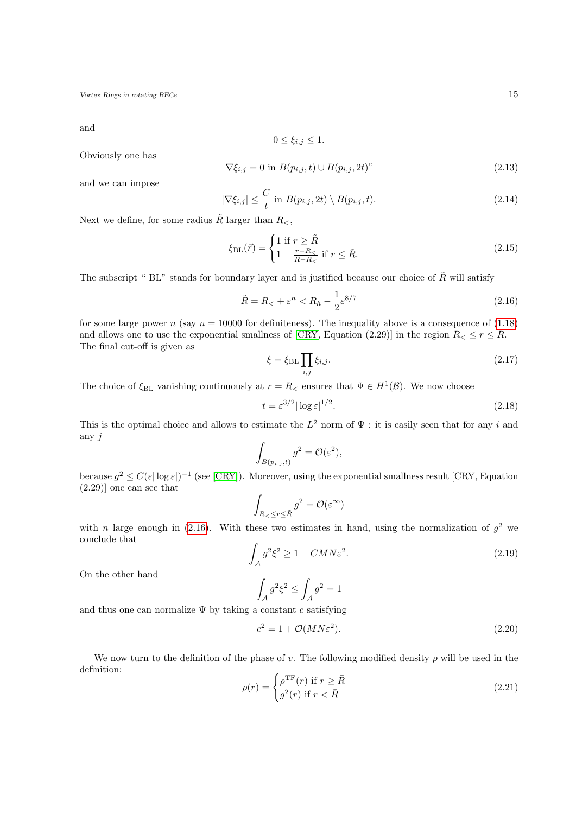and

$$
0 \le \xi_{i,j} \le 1.
$$

Obviously one has

<span id="page-14-3"></span>
$$
\nabla \xi_{i,j} = 0 \text{ in } B(p_{i,j}, t) \cup B(p_{i,j}, 2t)^c \tag{2.13}
$$

and we can impose

<span id="page-14-4"></span>
$$
|\nabla \xi_{i,j}| \leq \frac{C}{t} \text{ in } B(p_{i,j}, 2t) \setminus B(p_{i,j}, t). \tag{2.14}
$$

Next we define, for some radius  $\tilde{R}$  larger than  $R_{\leq}$ ,

<span id="page-14-2"></span>
$$
\xi_{\rm BL}(\vec{r}) = \begin{cases} 1 \text{ if } r \ge \tilde{R} \\ 1 + \frac{r - R_{\le}}{\tilde{R} - R_{<}} \text{ if } r \le \tilde{R}. \end{cases} \tag{2.15}
$$

The subscript " BL" stands for boundary layer and is justified because our choice of  $\tilde{R}$  will satisfy

$$
\tilde{R} = R_{\lt} + \varepsilon^n < R_h - \frac{1}{2} \varepsilon^{8/7} \tag{2.16}
$$

for some large power n (say  $n = 10000$  for definiteness). The inequality above is a consequence of [\(1.18\)](#page-4-0) and allows one to use the exponential smallness of [\[CRY,](#page-52-7) Equation (2.29)] in the region  $R_{\leq} \leq r \leq R$ . The final cut-off is given as

<span id="page-14-5"></span><span id="page-14-0"></span>
$$
\xi = \xi_{\rm BL} \prod_{i,j} \xi_{i,j}.\tag{2.17}
$$

The choice of  $\xi_{BL}$  vanishing continuously at  $r = R_{\leq}$  ensures that  $\Psi \in H^{1}(\mathcal{B})$ . We now choose

$$
t = \varepsilon^{3/2} |\log \varepsilon|^{1/2}.
$$
\n(2.18)

This is the optimal choice and allows to estimate the  $L^2$  norm of  $\Psi$ : it is easily seen that for any i and any j

$$
\int_{B(p_{i,j},t)} g^2 = \mathcal{O}(\varepsilon^2),
$$

because  $g^2 \leq C(\varepsilon |\log \varepsilon|)^{-1}$  (see [\[CRY\]](#page-52-7)). Moreover, using the exponential smallness result [CRY, Equation (2.29)] one can see that

$$
\int_{R_{<} \leq r \leq \tilde{R}} g^2 = \mathcal{O}(\varepsilon^{\infty})
$$

with n large enough in [\(2.16\)](#page-14-0). With these two estimates in hand, using the normalization of  $g^2$  we conclude that

$$
\int_{A} g^{2} \xi^{2} \ge 1 - CMN \varepsilon^{2}.
$$
\n(2.19)

On the other hand

$$
\int_A g^2 \xi^2 \le \int_A g^2 = 1
$$

and thus one can normalize  $\Psi$  by taking a constant c satisfying

<span id="page-14-6"></span>
$$
c^2 = 1 + \mathcal{O}(MN\varepsilon^2). \tag{2.20}
$$

<span id="page-14-1"></span>We now turn to the definition of the phase of v. The following modified density  $\rho$  will be used in the definition:

$$
\rho(r) = \begin{cases} \rho^{\text{TF}}(r) & \text{if } r \ge \bar{R} \\ g^2(r) & \text{if } r < \bar{R} \end{cases} \tag{2.21}
$$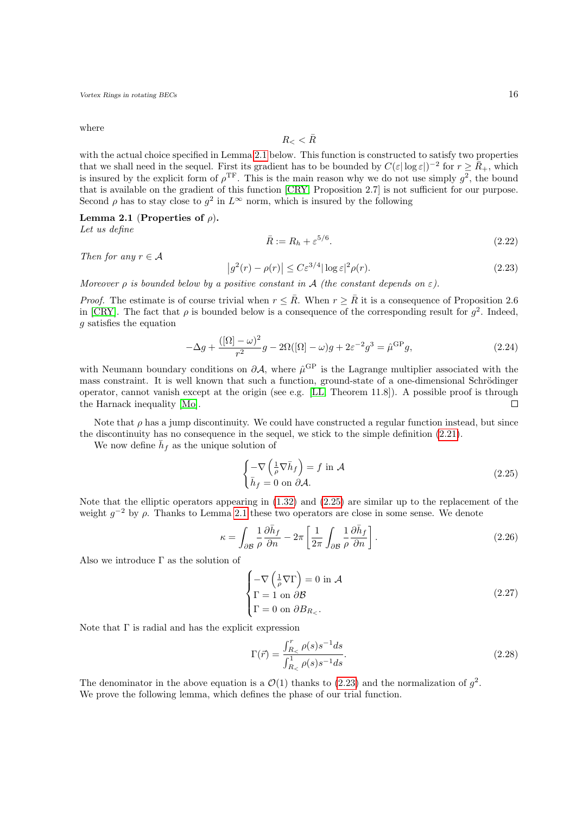where

$$
R_{<} < \bar{R}
$$

with the actual choice specified in Lemma [2.1](#page-15-0) below. This function is constructed to satisfy two properties that we shall need in the sequel. First its gradient has to be bounded by  $C(\varepsilon|\log \varepsilon|)^{-2}$  for  $r \geq \overline{R}_{+}$ , which is insured by the explicit form of  $\rho^{\text{TF}}$ . This is the main reason why we do not use simply  $g^2$ , the bound that is available on the gradient of this function [\[CRY,](#page-52-7) Proposition 2.7] is not sufficient for our purpose. Second  $\rho$  has to stay close to  $g^2$  in  $L^{\infty}$  norm, which is insured by the following

<span id="page-15-0"></span>Lemma 2.1 (Properties of  $\rho$ ).

Let us define

$$
\bar{R} := R_h + \varepsilon^{5/6}.\tag{2.22}
$$

Then for any  $r \in A$ 

<span id="page-15-3"></span>
$$
\left|g^2(r) - \rho(r)\right| \le C\varepsilon^{3/4} |\log \varepsilon|^2 \rho(r). \tag{2.23}
$$

Moreover  $\rho$  is bounded below by a positive constant in  $\mathcal A$  (the constant depends on  $\varepsilon$ ).

*Proof.* The estimate is of course trivial when  $r \leq \overline{R}$ . When  $r \geq \overline{R}$  it is a consequence of Proposition 2.6 in [\[CRY\]](#page-52-7). The fact that  $\rho$  is bounded below is a consequence of the corresponding result for  $g^2$ . Indeed, g satisfies the equation

$$
-\Delta g + \frac{([\Omega] - \omega)^2}{r^2} g - 2\Omega([\Omega] - \omega)g + 2\varepsilon^{-2} g^3 = \hat{\mu}^{\text{GP}} g,\tag{2.24}
$$

with Neumann boundary conditions on  $\partial A$ , where  $\hat{\mu}^{\text{GP}}$  is the Lagrange multiplier associated with the mass constraint. It is well known that such a function, ground-state of a one-dimensional Schrödinger operator, cannot vanish except at the origin (see e.g. [\[LL,](#page-53-8) Theorem 11.8]). A possible proof is through the Harnack inequality [\[Mo\]](#page-53-9).  $\Box$ 

Note that  $\rho$  has a jump discontinuity. We could have constructed a regular function instead, but since the discontinuity has no consequence in the sequel, we stick to the simple definition [\(2.21\)](#page-14-1).

We now define  $\bar{h}_f$  as the unique solution of

<span id="page-15-2"></span>
$$
\begin{cases}\n-\nabla \left(\frac{1}{\rho} \nabla \bar{h}_f\right) = f \text{ in } \mathcal{A} \\
\bar{h}_f = 0 \text{ on } \partial \mathcal{A}.\n\end{cases}
$$
\n(2.25)

Note that the elliptic operators appearing in [\(1.32\)](#page-7-3) and [\(2.25\)](#page-15-2) are similar up to the replacement of the weight  $g^{-2}$  by  $\rho$ . Thanks to Lemma [2.1](#page-15-0) these two operators are close in some sense. We denote

$$
\kappa = \int_{\partial \mathcal{B}} \frac{1}{\rho} \frac{\partial \bar{h}_f}{\partial n} - 2\pi \left[ \frac{1}{2\pi} \int_{\partial \mathcal{B}} \frac{1}{\rho} \frac{\partial \bar{h}_f}{\partial n} \right].
$$
 (2.26)

Also we introduce  $\Gamma$  as the solution of

<span id="page-15-4"></span>
$$
\begin{cases}\n-\nabla \left(\frac{1}{\rho} \nabla \Gamma\right) = 0 \text{ in } \mathcal{A} \\
\Gamma = 1 \text{ on } \partial \mathcal{B} \\
\Gamma = 0 \text{ on } \partial B_{R_{\leq}}.\n\end{cases}
$$
\n(2.27)

Note that  $\Gamma$  is radial and has the explicit expression

<span id="page-15-5"></span>
$$
\Gamma(\vec{r}) = \frac{\int_{R_{<}}^{r} \rho(s)s^{-1}ds}{\int_{R_{<}}^{1} \rho(s)s^{-1}ds}.
$$
\n(2.28)

<span id="page-15-1"></span>The denominator in the above equation is a  $\mathcal{O}(1)$  thanks to [\(2.23\)](#page-15-3) and the normalization of  $g^2$ . We prove the following lemma, which defines the phase of our trial function.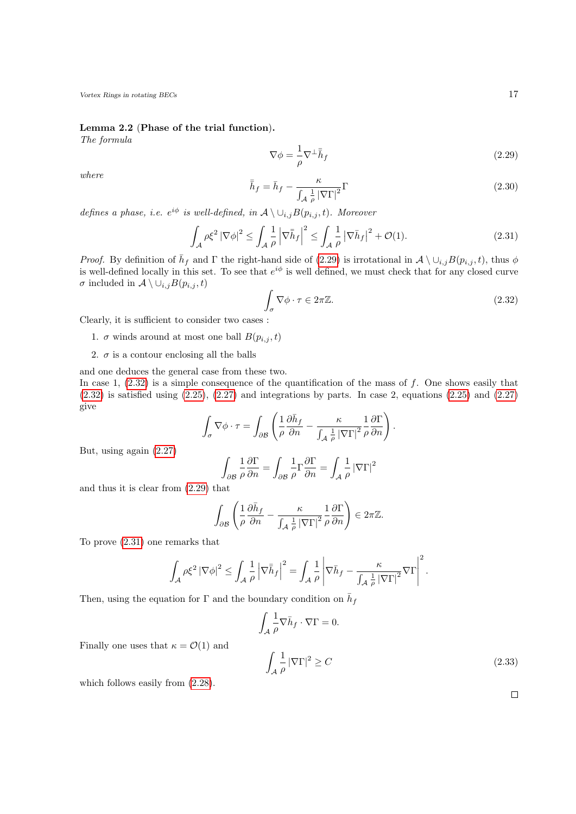Lemma 2.2 (Phase of the trial function).

<span id="page-16-0"></span>The formula

<span id="page-16-2"></span>
$$
\nabla \phi = -\frac{1}{\rho} \nabla^{\perp} \bar{h}_f \tag{2.29}
$$

where

give

$$
\bar{\bar{h}}_f = \bar{h}_f - \frac{\kappa}{\int_{\mathcal{A}} \frac{1}{\rho} |\nabla \Gamma|^2} \Gamma
$$
\n(2.30)

defines a phase, i.e.  $e^{i\phi}$  is well-defined, in  $\mathcal{A} \setminus \cup_{i,j} B(p_{i,j}, t)$ . Moreover

<span id="page-16-1"></span>
$$
\int_{\mathcal{A}} \rho \xi^2 \left| \nabla \phi \right|^2 \le \int_{\mathcal{A}} \frac{1}{\rho} \left| \nabla \bar{h}_f \right|^2 \le \int_{\mathcal{A}} \frac{1}{\rho} \left| \nabla \bar{h}_f \right|^2 + \mathcal{O}(1). \tag{2.31}
$$

*Proof.* By definition of  $\bar{h}_f$  and  $\Gamma$  the right-hand side of [\(2.29\)](#page-16-0) is irrotational in  $\mathcal{A} \setminus \cup_{i,j} B(p_{i,j}, t)$ , thus  $\phi$ is well-defined locally in this set. To see that  $e^{i\phi}$  is well defined, we must check that for any closed curve  $\sigma$  included in  $\mathcal{A} \setminus \cup_{i,j} B(p_{i,j}, t)$ 

$$
\int_{\sigma} \nabla \phi \cdot \tau \in 2\pi \mathbb{Z}.
$$
\n(2.32)

Clearly, it is sufficient to consider two cases :

- 1.  $\sigma$  winds around at most one ball  $B(p_{i,j}, t)$
- 2.  $\sigma$  is a contour enclosing all the balls

and one deduces the general case from these two. In case 1,  $(2.32)$  is a simple consequence of the quantification of the mass of f. One shows easily that  $(2.32)$  is satisfied using  $(2.25)$ ,  $(2.27)$  and integrations by parts. In case 2, equations  $(2.25)$  and  $(2.27)$ 

$$
\int_{\sigma} \nabla \phi \cdot \tau = \int_{\partial \mathcal{B}} \left( \frac{1}{\rho} \frac{\partial \bar{h}_f}{\partial n} - \frac{\kappa}{\int_{\mathcal{A}} \frac{1}{\rho} |\nabla \Gamma|^2} \frac{1}{\rho} \frac{\partial \Gamma}{\partial n} \right).
$$

But, using again [\(2.27\)](#page-15-4)

$$
\int_{\partial\mathcal{B}}\frac{1}{\rho}\frac{\partial\Gamma}{\partial n}=\int_{\partial\mathcal{B}}\frac{1}{\rho}\Gamma\frac{\partial\Gamma}{\partial n}=\int_{\mathcal{A}}\frac{1}{\rho}\left|\nabla\Gamma\right|^{2}
$$

and thus it is clear from [\(2.29\)](#page-16-0) that

$$
\int_{\partial \mathcal{B}} \left( \frac{1}{\rho} \frac{\partial \bar{h}_f}{\partial n} - \frac{\kappa}{\int_{\mathcal{A}} \frac{1}{\rho} \left| \nabla \Gamma \right|^2} \frac{1}{\rho} \frac{\partial \Gamma}{\partial n} \right) \in 2\pi \mathbb{Z}.
$$

To prove [\(2.31\)](#page-16-2) one remarks that

$$
\int_{\mathcal{A}} \rho \xi^2 \left| \nabla \phi \right|^2 \le \int_{\mathcal{A}} \frac{1}{\rho} \left| \nabla \bar{h}_f \right|^2 = \int_{\mathcal{A}} \frac{1}{\rho} \left| \nabla \bar{h}_f - \frac{\kappa}{\int_{\mathcal{A}} \frac{1}{\rho} \left| \nabla \Gamma \right|^2} \nabla \Gamma \right|^2.
$$

Then, using the equation for  $\Gamma$  and the boundary condition on  $\bar{h}_f$ 

$$
\int_{\mathcal{A}} \frac{1}{\rho} \nabla \bar{h}_f \cdot \nabla \Gamma = 0.
$$
\n
$$
\int_{\mathcal{A}} \frac{1}{\rho} |\nabla \Gamma|^2 \ge C
$$
\n(2.33)

 $\sim$ 

Finally one uses that  $\kappa = \mathcal{O}(1)$  and

which follows easily from  $(2.28)$ .

 $\Box$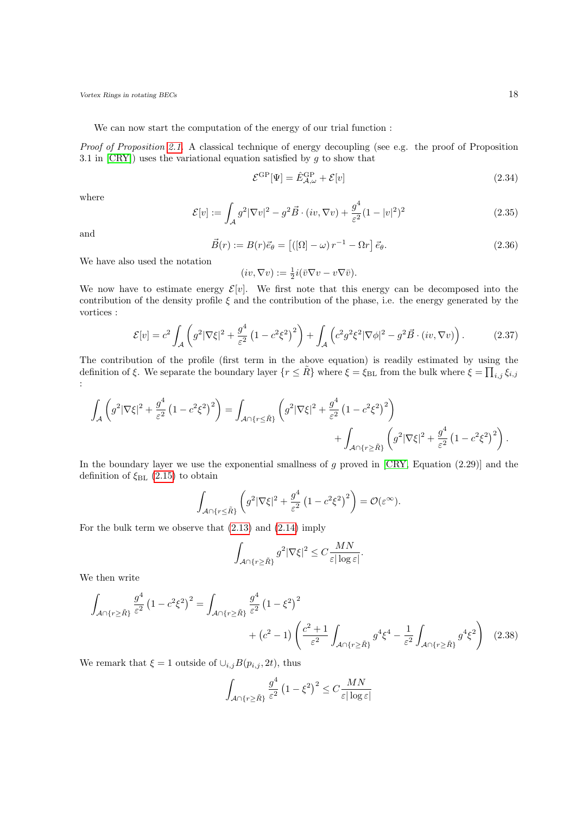We can now start the computation of the energy of our trial function :

Proof of Proposition [2.1.](#page-12-2) A classical technique of energy decoupling (see e.g. the proof of Proposition 3.1 in  $[CRY]$ ) uses the variational equation satisfied by  $g$  to show that

<span id="page-17-1"></span>
$$
\mathcal{E}^{\rm GP}[\Psi] = \hat{E}_{\mathcal{A},\omega}^{\rm GP} + \mathcal{E}[v] \tag{2.34}
$$

<span id="page-17-2"></span>where

$$
\mathcal{E}[v] := \int_{\mathcal{A}} g^2 |\nabla v|^2 - g^2 \vec{B} \cdot (iv, \nabla v) + \frac{g^4}{\varepsilon^2} (1 - |v|^2)^2 \tag{2.35}
$$

and

$$
\vec{B}(r) := B(r)\vec{e}_{\theta} = \left[ \left( [\Omega] - \omega \right) r^{-1} - \Omega r \right] \vec{e}_{\theta}.
$$
\n(2.36)

We have also used the notation

$$
(iv, \nabla v) := \frac{1}{2}i(\bar{v}\nabla v - v\nabla \bar{v}).
$$

We now have to estimate energy  $\mathcal{E}[v]$ . We first note that this energy can be decomposed into the contribution of the density profile  $\xi$  and the contribution of the phase, i.e. the energy generated by the vortices :

$$
\mathcal{E}[v] = c^2 \int_{\mathcal{A}} \left( g^2 |\nabla \xi|^2 + \frac{g^4}{\varepsilon^2} \left( 1 - c^2 \xi^2 \right)^2 \right) + \int_{\mathcal{A}} \left( c^2 g^2 \xi^2 |\nabla \phi|^2 - g^2 \vec{B} \cdot (iv, \nabla v) \right). \tag{2.37}
$$

The contribution of the profile (first term in the above equation) is readily estimated by using the definition of ξ. We separate the boundary layer  $\{r \leq \tilde{R}\}\$  where  $\xi = \xi_{\text{BL}}$  from the bulk where  $\xi = \prod_{i,j} \xi_{i,j}$ :

$$
\int_{\mathcal{A}} \left( g^2 |\nabla \xi|^2 + \frac{g^4}{\varepsilon^2} \left( 1 - c^2 \xi^2 \right)^2 \right) = \int_{\mathcal{A} \cap \{r \leq \tilde{R}\}} \left( g^2 |\nabla \xi|^2 + \frac{g^4}{\varepsilon^2} \left( 1 - c^2 \xi^2 \right)^2 \right) + \int_{\mathcal{A} \cap \{r \geq \tilde{R}\}} \left( g^2 |\nabla \xi|^2 + \frac{g^4}{\varepsilon^2} \left( 1 - c^2 \xi^2 \right)^2 \right).
$$

In the boundary layer we use the exponential smallness of  $g$  proved in  $[CRY, Equation (2.29)]$  and the definition of  $\xi_{BL}$  [\(2.15\)](#page-14-2) to obtain

$$
\int_{\mathcal{A}\cap\{r\leq \tilde{R}\}}\left(g^2|\nabla\xi|^2+\frac{g^4}{\varepsilon^2}\left(1-c^2\xi^2\right)^2\right)=\mathcal{O}(\varepsilon^\infty).
$$

For the bulk term we observe that [\(2.13\)](#page-14-3) and [\(2.14\)](#page-14-4) imply

<span id="page-17-0"></span>
$$
\int_{\mathcal{A}\cap\{r\geq \tilde{R}\}} g^2 |\nabla \xi|^2 \leq C \frac{MN}{\varepsilon |\log \varepsilon|}.
$$

We then write

$$
\int_{\mathcal{A}\cap\{r\geq\tilde{R}\}}\frac{g^4}{\varepsilon^2}\left(1-c^2\xi^2\right)^2 = \int_{\mathcal{A}\cap\{r\geq\tilde{R}\}}\frac{g^4}{\varepsilon^2}\left(1-\xi^2\right)^2 + (c^2-1)\left(\frac{c^2+1}{\varepsilon^2}\int_{\mathcal{A}\cap\{r\geq\tilde{R}\}}g^4\xi^4 - \frac{1}{\varepsilon^2}\int_{\mathcal{A}\cap\{r\geq\tilde{R}\}}g^4\xi^2\right) \tag{2.38}
$$

We remark that  $\xi = 1$  outside of  $\cup_{i,j}B(p_{i,j}, 2t)$ , thus

$$
\int_{\mathcal{A} \cap \{r \ge \tilde{R}\}} \frac{g^4}{\varepsilon^2} \left(1 - \xi^2\right)^2 \le C \frac{MN}{\varepsilon |\log \varepsilon|}
$$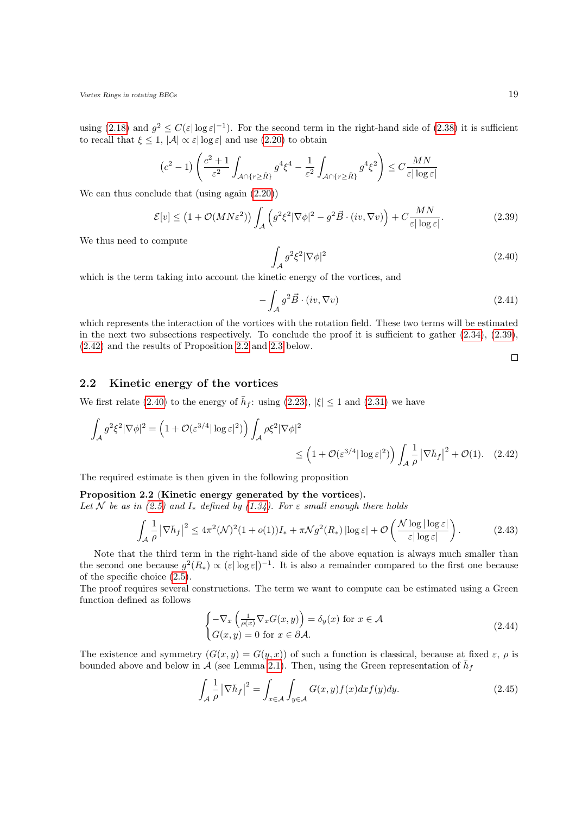using [\(2.18\)](#page-14-5) and  $g^2 \leq C(\varepsilon |\log \varepsilon|^{-1})$ . For the second term in the right-hand side of [\(2.38\)](#page-17-0) it is sufficient to recall that  $\xi \leq 1$ ,  $|\mathcal{A}| \propto \varepsilon |\log \varepsilon|$  and use [\(2.20\)](#page-14-6) to obtain

$$
(c^2 - 1) \left( \frac{c^2 + 1}{\varepsilon^2} \int_{\mathcal{A} \cap \{r \ge \tilde{R}\}} g^4 \xi^4 - \frac{1}{\varepsilon^2} \int_{\mathcal{A} \cap \{r \ge \tilde{R}\}} g^4 \xi^2 \right) \le C \frac{MN}{\varepsilon |\log \varepsilon|}
$$

We can thus conclude that (using again [\(2.20\)](#page-14-6))

<span id="page-18-4"></span>
$$
\mathcal{E}[v] \le (1 + \mathcal{O}(MN\varepsilon^2)) \int_{\mathcal{A}} \left( g^2 \xi^2 |\nabla \phi|^2 - g^2 \vec{B} \cdot (iv, \nabla v) \right) + C \frac{MN}{\varepsilon |\log \varepsilon|}.
$$
 (2.39)

We thus need to compute

<span id="page-18-7"></span><span id="page-18-1"></span>
$$
\int_{\mathcal{A}} g^2 \xi^2 |\nabla \phi|^2 \tag{2.40}
$$

which is the term taking into account the kinetic energy of the vortices, and

$$
-\int_{\mathcal{A}} g^2 \vec{B} \cdot (iv, \nabla v) \tag{2.41}
$$

which represents the interaction of the vortices with the rotation field. These two terms will be estimated in the next two subsections respectively. To conclude the proof it is sufficient to gather [\(2.34\)](#page-17-1), [\(2.39\)](#page-18-1), [\(2.42\)](#page-18-2) and the results of Proposition [2.2](#page-18-3) and [2.3](#page-25-1) below.

<span id="page-18-5"></span><span id="page-18-2"></span> $\Box$ 

### <span id="page-18-0"></span>2.2 Kinetic energy of the vortices

We first relate [\(2.40\)](#page-18-4) to the energy of  $\bar{h}_f$ : using [\(2.23\)](#page-15-3),  $|\xi| \leq 1$  and [\(2.31\)](#page-16-2) we have

$$
\int_{\mathcal{A}} g^2 \xi^2 |\nabla \phi|^2 = \left(1 + \mathcal{O}(\varepsilon^{3/4} |\log \varepsilon|^2) \right) \int_{\mathcal{A}} \rho \xi^2 |\nabla \phi|^2 \le \left(1 + \mathcal{O}(\varepsilon^{3/4} |\log \varepsilon|^2) \right) \int_{\mathcal{A}} \frac{1}{\rho} \left| \nabla \bar{h}_f \right|^2 + \mathcal{O}(1). \quad (2.42)
$$

The required estimate is then given in the following proposition

#### <span id="page-18-3"></span>Proposition 2.2 (Kinetic energy generated by the vortices).

Let N be as in [\(2.5\)](#page-12-3) and  $I_*$  defined by [\(1.34\)](#page-7-1). For  $\varepsilon$  small enough there holds

$$
\int_{\mathcal{A}} \frac{1}{\rho} \left| \nabla \bar{h}_f \right|^2 \le 4\pi^2 (\mathcal{N})^2 (1 + o(1)) I_* + \pi \mathcal{N} g^2(R_*) \left| \log \varepsilon \right| + \mathcal{O} \left( \frac{\mathcal{N} \log \left| \log \varepsilon \right|}{\varepsilon \left| \log \varepsilon \right|} \right). \tag{2.43}
$$

Note that the third term in the right-hand side of the above equation is always much smaller than the second one because  $g^2(R_*) \propto (\varepsilon |\log \varepsilon|)^{-1}$ . It is also a remainder compared to the first one because of the specific choice [\(2.5\)](#page-12-3).

The proof requires several constructions. The term we want to compute can be estimated using a Green function defined as follows

<span id="page-18-6"></span>
$$
\begin{cases}\n-\nabla_x \left(\frac{1}{\rho(x)} \nabla_x G(x, y)\right) = \delta_y(x) \text{ for } x \in \mathcal{A} \\
G(x, y) = 0 \text{ for } x \in \partial \mathcal{A}.\n\end{cases}
$$
\n(2.44)

The existence and symmetry  $(G(x, y) = G(y, x))$  of such a function is classical, because at fixed  $\varepsilon$ ,  $\rho$  is bounded above and below in A (see Lemma [2.1\)](#page-15-0). Then, using the Green representation of  $\bar{h}_f$ 

$$
\int_{\mathcal{A}} \frac{1}{\rho} \left| \nabla \bar{h}_f \right|^2 = \int_{x \in \mathcal{A}} \int_{y \in \mathcal{A}} G(x, y) f(x) dx f(y) dy. \tag{2.45}
$$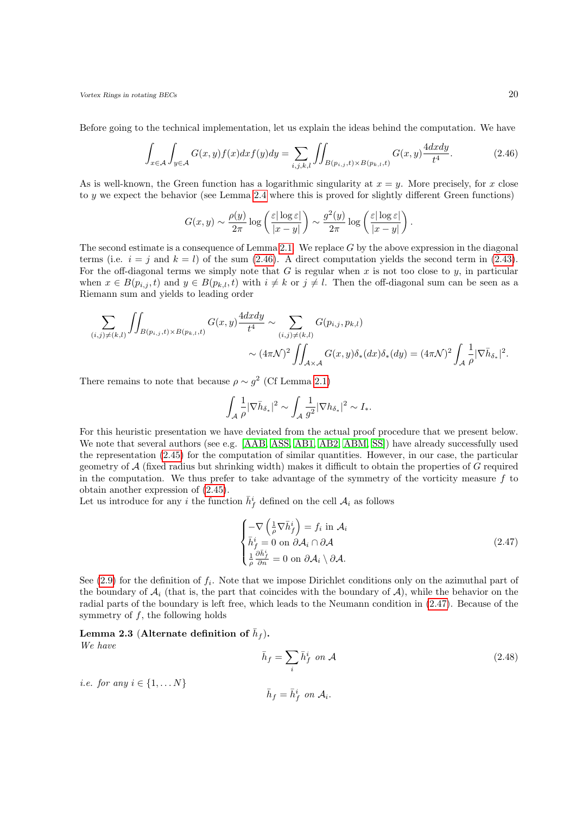Before going to the technical implementation, let us explain the ideas behind the computation. We have

$$
\int_{x \in \mathcal{A}} \int_{y \in \mathcal{A}} G(x, y) f(x) dx f(y) dy = \sum_{i, j, k, l} \iint_{B(p_{i, j}, t) \times B(p_{k, l}, t)} G(x, y) \frac{4 dx dy}{t^4}.
$$
\n(2.46)

As is well-known, the Green function has a logarithmic singularity at  $x = y$ . More precisely, for x close to y we expect the behavior (see Lemma [2.4](#page-20-0) where this is proved for slightly different Green functions)

<span id="page-19-0"></span>
$$
G(x,y) \sim \frac{\rho(y)}{2\pi} \log \left( \frac{\varepsilon |\log \varepsilon|}{|x-y|} \right) \sim \frac{g^2(y)}{2\pi} \log \left( \frac{\varepsilon |\log \varepsilon|}{|x-y|} \right).
$$

The second estimate is a consequence of Lemma [2.1.](#page-15-0) We replace  $G$  by the above expression in the diagonal terms (i.e.  $i = j$  and  $k = l$ ) of the sum [\(2.46\)](#page-19-0). A direct computation yields the second term in [\(2.43\)](#page-18-5). For the off-diagonal terms we simply note that  $G$  is regular when  $x$  is not too close to  $y$ , in particular when  $x \in B(p_{i,j}, t)$  and  $y \in B(p_{k,l}, t)$  with  $i \neq k$  or  $j \neq l$ . Then the off-diagonal sum can be seen as a Riemann sum and yields to leading order

$$
\sum_{(i,j)\neq (k,l)}\iint_{B(p_{i,j},t)\times B(p_{k,l},t)} G(x,y) \frac{4dxdy}{t^4} \sim \sum_{(i,j)\neq (k,l)} G(p_{i,j},p_{k,l})\n\sim (4\pi\mathcal{N})^2 \iint_{\mathcal{A}\times\mathcal{A}} G(x,y) \delta_*(dx) \delta_*(dy) = (4\pi\mathcal{N})^2 \int_{\mathcal{A}} \frac{1}{\rho} |\nabla \bar{h}_{\delta_*}|^2.
$$

There remains to note that because  $\rho \sim g^2$  (Cf Lemma [2.1\)](#page-15-0)

$$
\int_{\mathcal{A}} \frac{1}{\rho} |\nabla \bar{h}_{\delta_*}|^2 \sim \int_{\mathcal{A}} \frac{1}{g^2} |\nabla h_{\delta_*}|^2 \sim I_*.
$$

For this heuristic presentation we have deviated from the actual proof procedure that we present below. We note that several authors (see e.g. [\[AAB,](#page-52-15) [ASS,](#page-52-18) [AB1,](#page-52-13) [AB2,](#page-52-14) [ABM,](#page-52-11) [SS\]](#page-53-6)) have already successfully used the representation [\(2.45\)](#page-18-6) for the computation of similar quantities. However, in our case, the particular geometry of  $A$  (fixed radius but shrinking width) makes it difficult to obtain the properties of  $G$  required in the computation. We thus prefer to take advantage of the symmetry of the vorticity measure  $f$  to obtain another expression of [\(2.45\)](#page-18-6).

Let us introduce for any i the function  $\bar{h}_f^i$  defined on the cell  $A_i$  as follows

<span id="page-19-1"></span>
$$
\begin{cases}\n-\nabla \left(\frac{1}{\rho} \nabla \bar{h}_f^i\right) = f_i \text{ in } \mathcal{A}_i \\
\bar{h}_f^i = 0 \text{ on } \partial \mathcal{A}_i \cap \partial \mathcal{A} \\
\frac{1}{\rho} \frac{\partial \bar{h}_f^i}{\partial n} = 0 \text{ on } \partial \mathcal{A}_i \setminus \partial \mathcal{A}.\n\end{cases} \tag{2.47}
$$

See  $(2.9)$  for the definition of  $f_i$ . Note that we impose Dirichlet conditions only on the azimuthal part of the boundary of  $A_i$  (that is, the part that coincides with the boundary of  $A$ ), while the behavior on the radial parts of the boundary is left free, which leads to the Neumann condition in [\(2.47\)](#page-19-1). Because of the symmetry of  $f$ , the following holds

## <span id="page-19-2"></span>Lemma 2.3 (Alternate definition of  $\bar{h}_f$ ).

We have

$$
\bar{h}_f = \sum_i \bar{h}_f^i \text{ on } \mathcal{A}
$$
\n(2.48)

i.e. for any  $i \in \{1, \ldots N\}$ 

 $\bar{h}_f = \bar{h}_f^i$  on  $A_i$ .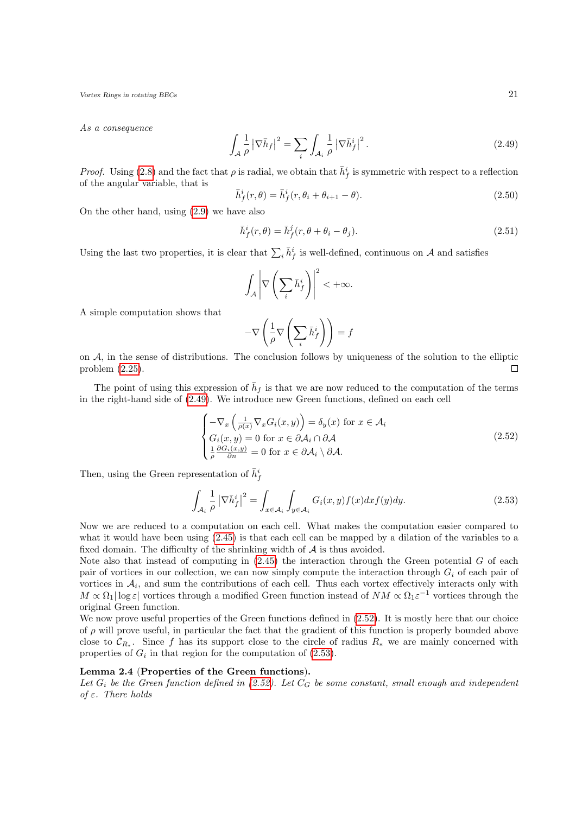As a consequence

<span id="page-20-1"></span>
$$
\int_{\mathcal{A}} \frac{1}{\rho} \left| \nabla \bar{h}_f \right|^2 = \sum_{i} \int_{\mathcal{A}_i} \frac{1}{\rho} \left| \nabla \bar{h}_f^i \right|^2.
$$
\n(2.49)

*Proof.* Using [\(2.8\)](#page-12-4) and the fact that  $\rho$  is radial, we obtain that  $\bar{h}_f^i$  is symmetric with respect to a reflection of the angular variable, that is

<span id="page-20-4"></span>
$$
\bar{h}_f^i(r,\theta) = \bar{h}_f^i(r,\theta_i + \theta_{i+1} - \theta). \tag{2.50}
$$

On the other hand, using [\(2.9\)](#page-13-0) we have also

$$
\bar{h}_f^i(r,\theta) = \bar{h}_f^j(r,\theta + \theta_i - \theta_j). \tag{2.51}
$$

Using the last two properties, it is clear that  $\sum_i \bar{h}_f^i$  is well-defined, continuous on A and satisfies

$$
\int_{\mathcal{A}} \left| \nabla \left( \sum_{i} \bar{h}_f^{i} \right) \right|^2 < +\infty.
$$

A simple computation shows that

<span id="page-20-2"></span>
$$
-\nabla\left(\frac{1}{\rho}\nabla\left(\sum_i \bar{h}^i_f\right)\right) = f
$$

on  $A$ , in the sense of distributions. The conclusion follows by uniqueness of the solution to the elliptic problem [\(2.25\)](#page-15-2).  $\Box$ 

The point of using this expression of  $\bar{h}_f$  is that we are now reduced to the computation of the terms in the right-hand side of [\(2.49\)](#page-20-1). We introduce new Green functions, defined on each cell

$$
\begin{cases}\n-\nabla_x \left(\frac{1}{\rho(x)} \nabla_x G_i(x, y)\right) = \delta_y(x) \text{ for } x \in \mathcal{A}_i \\
G_i(x, y) = 0 \text{ for } x \in \partial \mathcal{A}_i \cap \partial \mathcal{A} \\
\frac{1}{\rho} \frac{\partial G_i(x, y)}{\partial n} = 0 \text{ for } x \in \partial \mathcal{A}_i \setminus \partial \mathcal{A}.\n\end{cases}
$$
\n(2.52)

Then, using the Green representation of  $\bar{h}_f^i$ 

<span id="page-20-3"></span>
$$
\int_{\mathcal{A}_i} \frac{1}{\rho} \left| \nabla \bar{h}_f^i \right|^2 = \int_{x \in \mathcal{A}_i} \int_{y \in \mathcal{A}_i} G_i(x, y) f(x) dx f(y) dy.
$$
\n(2.53)

Now we are reduced to a computation on each cell. What makes the computation easier compared to what it would have been using [\(2.45\)](#page-18-6) is that each cell can be mapped by a dilation of the variables to a fixed domain. The difficulty of the shrinking width of  $A$  is thus avoided.

Note also that instead of computing in  $(2.45)$  the interaction through the Green potential G of each pair of vortices in our collection, we can now simply compute the interaction through  $G_i$  of each pair of vortices in  $A_i$ , and sum the contributions of each cell. Thus each vortex effectively interacts only with  $M \propto \Omega_1 |\log \varepsilon|$  vortices through a modified Green function instead of  $NM \propto \Omega_1 \varepsilon^{-1}$  vortices through the original Green function.

We now prove useful properties of the Green functions defined in  $(2.52)$ . It is mostly here that our choice of  $\rho$  will prove useful, in particular the fact that the gradient of this function is properly bounded above close to  $\mathcal{C}_{R_*}$ . Since f has its support close to the circle of radius  $R_*$  we are mainly concerned with properties of  $G_i$  in that region for the computation of  $(2.53)$ .

#### <span id="page-20-0"></span>Lemma 2.4 (Properties of the Green functions).

Let  $G_i$  be the Green function defined in [\(2.52\)](#page-20-2). Let  $C_G$  be some constant, small enough and independent of  $\varepsilon$ . There holds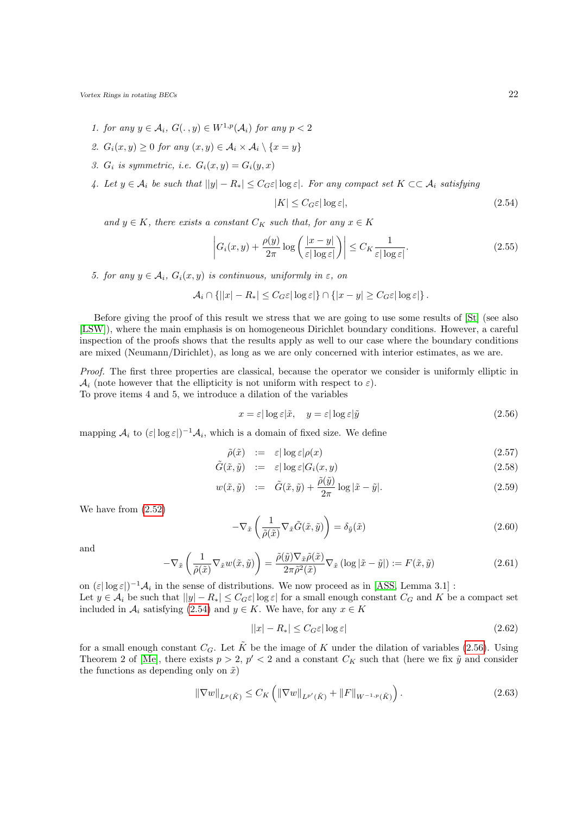- 1. for any  $y \in A_i$ ,  $G(\cdot, y) \in W^{1,p}(\mathcal{A}_i)$  for any  $p < 2$
- 2.  $G_i(x, y) \geq 0$  for any  $(x, y) \in \mathcal{A}_i \times \mathcal{A}_i \setminus \{x = y\}$
- 3.  $G_i$  is symmetric, i.e.  $G_i(x, y) = G_i(y, x)$
- 4. Let  $y \in A_i$  be such that  $||y| R_*| \leq C_G \varepsilon |\log \varepsilon|$ . For any compact set  $K \subset \subset A_i$  satisfying

<span id="page-21-4"></span><span id="page-21-0"></span>
$$
|K| \le C_G \varepsilon |\log \varepsilon|,\tag{2.54}
$$

and  $y \in K$ , there exists a constant  $C_K$  such that, for any  $x \in K$ 

$$
\left| G_i(x, y) + \frac{\rho(y)}{2\pi} \log \left( \frac{|x - y|}{\varepsilon |\log \varepsilon|} \right) \right| \le C_K \frac{1}{\varepsilon |\log \varepsilon|}.
$$
 (2.55)

5. for any  $y \in A_i$ ,  $G_i(x, y)$  is continuous, uniformly in  $\varepsilon$ , on

$$
\mathcal{A}_i \cap \{|x| - R_*| \leq C_G \varepsilon |\log \varepsilon| \} \cap \{|x - y| \geq C_G \varepsilon |\log \varepsilon| \}.
$$

Before giving the proof of this result we stress that we are going to use some results of [\[St\]](#page-53-10) (see also [\[LSW\]](#page-53-11)), where the main emphasis is on homogeneous Dirichlet boundary conditions. However, a careful inspection of the proofs shows that the results apply as well to our case where the boundary conditions are mixed (Neumann/Dirichlet), as long as we are only concerned with interior estimates, as we are.

Proof. The first three properties are classical, because the operator we consider is uniformly elliptic in  $\mathcal{A}_i$  (note however that the ellipticity is not uniform with respect to  $\varepsilon$ ).

To prove items 4 and 5, we introduce a dilation of the variables

<span id="page-21-1"></span>
$$
x = \varepsilon |\log \varepsilon|\tilde{x}, \quad y = \varepsilon |\log \varepsilon|\tilde{y}
$$
\n
$$
(2.56)
$$

mapping  $\mathcal{A}_i$  to  $(\varepsilon |\log \varepsilon|)^{-1} \mathcal{A}_i$ , which is a domain of fixed size. We define

$$
\tilde{\rho}(\tilde{x}) \quad := \quad \varepsilon |\log \varepsilon| \rho(x) \tag{2.57}
$$

$$
\tilde{G}(\tilde{x}, \tilde{y}) \quad := \quad \varepsilon |\log \varepsilon| G_i(x, y) \tag{2.58}
$$

$$
w(\tilde{x}, \tilde{y}) \quad := \quad \tilde{G}(\tilde{x}, \tilde{y}) + \frac{\tilde{\rho}(\tilde{y})}{2\pi} \log |\tilde{x} - \tilde{y}|. \tag{2.59}
$$

We have from [\(2.52\)](#page-20-2)

$$
-\nabla_{\tilde{x}}\left(\frac{1}{\tilde{\rho}(\tilde{x})}\nabla_{\tilde{x}}\tilde{G}(\tilde{x},\tilde{y})\right) = \delta_{\tilde{y}}(\tilde{x})\tag{2.60}
$$

and

$$
-\nabla_{\tilde{x}}\left(\frac{1}{\tilde{\rho}(\tilde{x})}\nabla_{\tilde{x}}w(\tilde{x},\tilde{y})\right) = \frac{\tilde{\rho}(\tilde{y})\nabla_{\tilde{x}}\tilde{\rho}(\tilde{x})}{2\pi\tilde{\rho}^2(\tilde{x})}\nabla_{\tilde{x}}\left(\log|\tilde{x}-\tilde{y}|\right) := F(\tilde{x},\tilde{y})\tag{2.61}
$$

on  $(\varepsilon |\log \varepsilon|)^{-1} A_i$  in the sense of distributions. We now proceed as in [\[ASS,](#page-52-18) Lemma 3.1] : Let  $y \in A_i$  be such that  $||y| - R_* \leq C_G \varepsilon |\log \varepsilon|$  for a small enough constant  $C_G$  and K be a compact set included in  $A_i$  satisfying [\(2.54\)](#page-21-0) and  $y \in K$ . We have, for any  $x \in K$ 

<span id="page-21-3"></span><span id="page-21-2"></span>
$$
||x| - R_*| \le C_G \varepsilon |\log \varepsilon| \tag{2.62}
$$

for a small enough constant  $C_G$ . Let  $\tilde{K}$  be the image of K under the dilation of variables [\(2.56\)](#page-21-1). Using Theorem 2 of [\[Me\]](#page-53-12), there exists  $p > 2$ ,  $p' < 2$  and a constant  $C_K$  such that (here we fix  $\tilde{y}$  and consider the functions as depending only on  $\tilde{x}$ )

$$
\|\nabla w\|_{L^p(\tilde{K})} \le C_K \left( \|\nabla w\|_{L^{p'}(\tilde{K})} + \|F\|_{W^{-1,p}(\tilde{K})} \right). \tag{2.63}
$$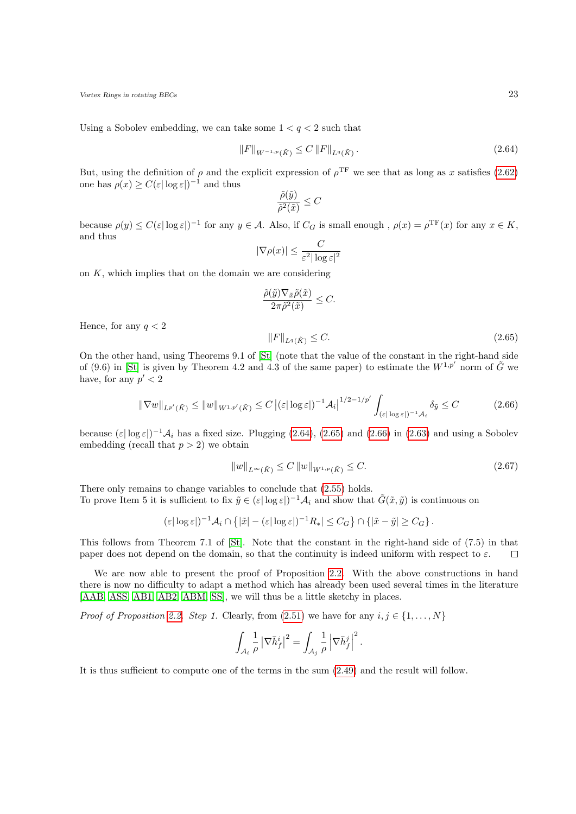Using a Sobolev embedding, we can take some  $1 < q < 2$  such that

$$
||F||_{W^{-1,p}(\tilde{K})} \le C ||F||_{L^{q}(\tilde{K})}. \tag{2.64}
$$

But, using the definition of  $\rho$  and the explicit expression of  $\rho^{\text{TF}}$  we see that as long as x satisfies [\(2.62\)](#page-21-2) one has  $\rho(x) \geq C(\varepsilon |\log \varepsilon|)^{-1}$  and thus

<span id="page-22-0"></span>
$$
\frac{\tilde{\rho}(\tilde{y})}{\tilde{\rho}^2(\tilde{x})} \le C
$$

because  $\rho(y) \leq C(\varepsilon |\log \varepsilon|)^{-1}$  for any  $y \in A$ . Also, if  $C_G$  is small enough,  $\rho(x) = \rho^{\mathrm{TF}}(x)$  for any  $x \in K$ , and thus

$$
|\nabla \rho(x)| \le \frac{C}{\varepsilon^2 |\log \varepsilon|^2}
$$

on  $K$ , which implies that on the domain we are considering

<span id="page-22-1"></span>
$$
\frac{\tilde{\rho}(\tilde{y})\nabla_{\tilde{x}}\tilde{\rho}(\tilde{x})}{2\pi\tilde{\rho}^2(\tilde{x})} \leq C.
$$
\n
$$
||F||_{L^q(\tilde{K})} \leq C.
$$
\n(2.65)

Hence, for any  $q < 2$ 

On the other hand, using Theorems 9.1 of [\[St\]](#page-53-10) (note that the value of the constant in the right-hand side of (9.6) in [\[St\]](#page-53-10) is given by Theorem 4.2 and 4.3 of the same paper) to estimate the  $W^{1,p'}$  norm of  $\tilde{G}$  we have, for any  $p' < 2$ 

<span id="page-22-2"></span>
$$
\|\nabla w\|_{L^{p'}(\tilde{K})} \le \|w\|_{W^{1,p'}(\tilde{K})} \le C \left| (\varepsilon |\log \varepsilon|)^{-1} \mathcal{A}_i \right|^{1/2 - 1/p'} \int_{(\varepsilon |\log \varepsilon|)^{-1} \mathcal{A}_i} \delta_{\tilde{y}} \le C \tag{2.66}
$$

because  $(\varepsilon |\log \varepsilon|)^{-1} A_i$  has a fixed size. Plugging [\(2.64\)](#page-22-0), [\(2.65\)](#page-22-1) and [\(2.66\)](#page-22-2) in [\(2.63\)](#page-21-3) and using a Sobolev embedding (recall that  $p > 2$ ) we obtain

$$
||w||_{L^{\infty}(\tilde{K})} \le C ||w||_{W^{1,p}(\tilde{K})} \le C. \tag{2.67}
$$

There only remains to change variables to conclude that [\(2.55\)](#page-21-4) holds.

To prove Item 5 it is sufficient to fix  $\tilde{y} \in (\varepsilon |\log \varepsilon|)^{-1} A_i$  and show that  $\tilde{G}(\tilde{x}, \tilde{y})$  is continuous on

$$
(\varepsilon |\log \varepsilon|)^{-1} \mathcal{A}_i \cap \left\{ |\tilde{x}| - (\varepsilon |\log \varepsilon|)^{-1} R_*| \leq C_G \right\} \cap \left\{ |\tilde{x} - \tilde{y}| \geq C_G \right\}.
$$

This follows from Theorem 7.1 of [\[St\]](#page-53-10). Note that the constant in the right-hand side of (7.5) in that paper does not depend on the domain, so that the continuity is indeed uniform with respect to  $\varepsilon$ .  $\Box$ 

We are now able to present the proof of Proposition [2.2.](#page-18-3) With the above constructions in hand there is now no difficulty to adapt a method which has already been used several times in the literature [\[AAB,](#page-52-15) [ASS,](#page-52-18) [AB1,](#page-52-13) [AB2,](#page-52-14) [ABM,](#page-52-11) [SS\]](#page-53-6), we will thus be a little sketchy in places.

*Proof of Proposition [2.2.](#page-18-3) Step 1.* Clearly, from  $(2.51)$  we have for any  $i, j \in \{1, ..., N\}$ 

$$
\int_{\mathcal{A}_i} \frac{1}{\rho} \left| \nabla \bar{h}_f^i \right|^2 = \int_{\mathcal{A}_j} \frac{1}{\rho} \left| \nabla \bar{h}_f^j \right|^2.
$$

It is thus sufficient to compute one of the terms in the sum [\(2.49\)](#page-20-1) and the result will follow.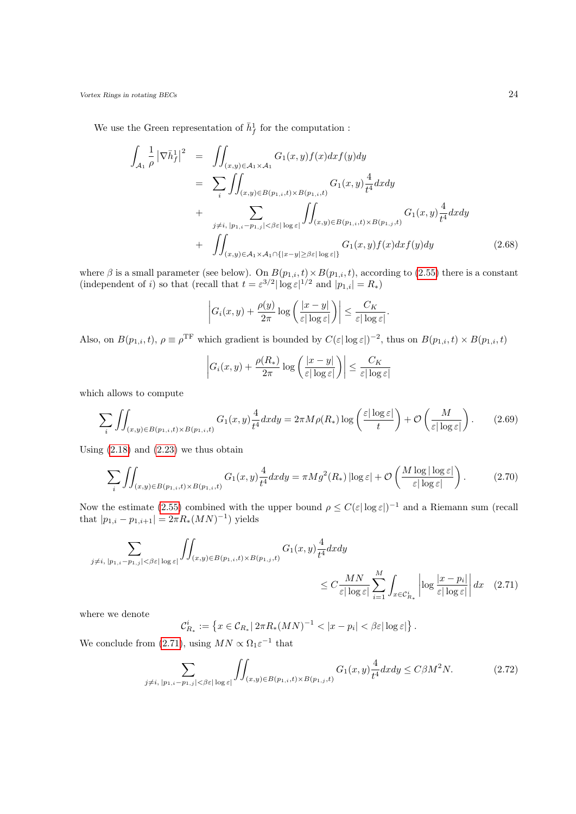We use the Green representation of  $\bar{h}_f^1$  for the computation :

<span id="page-23-1"></span>
$$
\int_{\mathcal{A}_{1}} \frac{1}{\rho} \left| \nabla \bar{h}_{f}^{1} \right|^{2} = \iint_{(x,y)\in\mathcal{A}_{1}\times\mathcal{A}_{1}} G_{1}(x,y)f(x)dx f(y)dy
$$
\n
$$
= \sum_{i} \iint_{(x,y)\in B(p_{1,i},t)\times B(p_{1,i},t)} G_{1}(x,y) \frac{4}{t^{4}} dx dy
$$
\n
$$
+ \sum_{j\neq i, |p_{1,i}-p_{1,j}|<\beta\varepsilon|\log\varepsilon|} \iint_{(x,y)\in B(p_{1,i},t)\times B(p_{1,j},t)} G_{1}(x,y) \frac{4}{t^{4}} dx dy
$$
\n
$$
+ \iint_{(x,y)\in\mathcal{A}_{1}\times\mathcal{A}_{1}\cap\{|x-y|\ge\beta\varepsilon|\log\varepsilon|\}} G_{1}(x,y)f(x) dx f(y) dy \qquad (2.68)
$$

where  $\beta$  is a small parameter (see below). On  $B(p_{1,i}, t) \times B(p_{1,i}, t)$ , according to [\(2.55\)](#page-21-4) there is a constant (independent of *i*) so that (recall that  $t = \varepsilon^{3/2} |\log \varepsilon|^{1/2}$  and  $|p_{1,i}| = R_*$ )

$$
\left| G_i(x,y) + \frac{\rho(y)}{2\pi} \log \left( \frac{|x-y|}{\varepsilon |\log \varepsilon|} \right) \right| \leq \frac{C_K}{\varepsilon |\log \varepsilon|}.
$$

Also, on  $B(p_{1,i}, t)$ ,  $\rho \equiv \rho^{\text{TF}}$  which gradient is bounded by  $C(\varepsilon |\log \varepsilon|)^{-2}$ , thus on  $B(p_{1,i}, t) \times B(p_{1,i}, t)$ 

$$
\left| G_i(x, y) + \frac{\rho(R_*)}{2\pi} \log \left( \frac{|x - y|}{\varepsilon |\log \varepsilon|} \right) \right| \le \frac{C_K}{\varepsilon |\log \varepsilon|}
$$

which allows to compute

$$
\sum_{i} \iint_{(x,y)\in B(p_{1,i},t)\times B(p_{1,i},t)} G_1(x,y) \frac{4}{t^4} dx dy = 2\pi M \rho(R_*) \log\left(\frac{\varepsilon |\log \varepsilon|}{t}\right) + \mathcal{O}\left(\frac{M}{\varepsilon |\log \varepsilon|}\right). \tag{2.69}
$$

Using  $(2.18)$  and  $(2.23)$  we thus obtain

$$
\sum_{i} \iint_{(x,y)\in B(p_{1,i},t)\times B(p_{1,i},t)} G_1(x,y) \frac{4}{t^4} dx dy = \pi M g^2(R_*) \left| \log \varepsilon \right| + \mathcal{O}\left(\frac{M \log |\log \varepsilon|}{\varepsilon |\log \varepsilon|}\right). \tag{2.70}
$$

Now the estimate [\(2.55\)](#page-21-4) combined with the upper bound  $\rho \leq C(\varepsilon |\log \varepsilon|)^{-1}$  and a Riemann sum (recall that  $|p_{1,i} - p_{1,i+1}| = 2\pi R_*(MN)^{-1}$  yields

$$
\sum_{j \neq i, |p_{1,i}-p_{1,j}| < \beta \varepsilon |\log \varepsilon|} \iint_{(x,y)\in B(p_{1,i},t)\times B(p_{1,j},t)} G_1(x,y) \frac{4}{t^4} dx dy
$$
\n
$$
\leq C \frac{MN}{\varepsilon |\log \varepsilon|} \sum_{i=1}^M \int_{x \in \mathcal{C}_{R_*}^i} \left| \log \frac{|x-p_i|}{\varepsilon |\log \varepsilon|} \right| dx \quad (2.71)
$$

where we denote

$$
\mathcal{C}_{R_*}^i := \left\{ x \in \mathcal{C}_{R_*} | 2\pi R_*(MN)^{-1} < |x - p_i| < \beta \varepsilon |\log \varepsilon| \right\}.
$$

We conclude from [\(2.71\)](#page-23-0), using  $MN \propto \Omega_1 \varepsilon^{-1}$  that

$$
\sum_{j \neq i, |p_{1,i} - p_{1,j}| < \beta \varepsilon |\log \varepsilon|} \iint_{(x,y) \in B(p_{1,i}, t) \times B(p_{1,j}, t)} G_1(x, y) \frac{4}{t^4} dx dy \le C \beta M^2 N. \tag{2.72}
$$

<span id="page-23-2"></span> $i=1$ 

<span id="page-23-0"></span> $x \in \mathcal{C}_{R_{*}}^{i}$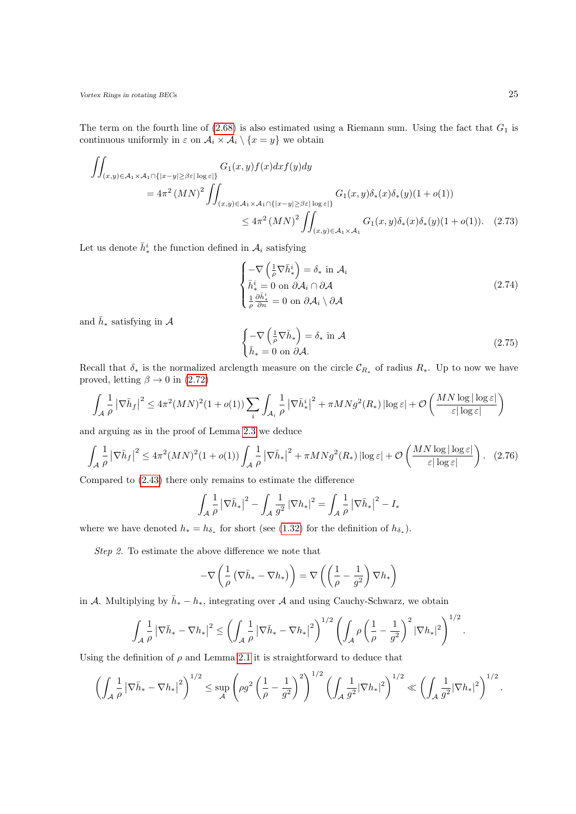The term on the fourth line of  $(2.68)$  is also estimated using a Riemann sum. Using the fact that  $G_1$  is continuous uniformly in  $\varepsilon$  on  $\mathcal{A}_i \times \mathcal{A}_i \setminus \{x = y\}$  we obtain

$$
\iint_{(x,y)\in\mathcal{A}_{1}\times\mathcal{A}_{1}\cap\{|x-y|\geq\beta\varepsilon|\log\varepsilon|\}} G_{1}(x,y)f(x)dx f(y)dy
$$
\n
$$
= 4\pi^{2} (MN)^{2} \iint_{(x,y)\in\mathcal{A}_{1}\times\mathcal{A}_{1}\cap\{|x-y|\geq\beta\varepsilon|\log\varepsilon|\}} G_{1}(x,y)\delta_{*}(x)\delta_{*}(y)(1+o(1))
$$
\n
$$
\leq 4\pi^{2} (MN)^{2} \iint_{(x,y)\in\mathcal{A}_{1}\times\mathcal{A}_{1}} G_{1}(x,y)\delta_{*}(x)\delta_{*}(y)(1+o(1)). \quad (2.73)
$$

Let us denote  $\bar{h}_{*}^{i}$  the function defined in  $A_{i}$  satisfying

$$
\begin{cases}\n-\nabla \left(\frac{1}{\rho} \nabla \bar{h}_*^i\right) = \delta_* \text{ in } \mathcal{A}_i \\
\bar{h}_*^i = 0 \text{ on } \partial \mathcal{A}_i \cap \partial \mathcal{A} \\
\frac{1}{\rho} \frac{\partial \bar{h}_*^i}{\partial n} = 0 \text{ on } \partial \mathcal{A}_i \setminus \partial \mathcal{A}\n\end{cases}
$$
\n(2.74)

and  $\bar{h}_*$  satisfying in  $\mathcal A$ 

<span id="page-24-0"></span>
$$
\begin{cases}\n-\nabla \left(\frac{1}{\rho} \nabla \bar{h}_*\right) = \delta_* \text{ in } \mathcal{A} \\
\bar{h}_* = 0 \text{ on } \partial \mathcal{A}.\n\end{cases}
$$
\n(2.75)

Recall that  $\delta_*$  is the normalized arclength measure on the circle  $\mathcal{C}_{R_*}$  of radius  $R_*$ . Up to now we have proved, letting  $\beta \to 0$  in [\(2.72\)](#page-23-2)

$$
\int_A \frac{1}{\rho} \left| \nabla \bar{h}_f \right|^2 \le 4\pi^2 (MN)^2 (1+o(1)) \sum_i \int_{\mathcal{A}_i} \frac{1}{\rho} \left| \nabla \bar{h}_*^i \right|^2 + \pi MNg^2(R_*) \left| \log \varepsilon \right| + \mathcal{O}\left(\frac{MN \log |\log \varepsilon|}{\varepsilon |\log \varepsilon|}\right)
$$

and arguing as in the proof of Lemma [2.3](#page-19-2) we deduce

$$
\int_{\mathcal{A}} \frac{1}{\rho} \left| \nabla \bar{h}_f \right|^2 \le 4\pi^2 (MN)^2 (1 + o(1)) \int_{\mathcal{A}} \frac{1}{\rho} \left| \nabla \bar{h}_* \right|^2 + \pi MNg^2(R_*) \left| \log \varepsilon \right| + \mathcal{O}\left(\frac{MN \log |\log \varepsilon|}{\varepsilon |\log \varepsilon|}\right). \tag{2.76}
$$

Compared to [\(2.43\)](#page-18-5) there only remains to estimate the difference

$$
\int_{\mathcal{A}} \frac{1}{\rho} \left| \nabla \bar{h}_* \right|^2 - \int_{\mathcal{A}} \frac{1}{g^2} \left| \nabla h_* \right|^2 = \int_{\mathcal{A}} \frac{1}{\rho} \left| \nabla \bar{h}_* \right|^2 - I_*
$$

where we have denoted  $h_* = h_{\delta_*}$  for short (see [\(1.32\)](#page-7-3) for the definition of  $h_{\delta_*}$ ).

Step 2. To estimate the above difference we note that

$$
-\nabla\left(\frac{1}{\rho}\left(\nabla\bar{h}_*-\nabla h_*\right)\right)=\nabla\left(\left(\frac{1}{\rho}-\frac{1}{g^2}\right)\nabla h_*\right)
$$

in A. Multiplying by  $\bar{h}_* - h_*$ , integrating over A and using Cauchy-Schwarz, we obtain

$$
\int_A \frac{1}{\rho} \left| \nabla \bar{h}_* - \nabla h_* \right|^2 \le \left( \int_A \frac{1}{\rho} \left| \nabla \bar{h}_* - \nabla h_* \right|^2 \right)^{1/2} \left( \int_A \rho \left( \frac{1}{\rho} - \frac{1}{g^2} \right)^2 |\nabla h_*|^2 \right)^{1/2}.
$$

Using the definition of  $\rho$  and Lemma [2.1](#page-15-0) it is straightforward to deduce that

$$
\left(\int_A \frac{1}{\rho} \left|\nabla \bar{h}_* - \nabla h_*\right|^2\right)^{1/2} \leq \sup_{\mathcal{A}} \left(\rho g^2 \left(\frac{1}{\rho} - \frac{1}{g^2}\right)^2\right)^{1/2} \left(\int_A \frac{1}{g^2} |\nabla h_*|^2\right)^{1/2} \ll \left(\int_A \frac{1}{g^2} |\nabla h_*|^2\right)^{1/2}.
$$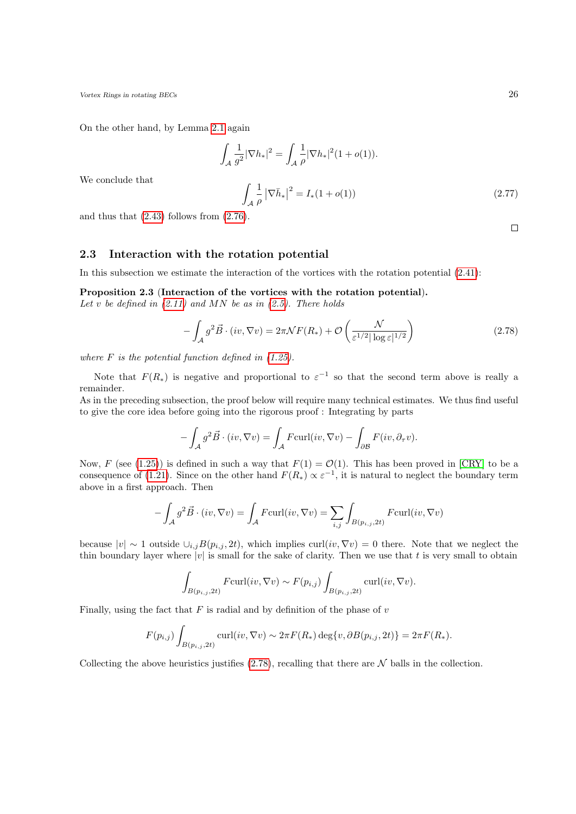On the other hand, by Lemma [2.1](#page-15-0) again

$$
\int_{\mathcal{A}} \frac{1}{g^2} |\nabla h_*|^2 = \int_{\mathcal{A}} \frac{1}{\rho} |\nabla h_*|^2 (1 + o(1)).
$$
\n
$$
\int_{\mathcal{A}} \frac{1}{\rho} |\nabla \bar{h}_*|^2 = I_*(1 + o(1)) \tag{2.77}
$$

We conclude that

and thus that  $(2.43)$  follows from  $(2.76)$ .

#### <span id="page-25-0"></span>2.3 Interaction with the rotation potential

In this subsection we estimate the interaction of the vortices with the rotation potential [\(2.41\)](#page-18-7):

<span id="page-25-1"></span>Proposition 2.3 (Interaction of the vortices with the rotation potential).

Let v be defined in  $(2.11)$  and MN be as in  $(2.5)$ . There holds

<span id="page-25-2"></span>
$$
-\int_{\mathcal{A}} g^2 \vec{B} \cdot (iv, \nabla v) = 2\pi \mathcal{N} F(R_*) + \mathcal{O}\left(\frac{\mathcal{N}}{\varepsilon^{1/2} |\log \varepsilon|^{1/2}}\right)
$$
(2.78)

where  $F$  is the potential function defined in  $(1.25)$ .

Note that  $F(R_*)$  is negative and proportional to  $\varepsilon^{-1}$  so that the second term above is really a remainder.

As in the preceding subsection, the proof below will require many technical estimates. We thus find useful to give the core idea before going into the rigorous proof : Integrating by parts

$$
-\int_{\mathcal{A}} g^2 \vec{B} \cdot (iv, \nabla v) = \int_{\mathcal{A}} F \text{curl}(iv, \nabla v) - \int_{\partial \mathcal{B}} F(iv, \partial_{\tau} v).
$$

Now, F (see [\(1.25\)](#page-5-3)) is defined in such a way that  $F(1) = \mathcal{O}(1)$ . This has been proved in [\[CRY\]](#page-52-7) to be a consequence of [\(1.21\)](#page-4-1). Since on the other hand  $F(R_*) \propto \varepsilon^{-1}$ , it is natural to neglect the boundary term above in a first approach. Then

$$
-\int_{\mathcal{A}} g^2 \vec{B} \cdot (iv, \nabla v) = \int_{\mathcal{A}} F \text{curl}(iv, \nabla v) = \sum_{i,j} \int_{B(p_{i,j}, 2t)} F \text{curl}(iv, \nabla v)
$$

because  $|v| \sim 1$  outside  $\cup_{i,j} B(p_{i,j}, 2t)$ , which implies curl $(iv, \nabla v) = 0$  there. Note that we neglect the thin boundary layer where  $|v|$  is small for the sake of clarity. Then we use that t is very small to obtain

$$
\int_{B(p_{i,j},2t)} F \text{curl}(iv, \nabla v) \sim F(p_{i,j}) \int_{B(p_{i,j},2t)} \text{curl}(iv, \nabla v).
$$

Finally, using the fact that  $F$  is radial and by definition of the phase of  $v$ 

$$
F(p_{i,j}) \int_{B(p_{i,j}, 2t)} \text{curl}(iv, \nabla v) \sim 2\pi F(R_*) \deg\{v, \partial B(p_{i,j}, 2t)\} = 2\pi F(R_*).
$$

Collecting the above heuristics justifies  $(2.78)$ , recalling that there are N balls in the collection.

 $\Box$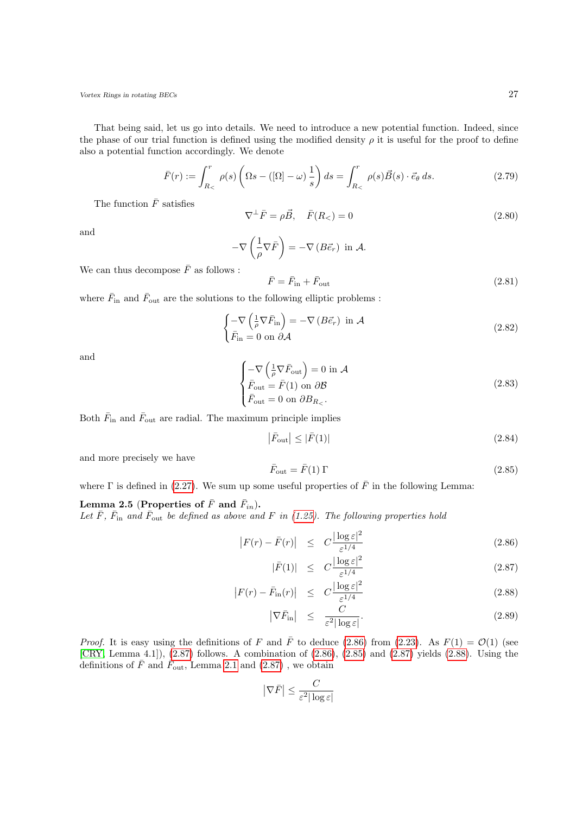That being said, let us go into details. We need to introduce a new potential function. Indeed, since the phase of our trial function is defined using the modified density  $\rho$  it is useful for the proof to define also a potential function accordingly. We denote

$$
\bar{F}(r) := \int_{R_{<}}^{r} \rho(s) \left( \Omega s - \left( [\Omega] - \omega \right) \frac{1}{s} \right) ds = \int_{R_{<}}^{r} \rho(s) \vec{B}(s) \cdot \vec{e}_{\theta} ds. \tag{2.79}
$$

The function  $\bar{F}$  satisfies

<span id="page-26-3"></span>
$$
\nabla^{\perp}\bar{F} = \rho \vec{B}, \quad \bar{F}(R_<) = 0 \tag{2.80}
$$

and

$$
-\nabla\left(\frac{1}{\rho}\nabla\bar{F}\right)=-\nabla\left(B\vec{e}_r\right) \text{ in } \mathcal{A}.
$$
 We can thus decompose  $\bar{F}$  as follows :

<span id="page-26-2"></span> $\bar{F} = \bar{F}_{\rm in} + \bar{F}$  $(2.81)$ 

where  $\bar{F}_{\rm in}$  and  $\bar{F}_{\rm out}$  are the solutions to the following elliptic problems :

$$
\begin{cases}\n-\nabla \left(\frac{1}{\rho} \nabla \bar{F}_{\text{in}}\right) = -\nabla \left(B \vec{e}_r\right) \text{ in } \mathcal{A} \\
\bar{F}_{\text{in}} = 0 \text{ on } \partial \mathcal{A}\n\end{cases}
$$
\n(2.82)

and

$$
\begin{cases}\n-\nabla \left(\frac{1}{\rho} \nabla \bar{F}_{\text{out}}\right) = 0 \text{ in } \mathcal{A} \\
\bar{F}_{\text{out}} = \bar{F}(1) \text{ on } \partial \mathcal{B} \\
\bar{F}_{\text{out}} = 0 \text{ on } \partial B_{R_{\leq}}.\n\end{cases}
$$
\n(2.83)

Both  $\bar{F}_{\text{in}}$  and  $\bar{F}_{\text{out}}$  are radial. The maximum principle implies

$$
\left|\bar{F}_{\text{out}}\right| \leq \left|\bar{F}(1)\right| \tag{2.84}
$$

and more precisely we have

<span id="page-26-1"></span>
$$
\bar{F}_{\text{out}} = \bar{F}(1) \Gamma \tag{2.85}
$$

where  $\Gamma$  is defined in [\(2.27\)](#page-15-4). We sum up some useful properties of  $\overline{F}$  in the following Lemma:

## Lemma 2.5 (Properties of  $\bar{F}$  and  $\bar{F}_{in}$ ).

Let  $\bar{F}$ ,  $\bar{F}_{\text{in}}$  and  $\bar{F}_{\text{out}}$  be defined as above and F in [\(1.25\)](#page-5-3). The following properties hold

<span id="page-26-0"></span>
$$
\left| F(r) - \bar{F}(r) \right| \leq C \frac{|\log \varepsilon|^2}{\varepsilon^{1/4}} \tag{2.86}
$$

$$
|\bar{F}(1)| \leq C \frac{|\log \varepsilon|^2}{\varepsilon^{1/4}} \tag{2.87}
$$

$$
\left| F(r) - \bar{F}_{\text{in}}(r) \right| \leq C \frac{|\log \varepsilon|^2}{\varepsilon^{1/4}} \tag{2.88}
$$

$$
\left| \nabla \bar{F}_{\text{in}} \right| \leq \frac{C}{\varepsilon^2 |\log \varepsilon|}. \tag{2.89}
$$

*Proof.* It is easy using the definitions of F and  $\overline{F}$  to deduce [\(2.86\)](#page-26-0) from [\(2.23\)](#page-15-3). As  $F(1) = \mathcal{O}(1)$  (see [\[CRY,](#page-52-7) Lemma 4.1]), [\(2.87\)](#page-26-0) follows. A combination of [\(2.86\)](#page-26-0), [\(2.85\)](#page-26-1) and [\(2.87\)](#page-26-0) yields [\(2.88\)](#page-26-0). Using the definitions of  $\bar{F}$  and  $\dot{\bar{F}}_{\text{out}}$ , Lemma [2.1](#page-15-0) and [\(2.87\)](#page-26-0), we obtain

$$
\left|\nabla \bar{F}\right| \leq \frac{C}{\varepsilon^2 |\log \varepsilon|}
$$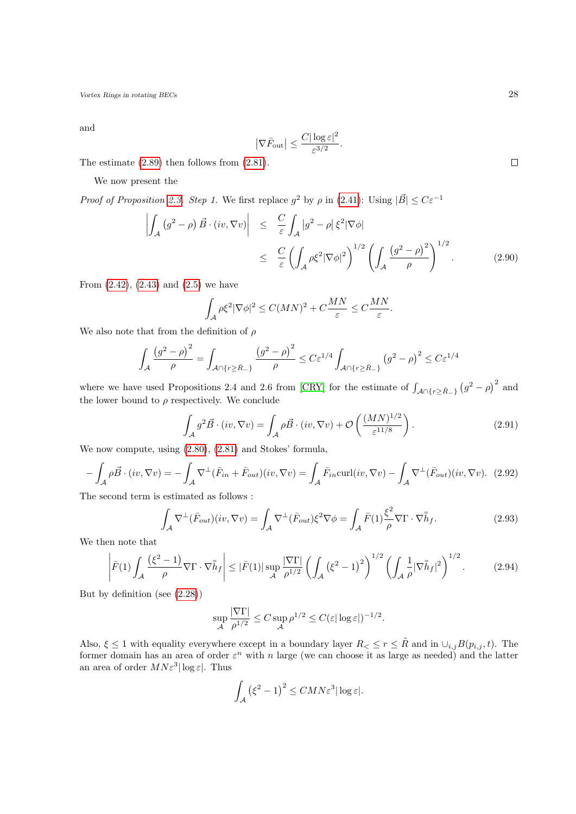and

$$
\left|\nabla \bar{F}_{\text{out}}\right| \leq \frac{C|\log \varepsilon|^2}{\varepsilon^{3/2}}.
$$

The estimate [\(2.89\)](#page-26-0) then follows from [\(2.81\)](#page-26-2).

We now present the

*Proof of Proposition [2.3.](#page-25-1) Step 1.* We first replace  $g^2$  by  $\rho$  in [\(2.41\)](#page-18-7): Using  $|\vec{B}| \leq C\varepsilon^{-1}$ 

$$
\left| \int_{\mathcal{A}} \left( g^2 - \rho \right) \vec{B} \cdot (iv, \nabla v) \right| \leq \frac{C}{\varepsilon} \int_{\mathcal{A}} \left| g^2 - \rho \right| \xi^2 |\nabla \phi|
$$
\n
$$
\leq \frac{C}{\varepsilon} \left( \int_{\mathcal{A}} \rho \xi^2 |\nabla \phi|^2 \right)^{1/2} \left( \int_{\mathcal{A}} \frac{\left( g^2 - \rho \right)^2}{\rho} \right)^{1/2} . \tag{2.90}
$$

From  $(2.42)$ ,  $(2.43)$  and  $(2.5)$  we have

$$
\int_{\mathcal{A}}\rho\xi^2|\nabla\phi|^2\leq C(MN)^2+C\frac{MN}{\varepsilon}\leq C\frac{MN}{\varepsilon}.
$$

We also note that from the definition of  $\rho$ 

$$
\int_{\mathcal{A}} \frac{\left(g^2 - \rho\right)^2}{\rho} = \int_{\mathcal{A} \cap \{r \ge \bar{R}_-\}} \frac{\left(g^2 - \rho\right)^2}{\rho} \le C \varepsilon^{1/4} \int_{\mathcal{A} \cap \{r \ge \bar{R}_-\}} \left(g^2 - \rho\right)^2 \le C \varepsilon^{1/4}
$$

where we have used Propositions 2.4 and 2.6 from [\[CRY\]](#page-52-7) for the estimate of  $\int_{A \cap \{r \geq \bar{R}-\}} (g^2 - \rho)^2$  and the lower bound to  $\rho$  respectively. We conclude

<span id="page-27-1"></span>
$$
\int_{\mathcal{A}} g^2 \vec{B} \cdot (iv, \nabla v) = \int_{\mathcal{A}} \rho \vec{B} \cdot (iv, \nabla v) + \mathcal{O}\left(\frac{(MN)^{1/2}}{\varepsilon^{11/8}}\right). \tag{2.91}
$$

We now compute, using [\(2.80\)](#page-26-3), [\(2.81\)](#page-26-2) and Stokes' formula,

$$
-\int_{\mathcal{A}} \rho \vec{B} \cdot (iv, \nabla v) = -\int_{\mathcal{A}} \nabla^{\perp} (\bar{F}_{in} + \bar{F}_{out})(iv, \nabla v) = \int_{\mathcal{A}} \bar{F}_{in} \operatorname{curl}(iv, \nabla v) - \int_{\mathcal{A}} \nabla^{\perp} (\bar{F}_{out})(iv, \nabla v). \tag{2.92}
$$

The second term is estimated as follows :

<span id="page-27-0"></span>
$$
\int_{\mathcal{A}} \nabla^{\perp} (\bar{F}_{out})(iv, \nabla v) = \int_{\mathcal{A}} \nabla^{\perp} (\bar{F}_{out}) \xi^{2} \nabla \phi = \int_{\mathcal{A}} \bar{F}(1) \frac{\xi^{2}}{\rho} \nabla \Gamma \cdot \nabla \bar{h}_{f}.
$$
\n(2.93)

We then note that

$$
\left| \bar{F}(1) \int_{\mathcal{A}} \frac{\left(\xi^2 - 1\right)}{\rho} \nabla \Gamma \cdot \nabla \bar{h}_f \right| \leq \left| \bar{F}(1) \right| \sup_{\mathcal{A}} \frac{|\nabla \Gamma|}{\rho^{1/2}} \left( \int_{\mathcal{A}} \left(\xi^2 - 1\right)^2 \right)^{1/2} \left( \int_{\mathcal{A}} \frac{1}{\rho} |\nabla \bar{h}_f|^2 \right)^{1/2} . \tag{2.94}
$$

But by definition (see [\(2.28\)](#page-15-5))

$$
\sup_{\mathcal{A}} \frac{|\nabla \Gamma|}{\rho^{1/2}} \leq C \sup_{\mathcal{A}} \rho^{1/2} \leq C (\varepsilon |\log \varepsilon|)^{-1/2}.
$$

Also,  $\xi \leq 1$  with equality everywhere except in a boundary layer  $R_{\leq} \leq r \leq \tilde{R}$  and in  $\cup_{i,j} B(p_{i,j}, t)$ . The former domain has an area of order  $\varepsilon^n$  with n large (we can choose it as large as needed) and the latter an area of order  $MN\varepsilon^3|\log\varepsilon|$ . Thus

$$
\int_{\mathcal{A}} \left(\xi^2 - 1\right)^2 \le CMN\varepsilon^3 |\log \varepsilon|.
$$

 $\Box$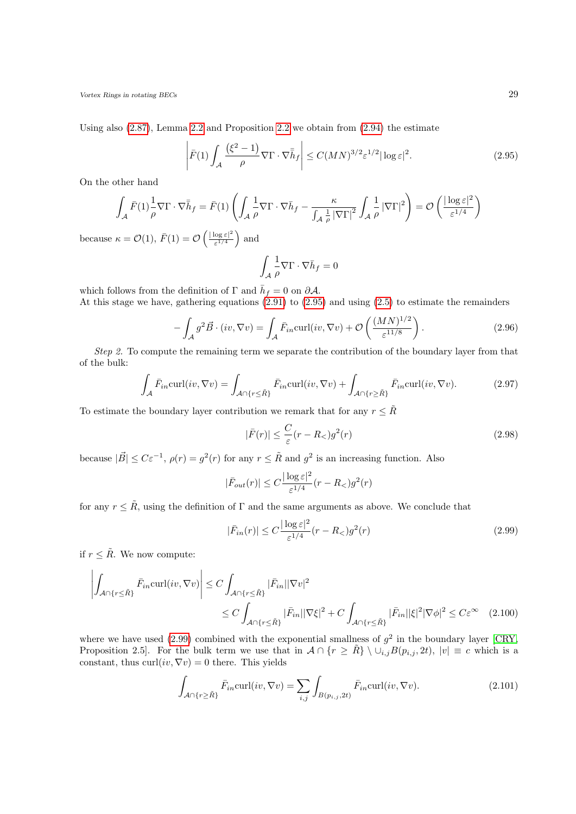Using also [\(2.87\)](#page-26-0), Lemma [2.2](#page-15-1) and Proposition [2.2](#page-18-3) we obtain from [\(2.94\)](#page-27-0) the estimate

$$
\left| \bar{F}(1) \int_{\mathcal{A}} \frac{\left(\xi^2 - 1\right)}{\rho} \nabla \Gamma \cdot \nabla \bar{h}_f \right| \le C (MN)^{3/2} \varepsilon^{1/2} |\log \varepsilon|^2. \tag{2.95}
$$

On the other hand

$$
\int_{\mathcal{A}} \bar{F}(1) \frac{1}{\rho} \nabla \Gamma \cdot \nabla \bar{h}_f = \bar{F}(1) \left( \int_{\mathcal{A}} \frac{1}{\rho} \nabla \Gamma \cdot \nabla \bar{h}_f - \frac{\kappa}{\int_{\mathcal{A}} \frac{1}{\rho} |\nabla \Gamma|^2} \int_{\mathcal{A}} \frac{1}{\rho} |\nabla \Gamma|^2 \right) = \mathcal{O} \left( \frac{|\log \varepsilon|^2}{\varepsilon^{1/4}} \right)
$$
  
because  $\kappa = \mathcal{O}(1)$ ,  $\bar{F}(1) = \mathcal{O} \left( \frac{|\log \varepsilon|^2}{\varepsilon^{1/4}} \right)$  and  

$$
\int_{\mathcal{A}} \frac{1}{\rho} \nabla \Gamma \cdot \nabla \bar{h}_f = 0
$$

which follows from the definition of  $\Gamma$  and  $\bar{h}_f = 0$  on  $\partial A$ .

<span id="page-28-2"></span><span id="page-28-0"></span>A

At this stage we have, gathering equations  $(2.91)$  to  $(2.95)$  and using  $(2.5)$  to estimate the remainders

$$
-\int_{\mathcal{A}} g^2 \vec{B} \cdot (iv, \nabla v) = \int_{\mathcal{A}} \bar{F}_{in} \text{curl}(iv, \nabla v) + \mathcal{O}\left(\frac{(MN)^{1/2}}{\varepsilon^{11/8}}\right). \tag{2.96}
$$

Step 2. To compute the remaining term we separate the contribution of the boundary layer from that of the bulk:

<span id="page-28-3"></span>
$$
\int_{\mathcal{A}} \bar{F}_{in} \operatorname{curl}(iv, \nabla v) = \int_{\mathcal{A} \cap \{r \leq \tilde{R}\}} \bar{F}_{in} \operatorname{curl}(iv, \nabla v) + \int_{\mathcal{A} \cap \{r \geq \tilde{R}\}} \bar{F}_{in} \operatorname{curl}(iv, \nabla v).
$$
\n(2.97)

To estimate the boundary layer contribution we remark that for any  $r \leq \tilde{R}$ 

<span id="page-28-1"></span>
$$
|\bar{F}(r)| \le \frac{C}{\varepsilon}(r - R_<)g^2(r)
$$
\n(2.98)

because  $|\vec{B}| \leq C\varepsilon^{-1}$ ,  $\rho(r) = g^2(r)$  for any  $r \leq \tilde{R}$  and  $g^2$  is an increasing function. Also

$$
|\bar{F}_{out}(r)| \le C \frac{|\log \varepsilon|^2}{\varepsilon^{1/4}} (r - R_<) g^2(r)
$$

for any  $r \leq \tilde{R}$ , using the definition of  $\Gamma$  and the same arguments as above. We conclude that

<span id="page-28-4"></span>
$$
|\bar{F}_{in}(r)| \le C \frac{|\log \varepsilon|^2}{\varepsilon^{1/4}} (r - R_<) g^2(r)
$$
\n(2.99)

if  $r \leq \tilde{R}$ . We now compute:

$$
\left| \int_{\mathcal{A} \cap \{r \leq \tilde{R}\}} \bar{F}_{in} \text{curl}(iv, \nabla v) \right| \leq C \int_{\mathcal{A} \cap \{r \leq \tilde{R}\}} |\bar{F}_{in}| |\nabla v|^{2} \leq C \int_{\mathcal{A} \cap \{r \leq \tilde{R}\}} |\bar{F}_{in}| |\nabla \xi|^{2} + C \int_{\mathcal{A} \cap \{r \leq \tilde{R}\}} |\bar{F}_{in}| |\xi|^{2} |\nabla \phi|^{2} \leq C \varepsilon^{\infty} \quad (2.100)
$$

where we have used  $(2.99)$  combined with the exponential smallness of  $g^2$  in the boundary layer [\[CRY,](#page-52-7) Proposition 2.5]. For the bulk term we use that in  $\mathcal{A} \cap \{r \geq \tilde{R}\}\setminus \cup_{i,j}B(p_{i,j}, 2t), |v| \equiv c$  which is a constant, thus curl( $iv, \nabla v$ ) = 0 there. This yields

$$
\int_{\mathcal{A}\cap\{r\geq\tilde{R}\}} \bar{F}_{in} \operatorname{curl}(iv, \nabla v) = \sum_{i,j} \int_{B(p_{i,j}, 2t)} \bar{F}_{in} \operatorname{curl}(iv, \nabla v).
$$
\n(2.101)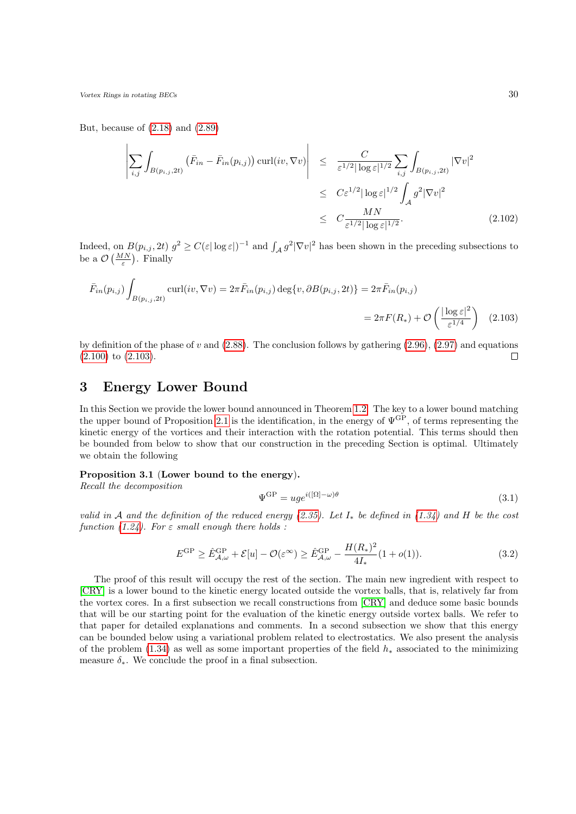But, because of  $(2.18)$  and  $(2.89)$ 

$$
\left| \sum_{i,j} \int_{B(p_{i,j}, 2t)} \left( \bar{F}_{in} - \bar{F}_{in}(p_{i,j}) \right) \operatorname{curl}(iv, \nabla v) \right| \leq \frac{C}{\varepsilon^{1/2} |\log \varepsilon|^{1/2}} \sum_{i,j} \int_{B(p_{i,j}, 2t)} |\nabla v|^2
$$
  

$$
\leq C \varepsilon^{1/2} |\log \varepsilon|^{1/2} \int_{\mathcal{A}} g^2 |\nabla v|^2
$$
  

$$
\leq C \frac{MN}{\varepsilon^{1/2} |\log \varepsilon|^{1/2}}.
$$
 (2.102)

Indeed, on  $B(p_{i,j}, 2t)$   $g^2 \geq C(\varepsilon |\log \varepsilon|)^{-1}$  and  $\int_{\mathcal{A}} g^2 |\nabla v|^2$  has been shown in the preceding subsections to be a  $\mathcal{O}\left(\frac{MN}{\varepsilon}\right)$ . Finally

$$
\bar{F}_{in}(p_{i,j})\int_{B(p_{i,j},2t)}\text{curl}(iv,\nabla v)=2\pi\bar{F}_{in}(p_{i,j})\deg\{v,\partial B(p_{i,j},2t)\}=2\pi\bar{F}_{in}(p_{i,j})
$$
\n
$$
=2\pi F(R_*)+\mathcal{O}\left(\frac{|\log \varepsilon|^2}{\varepsilon^{1/4}}\right) \quad (2.103)
$$

by definition of the phase of v and  $(2.88)$ . The conclusion follows by gathering  $(2.96)$ ,  $(2.97)$  and equations [\(2.100\)](#page-28-4) to [\(2.103\)](#page-29-2).  $\Box$ 

## <span id="page-29-0"></span>3 Energy Lower Bound

In this Section we provide the lower bound announced in Theorem [1.2.](#page-7-4) The key to a lower bound matching the upper bound of Proposition [2.1](#page-12-2) is the identification, in the energy of  $\Psi^{\text{GP}}$ , of terms representing the kinetic energy of the vortices and their interaction with the rotation potential. This terms should then be bounded from below to show that our construction in the preceding Section is optimal. Ultimately we obtain the following

#### <span id="page-29-1"></span>Proposition 3.1 (Lower bound to the energy).

Recall the decomposition

<span id="page-29-3"></span><span id="page-29-2"></span>
$$
\Psi^{\rm GP} = u g e^{i([\Omega] - \omega)\theta} \tag{3.1}
$$

valid in A and the definition of the reduced energy [\(2.35\)](#page-17-2). Let  $I_*$  be defined in [\(1.34\)](#page-7-1) and H be the cost function [\(1.24\)](#page-5-0). For  $\varepsilon$  small enough there holds :

$$
E^{\rm GP} \ge \hat{E}_{\mathcal{A},\omega}^{\rm GP} + \mathcal{E}[u] - \mathcal{O}(\varepsilon^{\infty}) \ge \hat{E}_{\mathcal{A},\omega}^{\rm GP} - \frac{H(R_*)^2}{4I_*} (1 + o(1)). \tag{3.2}
$$

The proof of this result will occupy the rest of the section. The main new ingredient with respect to [\[CRY\]](#page-52-7) is a lower bound to the kinetic energy located outside the vortex balls, that is, relatively far from the vortex cores. In a first subsection we recall constructions from [\[CRY\]](#page-52-7) and deduce some basic bounds that will be our starting point for the evaluation of the kinetic energy outside vortex balls. We refer to that paper for detailed explanations and comments. In a second subsection we show that this energy can be bounded below using a variational problem related to electrostatics. We also present the analysis of the problem [\(1.34\)](#page-7-1) as well as some important properties of the field  $h_*$  associated to the minimizing measure  $\delta_*$ . We conclude the proof in a final subsection.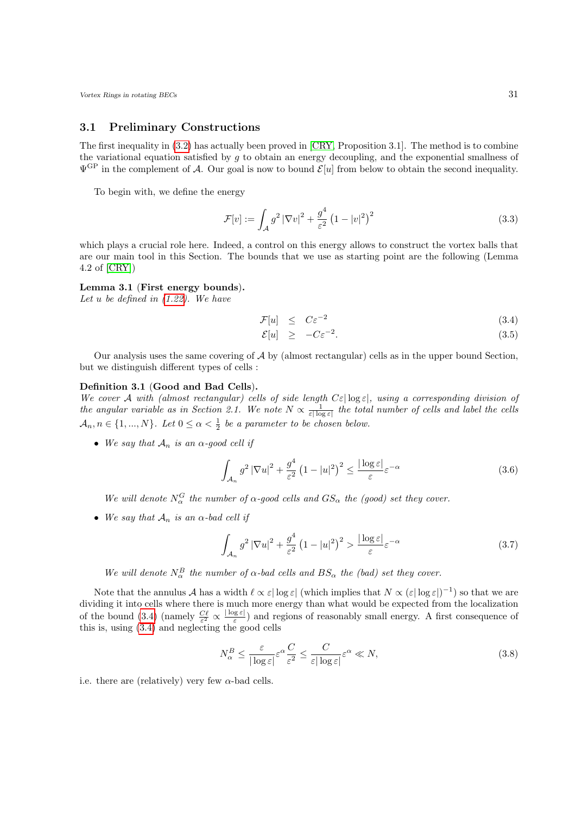### <span id="page-30-0"></span>3.1 Preliminary Constructions

The first inequality in [\(3.2\)](#page-29-3) has actually been proved in [\[CRY,](#page-52-7) Proposition 3.1]. The method is to combine the variational equation satisfied by g to obtain an energy decoupling, and the exponential smallness of  $\Psi^{\text{GP}}$  in the complement of A. Our goal is now to bound  $\mathcal{E}[u]$  from below to obtain the second inequality.

To begin with, we define the energy

$$
\mathcal{F}[v] := \int_{\mathcal{A}} g^2 |\nabla v|^2 + \frac{g^4}{\varepsilon^2} \left(1 - |v|^2\right)^2 \tag{3.3}
$$

which plays a crucial role here. Indeed, a control on this energy allows to construct the vortex balls that are our main tool in this Section. The bounds that we use as starting point are the following (Lemma 4.2 of [\[CRY\]](#page-52-7))

#### Lemma 3.1 (First energy bounds).

Let u be defined in  $(1.22)$ . We have

$$
\mathcal{F}[u] \quad \leq \quad C\varepsilon^{-2} \tag{3.4}
$$

<span id="page-30-1"></span>
$$
\mathcal{E}[u] \quad \geq \quad -C\varepsilon^{-2}.\tag{3.5}
$$

Our analysis uses the same covering of  $\mathcal A$  by (almost rectangular) cells as in the upper bound Section, but we distinguish different types of cells :

#### <span id="page-30-3"></span>Definition 3.1 (Good and Bad Cells).

We cover A with (almost rectangular) cells of side length  $C\varepsilon|\log\varepsilon|$ , using a corresponding division of the angular variable as in Section 2.1. We note  $N \propto \frac{1}{\varepsilon |\log \varepsilon|}$  the total number of cells and label the cells  $\mathcal{A}_n, n \in \{1, ..., N\}$ . Let  $0 \leq \alpha < \frac{1}{2}$  be a parameter to be chosen below.

• We say that  $A_n$  is an  $\alpha$ -good cell if

$$
\int_{\mathcal{A}_n} g^2 \left| \nabla u \right|^2 + \frac{g^4}{\varepsilon^2} \left( 1 - |u|^2 \right)^2 \le \frac{|\log \varepsilon|}{\varepsilon} \varepsilon^{-\alpha} \tag{3.6}
$$

We will denote  $N_{\alpha}^{G}$  the number of  $\alpha$ -good cells and  $GS_{\alpha}$  the (good) set they cover.

• We say that  $\mathcal{A}_n$  is an  $\alpha$ -bad cell if

$$
\int_{\mathcal{A}_n} g^2 \left| \nabla u \right|^2 + \frac{g^4}{\varepsilon^2} \left( 1 - |u|^2 \right)^2 > \frac{\left| \log \varepsilon \right|}{\varepsilon} \varepsilon^{-\alpha} \tag{3.7}
$$

We will denote  $N_{\alpha}^{B}$  the number of  $\alpha$ -bad cells and  $BS_{\alpha}$  the (bad) set they cover.

Note that the annulus A has a width  $\ell \propto \varepsilon |\log \varepsilon|$  (which implies that  $N \propto (\varepsilon |\log \varepsilon|)^{-1}$ ) so that we are dividing it into cells where there is much more energy than what would be expected from the localization of the bound [\(3.4\)](#page-30-1) (namely  $\frac{C\ell}{\varepsilon^2} \propto \frac{|\log \varepsilon|}{\varepsilon}$  $\frac{\log \varepsilon_1}{\varepsilon_2}$  and regions of reasonably small energy. A first consequence of this is, using [\(3.4\)](#page-30-1) and neglecting the good cells

<span id="page-30-2"></span>
$$
N_{\alpha}^{B} \le \frac{\varepsilon}{|\log \varepsilon|} \varepsilon^{\alpha} \frac{C}{\varepsilon^{2}} \le \frac{C}{\varepsilon |\log \varepsilon|} \varepsilon^{\alpha} \ll N,
$$
\n(3.8)

i.e. there are (relatively) very few  $\alpha$ -bad cells.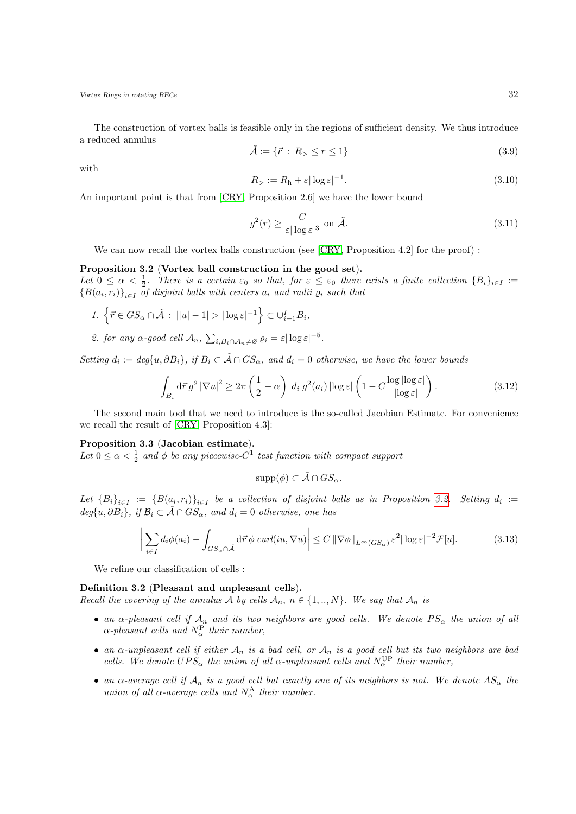<span id="page-31-2"></span>The construction of vortex balls is feasible only in the regions of sufficient density. We thus introduce a reduced annulus

$$
\tilde{\mathcal{A}} := \{ \vec{r} \, : \, R_{>} \le r \le 1 \} \tag{3.9}
$$

with

$$
R_{>} := R_{\rm h} + \varepsilon |\log \varepsilon|^{-1}.
$$
\n(3.10)

An important point is that from [\[CRY,](#page-52-7) Proposition 2.6] we have the lower bound

$$
g^2(r) \ge \frac{C}{\varepsilon |\log \varepsilon|^3} \text{ on } \tilde{\mathcal{A}}.\tag{3.11}
$$

We can now recall the vortex balls construction (see [\[CRY,](#page-52-7) Proposition 4.2] for the proof) :

#### <span id="page-31-0"></span>Proposition 3.2 (Vortex ball construction in the good set).

Let  $0 \leq \alpha < \frac{1}{2}$ . There is a certain  $\varepsilon_0$  so that, for  $\varepsilon \leq \varepsilon_0$  there exists a finite collection  $\{B_i\}_{i\in I}$  :=  ${B(a_i,r_i)}_{i\in I}$  of disjoint balls with centers  $a_i$  and radii  $\varrho_i$  such that

- 1.  $\left\{ \vec{r} \in GS_{\alpha} \cap \tilde{\mathcal{A}} : ||u| 1| > |\log \varepsilon|^{-1} \right\} \subset \cup_{i=1}^{I} B_{i},$
- 2. for any  $\alpha$ -good cell  $\mathcal{A}_n$ ,  $\sum_{i,B_i \cap \mathcal{A}_n \neq \varnothing} \varrho_i = \varepsilon |\log \varepsilon|^{-5}$ .

Setting  $d_i := deg\{u, \partial B_i\}, \text{ if } B_i \subset \tilde{\mathcal{A}} \cap GS_{\alpha}, \text{ and } d_i = 0 \text{ otherwise, we have the lower bounds }$ 

$$
\int_{B_i} d\vec{r} \, g^2 \left| \nabla u \right|^2 \ge 2\pi \left( \frac{1}{2} - \alpha \right) |d_i| g^2(a_i) \left| \log \varepsilon \right| \left( 1 - C \frac{\log |\log \varepsilon|}{|\log \varepsilon|} \right). \tag{3.12}
$$

The second main tool that we need to introduce is the so-called Jacobian Estimate. For convenience we recall the result of [\[CRY,](#page-52-7) Proposition 4.3]:

#### <span id="page-31-1"></span>Proposition 3.3 (Jacobian estimate).

Let  $0 \leq \alpha < \frac{1}{2}$  and  $\phi$  be any piecewise-C<sup>1</sup> test function with compact support

$$
supp(\phi) \subset \tilde{\mathcal{A}} \cap GS_{\alpha}.
$$

Let  ${B_i}_{i\in I} := {B(a_i,r_i)}_{i\in I}$  be a collection of disjoint balls as in Proposition [3.2.](#page-31-0) Setting  $d_i :=$  $deg\{u, \partial B_i\}, \text{ if } \mathcal{B}_i \subset \tilde{\mathcal{A}} \cap GS_{\alpha}, \text{ and } d_i = 0 \text{ otherwise, one has}$ 

$$
\left| \sum_{i \in I} d_i \phi(a_i) - \int_{GS_\alpha \cap \tilde{\mathcal{A}}} d\vec{r} \, \phi \, \operatorname{curl}(iu, \nabla u) \right| \le C \, \|\nabla \phi\|_{L^\infty(GS_\alpha)} \, \varepsilon^2 |\log \varepsilon|^{-2} \mathcal{F}[u]. \tag{3.13}
$$

We refine our classification of cells :

#### <span id="page-31-3"></span>Definition 3.2 (Pleasant and unpleasant cells).

Recall the covering of the annulus A by cells  $A_n$ ,  $n \in \{1,..,N\}$ . We say that  $A_n$  is

- an  $\alpha$ -pleasant cell if  $A_n$  and its two neighbors are good cells. We denote  $PS_\alpha$  the union of all  $\alpha$ -pleasant cells and  $N_{\alpha}^{\rm P}$  their number,
- an  $\alpha$ -unpleasant cell if either  $\mathcal{A}_n$  is a bad cell, or  $\mathcal{A}_n$  is a good cell but its two neighbors are bad cells. We denote  $UPS_{\alpha}$  the union of all  $\alpha$ -unpleasant cells and  $N_{\alpha}^{\text{UP}}$  their number,
- an  $\alpha$ -average cell if  $\mathcal{A}_n$  is a good cell but exactly one of its neighbors is not. We denote  $AS_{\alpha}$  the union of all  $\alpha$ -average cells and  $N^{\text{A}}_{\alpha}$  their number.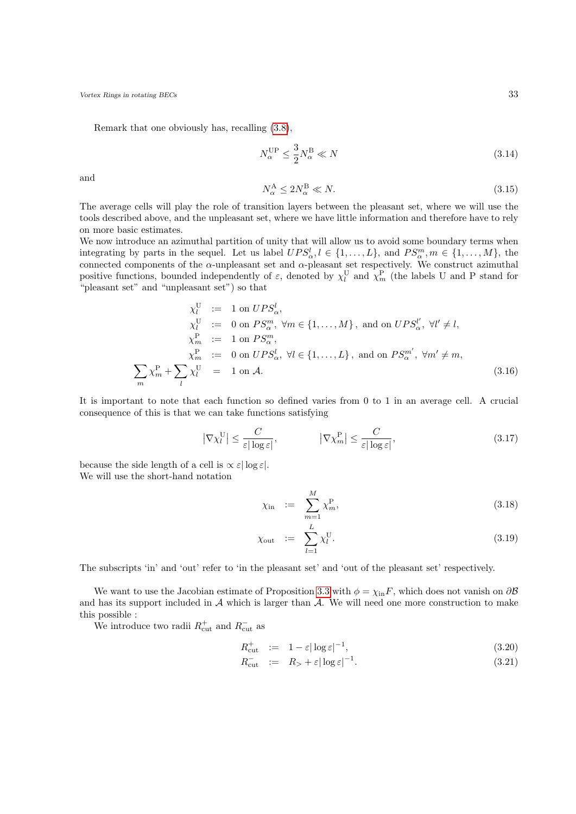Remark that one obviously has, recalling [\(3.8\)](#page-30-2),

$$
N_{\alpha}^{\text{UP}} \le \frac{3}{2} N_{\alpha}^{\text{B}} \ll N \tag{3.14}
$$

<span id="page-32-1"></span>and

$$
N_{\alpha}^{\mathcal{A}} \le 2N_{\alpha}^{\mathcal{B}} \ll N. \tag{3.15}
$$

The average cells will play the role of transition layers between the pleasant set, where we will use the tools described above, and the unpleasant set, where we have little information and therefore have to rely on more basic estimates.

We now introduce an azimuthal partition of unity that will allow us to avoid some boundary terms when integrating by parts in the sequel. Let us label  $UPS^l_{\alpha}, l \in \{1, ..., L\}$ , and  $PS^m_{\alpha}, m \in \{1, ..., M\}$ , the connected components of the  $\alpha$ -unpleasant set and  $\alpha$ -pleasant set respectively. We construct azimuthal positive functions, bounded independently of  $\varepsilon$ , denoted by  $\chi_l^{\rm U}$  and  $\chi_m^{\rm P}$  (the labels U and P stand for "pleasant set" and "unpleasant set") so that

$$
\chi_l^U := 1 \text{ on } UPS_\alpha^l,
$$
  
\n
$$
\chi_l^U := 0 \text{ on } PS_\alpha^m, \forall m \in \{1, ..., M\}, \text{ and on } UPS_\alpha^{l'}, \forall l' \neq l,
$$
  
\n
$$
\chi_m^P := 1 \text{ on } PS_\alpha^m,
$$
  
\n
$$
\chi_m^P := 0 \text{ on } UPS_\alpha^l, \forall l \in \{1, ..., L\}, \text{ and on } PS_\alpha^{m'}, \forall m' \neq m,
$$
  
\n
$$
\sum_m \chi_m^P + \sum_l \chi_l^U = 1 \text{ on } \mathcal{A}.
$$
  
\n(3.16)

It is important to note that each function so defined varies from 0 to 1 in an average cell. A crucial consequence of this is that we can take functions satisfying

$$
\left|\nabla\chi_{l}^{\mathcal{U}}\right| \leq \frac{C}{\varepsilon|\log\varepsilon|}, \qquad \left|\nabla\chi_{m}^{\mathcal{P}}\right| \leq \frac{C}{\varepsilon|\log\varepsilon|}, \tag{3.17}
$$

because the side length of a cell is  $\propto \varepsilon |\log \varepsilon|$ . We will use the short-hand notation

$$
\chi_{\text{in}} := \sum_{m=1}^{M} \chi_m^{\text{P}}, \tag{3.18}
$$

$$
\chi_{\text{out}} := \sum_{l=1}^{L} \chi_{l}^{\text{U}}.
$$
\n(3.19)

The subscripts 'in' and 'out' refer to 'in the pleasant set' and 'out of the pleasant set' respectively.

We want to use the Jacobian estimate of Proposition [3.3](#page-31-1) with  $\phi = \chi_{\text{in}} F$ , which does not vanish on  $\partial \mathcal{B}$ and has its support included in  $A$  which is larger than  $\tilde{A}$ . We will need one more construction to make this possible :

We introduce two radii  $R_{\text{cut}}^+$  and  $R_{\text{cut}}^-$  as

$$
R_{\text{cut}}^+ := 1 - \varepsilon |\log \varepsilon|^{-1}, \tag{3.20}
$$

<span id="page-32-0"></span>
$$
R_{\text{cut}}^{-} := R_{>} + \varepsilon |\log \varepsilon|^{-1}.
$$
\n(3.21)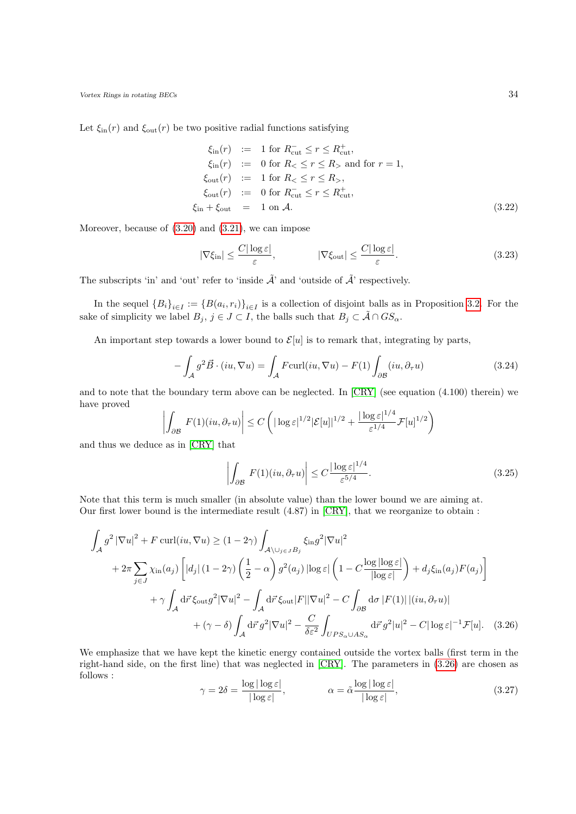Let  $\xi_{\text{in}}(r)$  and  $\xi_{\text{out}}(r)$  be two positive radial functions satisfying

$$
\xi_{\text{in}}(r) := 1 \text{ for } R_{\text{cut}}^{-} \le r \le R_{\text{cut}}^{+},
$$
\n
$$
\xi_{\text{in}}(r) := 0 \text{ for } R_{<} \le r \le R_{>} \text{ and for } r = 1,
$$
\n
$$
\xi_{\text{out}}(r) := 1 \text{ for } R_{<} \le r \le R_{>},
$$
\n
$$
\xi_{\text{out}}(r) := 0 \text{ for } R_{\text{cut}}^{-} \le r \le R_{\text{cut}}^{+},
$$
\n
$$
\xi_{\text{in}} + \xi_{\text{out}} = 1 \text{ on } \mathcal{A}.
$$
\n(3.22)

Moreover, because of [\(3.20\)](#page-32-0) and [\(3.21\)](#page-32-0), we can impose

$$
|\nabla \xi_{\rm in}| \le \frac{C|\log \varepsilon|}{\varepsilon}, \qquad |\nabla \xi_{\rm out}| \le \frac{C|\log \varepsilon|}{\varepsilon}.
$$
 (3.23)

The subscripts 'in' and 'out' refer to 'inside  $\tilde{\mathcal{A}}$ ' and 'outside of  $\tilde{\mathcal{A}}$ ' respectively.

In the sequel  ${B_i}_{i\in I} := {B(a_i, r_i)}_{i\in I}$  is a collection of disjoint balls as in Proposition [3.2.](#page-31-0) For the sake of simplicity we label  $B_j$ ,  $j \in J \subset I$ , the balls such that  $B_j \subset \tilde{A} \cap GS_\alpha$ .

An important step towards a lower bound to  $\mathcal{E}[u]$  is to remark that, integrating by parts,

$$
-\int_{\mathcal{A}} g^2 \vec{B} \cdot (iu, \nabla u) = \int_{\mathcal{A}} F \text{curl}(iu, \nabla u) - F(1) \int_{\partial \mathcal{B}} (iu, \partial_{\tau} u)
$$
(3.24)

and to note that the boundary term above can be neglected. In [\[CRY\]](#page-52-7) (see equation (4.100) therein) we have proved

$$
\left| \int_{\partial \mathcal{B}} F(1)(iu, \partial_{\tau} u) \right| \le C \left( |\log \varepsilon|^{1/2} |\mathcal{E}[u]|^{1/2} + \frac{|\log \varepsilon|^{1/4}}{\varepsilon^{1/4}} \mathcal{F}[u]^{1/2} \right)
$$

and thus we deduce as in [\[CRY\]](#page-52-7) that

<span id="page-33-1"></span>
$$
\left| \int_{\partial \mathcal{B}} F(1)(iu, \partial_{\tau} u) \right| \leq C \frac{|\log \varepsilon|^{1/4}}{\varepsilon^{5/4}}.
$$
\n(3.25)

Note that this term is much smaller (in absolute value) than the lower bound we are aiming at. Our first lower bound is the intermediate result (4.87) in [\[CRY\]](#page-52-7), that we reorganize to obtain :

$$
\int_{\mathcal{A}} g^2 |\nabla u|^2 + F \operatorname{curl}(iu, \nabla u) \ge (1 - 2\gamma) \int_{\mathcal{A} \setminus \bigcup_{j \in J} B_j} \xi_{\text{in}} g^2 |\nabla u|^2
$$
  
+  $2\pi \sum_{j \in J} \chi_{\text{in}}(a_j) \left[ |d_j| (1 - 2\gamma) \left( \frac{1}{2} - \alpha \right) g^2(a_j) |\log \varepsilon| \left( 1 - C \frac{\log |\log \varepsilon|}{|\log \varepsilon|} \right) + d_j \xi_{\text{in}}(a_j) F(a_j) \right]$   
+  $\gamma \int_{\mathcal{A}} d\vec{r} \xi_{\text{out}} g^2 |\nabla u|^2 - \int_{\mathcal{A}} d\vec{r} \xi_{\text{out}} |F| |\nabla u|^2 - C \int_{\partial \mathcal{B}} d\sigma |F(1)| |(iu, \partial_\tau u)|$   
+  $(\gamma - \delta) \int_{\mathcal{A}} d\vec{r} g^2 |\nabla u|^2 - \frac{C}{\delta \varepsilon^2} \int_{UPS_{\alpha} \cup AS_{\alpha}} d\vec{r} g^2 |u|^2 - C |\log \varepsilon|^{-1} \mathcal{F}[u].$  (3.26)

<span id="page-33-2"></span>We emphasize that we have kept the kinetic energy contained outside the vortex balls (first term in the right-hand side, on the first line) that was neglected in [\[CRY\]](#page-52-7). The parameters in [\(3.26\)](#page-33-0) are chosen as follows :

<span id="page-33-0"></span>
$$
\gamma = 2\delta = \frac{\log|\log \varepsilon|}{|\log \varepsilon|}, \qquad \alpha = \tilde{\alpha} \frac{\log|\log \varepsilon|}{|\log \varepsilon|}, \tag{3.27}
$$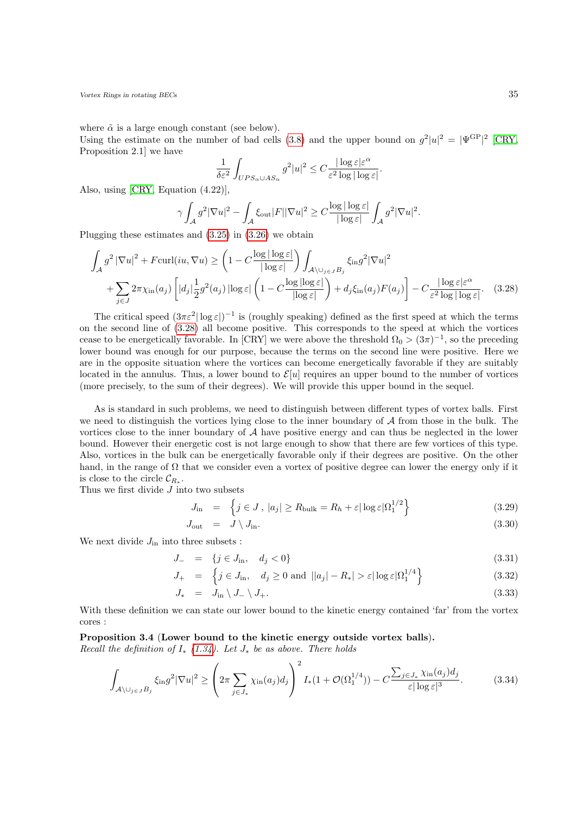where  $\tilde{\alpha}$  is a large enough constant (see below).

Using the estimate on the number of bad cells [\(3.8\)](#page-30-2) and the upper bound on  $g^2|u|^2 = |\Psi^{\text{GP}}|^2$  [\[CRY,](#page-52-7) Proposition 2.1] we have

<span id="page-34-1"></span>
$$
\frac{1}{\delta \varepsilon^2} \int_{UPS_\alpha \cup AS_\alpha} g^2 |u|^2 \leq C \frac{|\log \varepsilon| \varepsilon^\alpha}{\varepsilon^2 \log |\log \varepsilon|}.
$$

Also, using [\[CRY,](#page-52-7) Equation (4.22)],

$$
\gamma \int_{\mathcal{A}} g^2 |\nabla u|^2 - \int_{\mathcal{A}} \xi_{\text{out}} |F| |\nabla u|^2 \geq C \frac{\log |\log \varepsilon|}{|\log \varepsilon|} \int_{\mathcal{A}} g^2 |\nabla u|^2.
$$

Plugging these estimates and [\(3.25\)](#page-33-1) in [\(3.26\)](#page-33-0) we obtain

$$
\int_{\mathcal{A}} g^2 |\nabla u|^2 + F \text{curl}(iu, \nabla u) \ge \left(1 - C \frac{\log |\log \varepsilon|}{|\log \varepsilon|}\right) \int_{\mathcal{A}\backslash \bigcup_{j\in J} B_j} \xi_{\text{in}} g^2 |\nabla u|^2
$$
\n
$$
+ \sum_{j\in J} 2\pi \chi_{\text{in}}(a_j) \left[ |d_j| \frac{1}{2} g^2(a_j) |\log \varepsilon| \left(1 - C \frac{\log |\log \varepsilon|}{|\log \varepsilon|}\right) + d_j \xi_{\text{in}}(a_j) F(a_j) \right] - C \frac{|\log \varepsilon| \varepsilon^{\alpha}}{\varepsilon^2 \log |\log \varepsilon|}. \quad (3.28)
$$

The critical speed  $(3\pi\varepsilon^2|\log\varepsilon|)^{-1}$  is (roughly speaking) defined as the first speed at which the terms on the second line of [\(3.28\)](#page-34-1) all become positive. This corresponds to the speed at which the vortices cease to be energetically favorable. In [CRY] we were above the threshold  $\Omega_0 > (3\pi)^{-1}$ , so the preceding lower bound was enough for our purpose, because the terms on the second line were positive. Here we are in the opposite situation where the vortices can become energetically favorable if they are suitably located in the annulus. Thus, a lower bound to  $\mathcal{E}[u]$  requires an upper bound to the number of vortices (more precisely, to the sum of their degrees). We will provide this upper bound in the sequel.

As is standard in such problems, we need to distinguish between different types of vortex balls. First we need to distinguish the vortices lying close to the inner boundary of  $A$  from those in the bulk. The vortices close to the inner boundary of  $A$  have positive energy and can thus be neglected in the lower bound. However their energetic cost is not large enough to show that there are few vortices of this type. Also, vortices in the bulk can be energetically favorable only if their degrees are positive. On the other hand, in the range of  $\Omega$  that we consider even a vortex of positive degree can lower the energy only if it is close to the circle  $\mathcal{C}_{R_*}.$ 

Thus we first divide  $J$  into two subsets

$$
J_{\text{in}} = \left\{ j \in J, \, |a_j| \ge R_{\text{bulk}} = R_h + \varepsilon |\log \varepsilon| \Omega_1^{1/2} \right\} \tag{3.29}
$$

<span id="page-34-3"></span>
$$
J_{\text{out}} = J \setminus J_{\text{in}}.\tag{3.30}
$$

We next divide  $J_{\text{in}}$  into three subsets :

$$
J_- = \{ j \in J_{\text{in}}, \quad d_j < 0 \} \tag{3.31}
$$

$$
J_{+} = \left\{ j \in J_{\text{in}}, \quad d_{j} \ge 0 \text{ and } ||a_{j}|-R_{*}| > \varepsilon |\log \varepsilon|\Omega_{1}^{1/4} \right\}
$$
(3.32)

<span id="page-34-2"></span>
$$
J_* = J_{\text{in}} \setminus J_- \setminus J_+.
$$
\n(3.33)

With these definition we can state our lower bound to the kinetic energy contained 'far' from the vortex cores :

<span id="page-34-0"></span>Proposition 3.4 (Lower bound to the kinetic energy outside vortex balls).

Recall the definition of  $I_*(1.34)$  $I_*(1.34)$ . Let  $J_*$  be as above. There holds

$$
\int_{\mathcal{A}\setminus\bigcup_{j\in J}B_j} \xi_{\text{in}}g^2|\nabla u|^2 \ge \left(2\pi \sum_{j\in J_*} \chi_{\text{in}}(a_j)d_j\right)^2 I_*(1+\mathcal{O}(\Omega_1^{1/4})) - C \frac{\sum_{j\in J_*} \chi_{\text{in}}(a_j)d_j}{\varepsilon |\log \varepsilon|^3}.\tag{3.34}
$$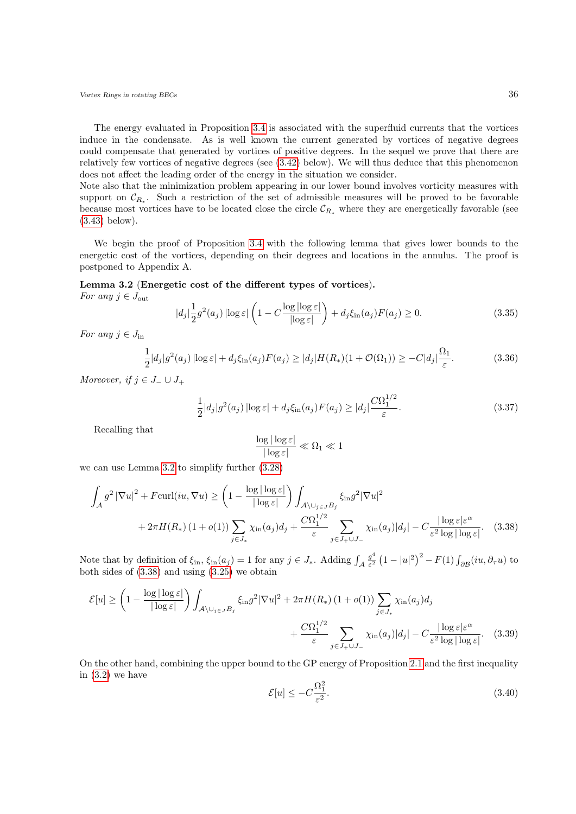The energy evaluated in Proposition [3.4](#page-34-0) is associated with the superfluid currents that the vortices induce in the condensate. As is well known the current generated by vortices of negative degrees could compensate that generated by vortices of positive degrees. In the sequel we prove that there are relatively few vortices of negative degrees (see [\(3.42\)](#page-36-1) below). We will thus deduce that this phenomenon does not affect the leading order of the energy in the situation we consider.

Note also that the minimization problem appearing in our lower bound involves vorticity measures with support on  $\mathcal{C}_{R_*}$ . Such a restriction of the set of admissible measures will be proved to be favorable because most vortices have to be located close the circle  $\mathcal{C}_{R_*}$  where they are energetically favorable (see [\(3.43\)](#page-36-1) below).

We begin the proof of Proposition [3.4](#page-34-0) with the following lemma that gives lower bounds to the energetic cost of the vortices, depending on their degrees and locations in the annulus. The proof is postponed to Appendix A.

## <span id="page-35-0"></span>Lemma 3.2 (Energetic cost of the different types of vortices).

For any  $j \in J_{\text{out}}$ 

<span id="page-35-4"></span>
$$
|d_j| \frac{1}{2} g^2(a_j) |\log \varepsilon| \left( 1 - C \frac{\log |\log \varepsilon|}{|\log \varepsilon|} \right) + d_j \xi_{\text{in}}(a_j) F(a_j) \ge 0. \tag{3.35}
$$

For any  $j \in J_{\text{in}}$ 

<span id="page-35-6"></span>
$$
\frac{1}{2}|d_j|g^2(a_j)|\log \varepsilon| + d_j\xi_{\text{in}}(a_j)F(a_j) \ge |d_j|H(R_*)(1+\mathcal{O}(\Omega_1)) \ge -C|d_j|\frac{\Omega_1}{\varepsilon}.\tag{3.36}
$$

Moreover, if  $j \in J_-\cup J_+$ 

<span id="page-35-5"></span>
$$
\frac{1}{2}|d_j|g^2(a_j)\left|\log\varepsilon\right| + d_j\xi_{\rm in}(a_j)F(a_j) \ge |d_j|\frac{C\Omega_1^{1/2}}{\varepsilon}.\tag{3.37}
$$

Recalling that

<span id="page-35-1"></span>
$$
\frac{\log|\log \varepsilon|}{|\log \varepsilon|} \ll \Omega_1 \ll 1
$$

we can use Lemma [3.2](#page-35-0) to simplify further [\(3.28\)](#page-34-1)

$$
\int_{\mathcal{A}} g^2 |\nabla u|^2 + F \operatorname{curl}(iu, \nabla u) \ge \left(1 - \frac{\log |\log \varepsilon|}{|\log \varepsilon|}\right) \int_{\mathcal{A}\setminus \bigcup_{j\in J} B_j} \xi_{\text{in}} g^2 |\nabla u|^2
$$
  
+  $2\pi H(R_*)(1 + o(1)) \sum_{j\in J_*} \chi_{\text{in}}(a_j) d_j + \frac{C\Omega_1^{1/2}}{\varepsilon} \sum_{j\in J_+ \cup J_-} \chi_{\text{in}}(a_j) |d_j| - C \frac{|\log \varepsilon| \varepsilon^{\alpha}}{\varepsilon^2 \log |\log \varepsilon|}. \quad (3.38)$ 

Note that by definition of  $\xi_{\text{in}}$ ,  $\xi_{\text{in}}(a_j) = 1$  for any  $j \in J_*$ . Adding  $\int_{\mathcal{A}} \frac{g^4}{\varepsilon^2}$  $\frac{g^4}{\varepsilon^2} \left(1 - |u|^2\right)^2 - F(1) \int_{\partial \mathcal{B}} (iu, \partial_\tau u)$  to both sides of [\(3.38\)](#page-35-1) and using [\(3.25\)](#page-33-1) we obtain

$$
\mathcal{E}[u] \ge \left(1 - \frac{\log|\log \varepsilon|}{|\log \varepsilon|}\right) \int_{\mathcal{A}\setminus \bigcup_{j\in J} B_j} \xi_{\text{in}} g^2 |\nabla u|^2 + 2\pi H(R_*)(1 + o(1)) \sum_{j\in J_*} \chi_{\text{in}}(a_j) d_j + \frac{C\Omega_1^{1/2}}{\varepsilon} \sum_{j\in J_+\cup J_-} \chi_{\text{in}}(a_j) |d_j| - C \frac{|\log \varepsilon| \varepsilon^{\alpha}}{\varepsilon^2 \log|\log \varepsilon|}. \tag{3.39}
$$

<span id="page-35-3"></span>On the other hand, combining the upper bound to the GP energy of Proposition [2.1](#page-12-2) and the first inequality in  $(3.2)$  we have

<span id="page-35-2"></span>
$$
\mathcal{E}[u] \le -C\frac{\Omega_1^2}{\varepsilon^2}.\tag{3.40}
$$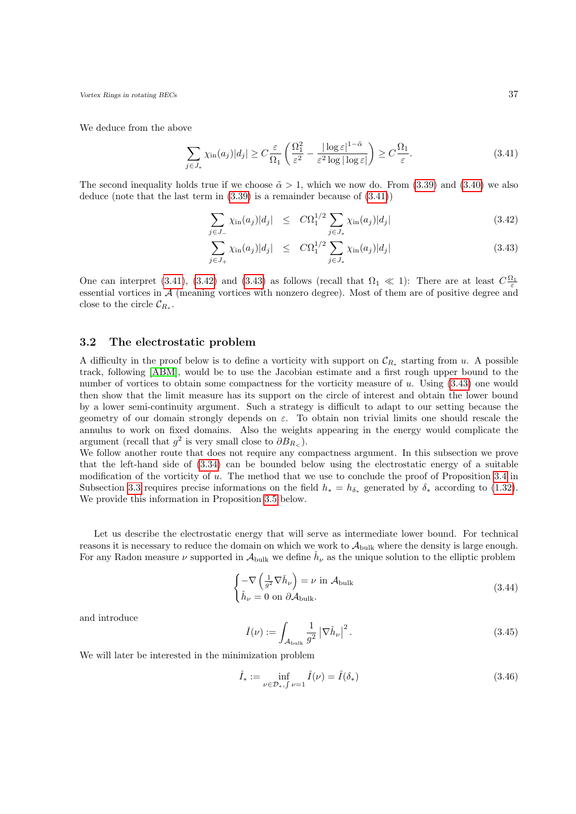We deduce from the above

<span id="page-36-2"></span>
$$
\sum_{j \in J_*} \chi_{\text{in}}(a_j) |d_j| \ge C \frac{\varepsilon}{\Omega_1} \left( \frac{\Omega_1^2}{\varepsilon^2} - \frac{|\log \varepsilon|^{1-\tilde{\alpha}}}{\varepsilon^2 \log |\log \varepsilon|} \right) \ge C \frac{\Omega_1}{\varepsilon}.
$$
\n(3.41)

The second inequality holds true if we choose  $\tilde{\alpha} > 1$ , which we now do. From [\(3.39\)](#page-35-2) and [\(3.40\)](#page-35-3) we also deduce (note that the last term in [\(3.39\)](#page-35-2) is a remainder because of [\(3.41\)](#page-36-2))

<span id="page-36-1"></span>
$$
\sum_{j \in J_-} \chi_{\text{in}}(a_j) |d_j| \le C \Omega_1^{1/2} \sum_{j \in J_*} \chi_{\text{in}}(a_j) |d_j| \tag{3.42}
$$

$$
\sum_{j \in J_+} \chi_{\text{in}}(a_j) |d_j| \le C \Omega_1^{1/2} \sum_{j \in J_*} \chi_{\text{in}}(a_j) |d_j| \tag{3.43}
$$

One can interpret [\(3.41\)](#page-36-2), [\(3.42\)](#page-36-1) and [\(3.43\)](#page-36-1) as follows (recall that  $\Omega_1 \ll 1$ ): There are at least  $C \frac{\Omega_1}{\varepsilon}$ essential vortices in A (meaning vortices with nonzero degree). Most of them are of positive degree and close to the circle  $\mathcal{C}_{R_*}.$ 

### <span id="page-36-0"></span>3.2 The electrostatic problem

A difficulty in the proof below is to define a vorticity with support on  $\mathcal{C}_{R_*}$  starting from u. A possible track, following [\[ABM\]](#page-52-11), would be to use the Jacobian estimate and a first rough upper bound to the number of vortices to obtain some compactness for the vorticity measure of u. Using  $(3.43)$  one would then show that the limit measure has its support on the circle of interest and obtain the lower bound by a lower semi-continuity argument. Such a strategy is difficult to adapt to our setting because the geometry of our domain strongly depends on  $\varepsilon$ . To obtain non trivial limits one should rescale the annulus to work on fixed domains. Also the weights appearing in the energy would complicate the argument (recall that  $g^2$  is very small close to  $\partial B_{R_<}$ ).

We follow another route that does not require any compactness argument. In this subsection we prove that the left-hand side of [\(3.34\)](#page-34-2) can be bounded below using the electrostatic energy of a suitable modification of the vorticity of u. The method that we use to conclude the proof of Proposition [3.4](#page-34-0) in Subsection [3.3](#page-40-0) requires precise informations on the field  $h_* = h_{\delta_*}$  generated by  $\delta_*$  according to [\(1.32\)](#page-7-3). We provide this information in Proposition [3.5](#page-38-0) below.

Let us describe the electrostatic energy that will serve as intermediate lower bound. For technical reasons it is necessary to reduce the domain on which we work to  $A_{\text{bulk}}$  where the density is large enough. For any Radon measure  $\nu$  supported in  $\mathcal{A}_{\text{bulk}}$  we define  $\check{h}_{\nu}$  as the unique solution to the elliptic problem

$$
\begin{cases}\n-\nabla \left(\frac{1}{g^2} \nabla \check{h}_{\nu}\right) = \nu \text{ in } \mathcal{A}_{\text{bulk}} \\
\check{h}_{\nu} = 0 \text{ on } \partial \mathcal{A}_{\text{bulk}}.\n\end{cases}
$$
\n(3.44)

and introduce

<span id="page-36-4"></span><span id="page-36-3"></span>
$$
\check{I}(\nu) := \int_{\mathcal{A}_{\text{bulk}}} \frac{1}{g^2} \left| \nabla \check{h}_{\nu} \right|^2.
$$
\n(3.45)

We will later be interested in the minimization problem

$$
\check{I}_{*} := \inf_{\nu \in \mathcal{D}_{*}, \int \nu = 1} \check{I}(\nu) = \check{I}(\delta_{*})
$$
\n(3.46)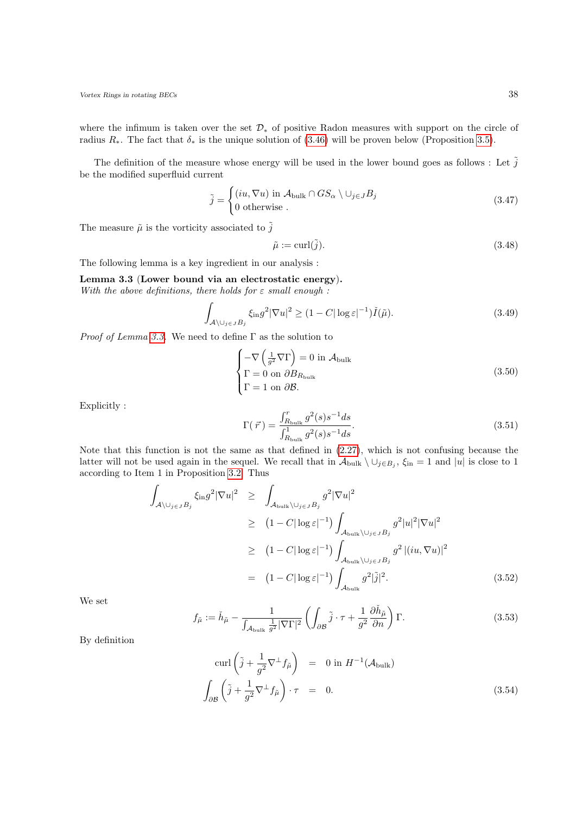where the infimum is taken over the set  $\mathcal{D}_*$  of positive Radon measures with support on the circle of radius  $R_{*}$ . The fact that  $\delta_{*}$  is the unique solution of [\(3.46\)](#page-36-3) will be proven below (Proposition [3.5\)](#page-38-0).

The definition of the measure whose energy will be used in the lower bound goes as follows : Let  $\tilde{j}$ be the modified superfluid current

<span id="page-37-3"></span>
$$
\tilde{j} = \begin{cases}\n(iu, \nabla u) \text{ in } \mathcal{A}_{\text{bulk}} \cap GS_{\alpha} \setminus \cup_{j \in J} B_j \\
0 \text{ otherwise}.\n\end{cases}
$$
\n(3.47)

The measure  $\tilde{\mu}$  is the vorticity associated to  $\tilde{j}$ 

<span id="page-37-4"></span><span id="page-37-2"></span>
$$
\tilde{\mu} := \operatorname{curl}(\tilde{j}).\tag{3.48}
$$

The following lemma is a key ingredient in our analysis :

<span id="page-37-0"></span>Lemma 3.3 (Lower bound via an electrostatic energy). With the above definitions, there holds for  $\varepsilon$  small enough :

$$
\int_{\mathcal{A}\setminus\cup_{j\in J}B_j} \xi_{\text{in}}g^2|\nabla u|^2 \ge (1-C|\log \varepsilon|^{-1})\check{I}(\tilde{\mu}).\tag{3.49}
$$

*Proof of Lemma [3.3.](#page-37-0)* We need to define  $\Gamma$  as the solution to

$$
\begin{cases}\n-\nabla \left(\frac{1}{g^2} \nabla \Gamma\right) = 0 \text{ in } \mathcal{A}_{\text{bulk}} \\
\Gamma = 0 \text{ on } \partial B_{R_{\text{bulk}}}\n\end{cases}
$$
\n(3.50)\n
$$
\Gamma = 1 \text{ on } \partial \mathcal{B}.
$$

Explicitly :

$$
\Gamma(\vec{r}) = \frac{\int_{R_{\text{bulk}}}^{r} g^2(s) s^{-1} ds}{\int_{R_{\text{bulk}}}^{1} g^2(s) s^{-1} ds}.
$$
\n(3.51)

Note that this function is not the same as that defined in [\(2.27\)](#page-15-4), which is not confusing because the latter will not be used again in the sequel. We recall that in  $\mathcal{A}_{\text{bulk}}\setminus\cup_{j\in B_j}$ ,  $\xi_{\text{in}}=1$  and  $|u|$  is close to 1 according to Item 1 in Proposition [3.2.](#page-31-0) Thus

<span id="page-37-1"></span>
$$
\int_{\mathcal{A}\setminus\bigcup_{j\in J}B_j} \xi_{\text{in}}g^2|\nabla u|^2 \geq \int_{\mathcal{A}_{\text{bulk}}\setminus\bigcup_{j\in J}B_j} g^2|\nabla u|^2
$$
\n
$$
\geq (1-C|\log \varepsilon|^{-1}) \int_{\mathcal{A}_{\text{bulk}}\setminus\bigcup_{j\in J}B_j} g^2|u|^2|\nabla u|^2
$$
\n
$$
\geq (1-C|\log \varepsilon|^{-1}) \int_{\mathcal{A}_{\text{bulk}}\setminus\bigcup_{j\in J}B_j} g^2|(iu,\nabla u)|^2
$$
\n
$$
= (1-C|\log \varepsilon|^{-1}) \int_{\mathcal{A}_{\text{bulk}}} g^2|\tilde{j}|^2. \qquad (3.52)
$$

We set

$$
f_{\tilde{\mu}} := \check{h}_{\tilde{\mu}} - \frac{1}{\int_{\mathcal{A}_{\text{bulk}}} \frac{1}{g^2} |\nabla \Gamma|^2} \left( \int_{\partial \mathcal{B}} \tilde{j} \cdot \tau + \frac{1}{g^2} \frac{\partial \check{h}_{\tilde{\mu}}}{\partial n} \right) \Gamma. \tag{3.53}
$$

By definition

$$
\operatorname{curl}\left(\tilde{j} + \frac{1}{g^2}\nabla^{\perp}f_{\tilde{\mu}}\right) = 0 \text{ in } H^{-1}(\mathcal{A}_{\text{bulk}})
$$

$$
\int_{\partial\mathcal{B}}\left(\tilde{j} + \frac{1}{g^2}\nabla^{\perp}f_{\tilde{\mu}}\right)\cdot\tau = 0.
$$
(3.54)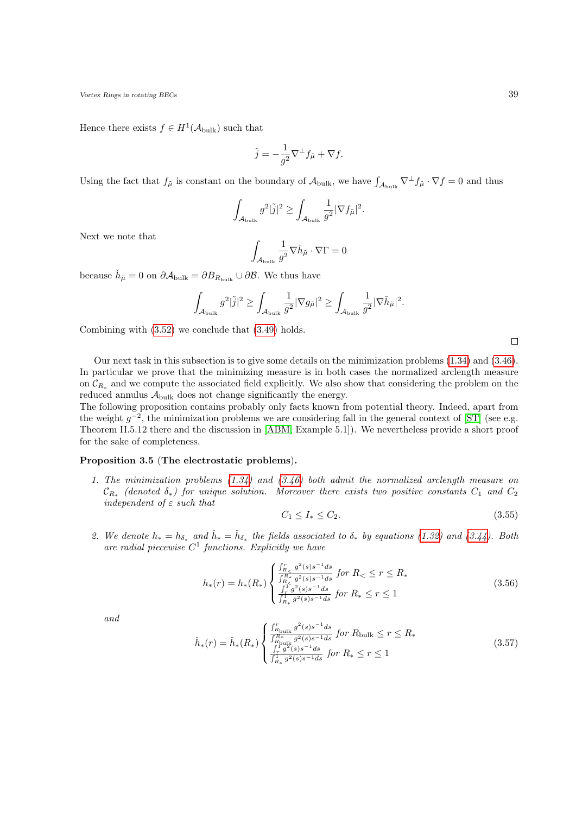Hence there exists  $f \in H^1(\mathcal{A}_{\text{bulk}})$  such that

$$
\tilde{j} = -\frac{1}{g^2} \nabla^{\perp} f_{\tilde{\mu}} + \nabla f.
$$

Using the fact that  $f_{\tilde{\mu}}$  is constant on the boundary of  $\mathcal{A}_{\text{bulk}}$ , we have  $\int_{\mathcal{A}_{\text{bulk}}} \nabla^{\perp} f_{\tilde{\mu}} \cdot \nabla f = 0$  and thus

$$
\int_{\mathcal{A}_{\text{bulk}}} g^2 |\tilde{j}|^2 \ge \int_{\mathcal{A}_{\text{bulk}}} \frac{1}{g^2} |\nabla f_{\tilde{\mu}}|^2.
$$

Next we note that

$$
\int_{\mathcal{A}_{\text{bulk}}} \frac{1}{g^2} \nabla \check{h}_{\tilde{\mu}} \cdot \nabla \Gamma = 0
$$

because  $\check{h}_{\tilde{\mu}} = 0$  on  $\partial \mathcal{A}_{\text{bulk}} = \partial B_{R_{\text{bulk}}} \cup \partial \mathcal{B}$ . We thus have

$$
\int_{\mathcal{A}_{\rm bulk}} g^2 |\tilde{j}|^2 \geq \int_{\mathcal{A}_{\rm bulk}} \frac{1}{g^2} |\nabla g_{\tilde{\mu}}|^2 \geq \int_{\mathcal{A}_{\rm bulk}} \frac{1}{g^2} |\nabla \check{h}_{\tilde{\mu}}|^2.
$$

Combining with [\(3.52\)](#page-37-1) we conclude that [\(3.49\)](#page-37-2) holds.

Our next task in this subsection is to give some details on the minimization problems [\(1.34\)](#page-7-1) and [\(3.46\)](#page-36-3). In particular we prove that the minimizing measure is in both cases the normalized arclength measure on  $\mathcal{C}_{R_*}$  and we compute the associated field explicitly. We also show that considering the problem on the reduced annulus  $A_{\text{bulk}}$  does not change significantly the energy.

The following proposition contains probably only facts known from potential theory. Indeed, apart from the weight  $g^{-2}$ , the minimization problems we are considering fall in the general context of [\[ST\]](#page-53-13) (see e.g. Theorem II.5.12 there and the discussion in [\[ABM,](#page-52-11) Example 5.1]). We nevertheless provide a short proof for the sake of completeness.

#### <span id="page-38-0"></span>Proposition 3.5 (The electrostatic problems).

1. The minimization problems  $(1.34)$  and  $(3.46)$  both admit the normalized arclength measure on  $\mathcal{C}_{R_*}$  (denoted  $\delta_*)$  for unique solution. Moreover there exists two positive constants  $C_1$  and  $C_2$ independent of  $\varepsilon$  such that

<span id="page-38-2"></span><span id="page-38-1"></span>
$$
C_1 \le I_* \le C_2. \tag{3.55}
$$

2. We denote  $h_* = h_{\delta_*}$  and  $\check{h}_* = \check{h}_{\delta_*}$  the fields associated to  $\delta_*$  by equations [\(1.32\)](#page-7-3) and [\(3.44\)](#page-36-4). Both are radial piecewise  $C^1$  functions. Explicitly we have

$$
h_*(r) = h_*(R_*) \begin{cases} \frac{\int_{R_<}^r g^2(s)s^{-1}ds}{\int_{R_<}^{R_*} g^2(s)s^{-1}ds} & \text{for } R_< \le r \le R_*\\ \frac{\int_{R_<}^1 g^2(s)s^{-1}ds}{\int_{R_*}^1 g^2(s)s^{-1}ds} & \text{for } R_* \le r \le 1 \end{cases}
$$
(3.56)

<span id="page-38-3"></span>and

$$
\check{h}_{*}(r) = \check{h}_{*}(R_{*}) \begin{cases} \frac{\int_{R_{\text{bulk}}}^{r} g^{2}(s) s^{-1} ds}{\int_{R_{\text{bulk}}}^{R_{*}} g^{2}(s) s^{-1} ds} \text{ for } R_{\text{bulk}} \le r \le R_{*} \\ \frac{\int_{r}^{r} g^{2}(s) s^{-1} ds}{\int_{R_{*}}^{r} g^{2}(s) s^{-1} ds} \text{ for } R_{*} \le r \le 1 \end{cases}
$$
\n(3.57)

 $\Box$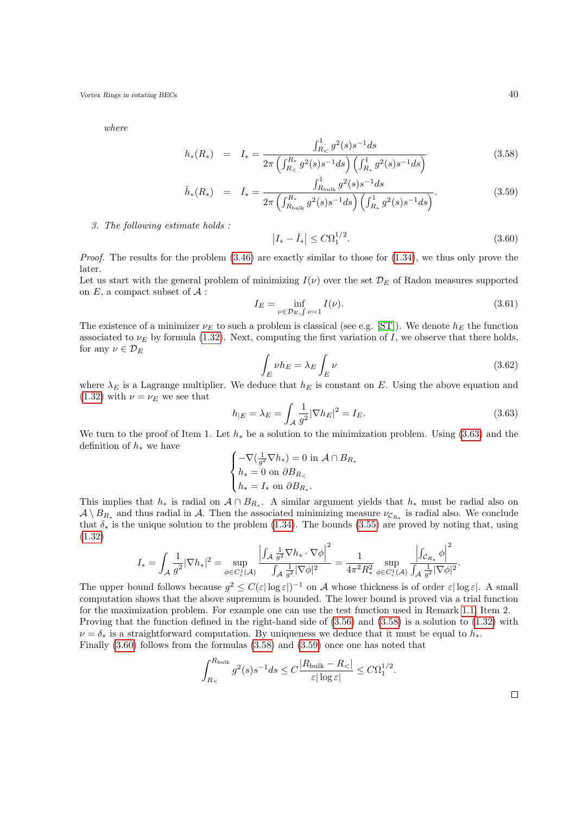where

<span id="page-39-1"></span>
$$
h_*(R_*) = I_* = \frac{\int_{R_<}^1 g^2(s) s^{-1} ds}{2\pi \left(\int_{R_<}^{R_*} g^2(s) s^{-1} ds\right) \left(\int_{R_*}^1 g^2(s) s^{-1} ds\right)}
$$
(3.58)

$$
\check{h}_*(R_*) = \check{I}_* = \frac{\int_{R_{\text{bulk}}}^1 g^2(s) s^{-1} ds}{2\pi \left( \int_{R_{\text{bulk}}}^{R_*} g^2(s) s^{-1} ds \right) \left( \int_{R_*}^1 g^2(s) s^{-1} ds \right)}.
$$
\n(3.59)

3. The following estimate holds :

<span id="page-39-2"></span>
$$
|I_* - \check{I}_*| \le C\Omega_1^{1/2}.\tag{3.60}
$$

*Proof.* The results for the problem  $(3.46)$  are exactly similar to those for  $(1.34)$ , we thus only prove the later.

Let us start with the general problem of minimizing  $I(\nu)$  over the set  $\mathcal{D}_E$  of Radon measures supported on  $E$ , a compact subset of  $A$ :

$$
I_E = \inf_{\nu \in \mathcal{D}_E, \int \nu = 1} I(\nu). \tag{3.61}
$$

The existence of a minimizer  $\nu_E$  to such a problem is classical (see e.g. [\[ST\]](#page-53-13)). We denote  $h_E$  the function associated to  $\nu_E$  by formula [\(1.32\)](#page-7-3). Next, computing the first variation of I, we observe that there holds, for any  $\nu \in \mathcal{D}_E$ 

$$
\int_{E} \nu h_E = \lambda_E \int_{E} \nu \tag{3.62}
$$

where  $\lambda_E$  is a Lagrange multiplier. We deduce that  $h_E$  is constant on E. Using the above equation and [\(1.32\)](#page-7-3) with  $\nu = \nu_E$  we see that

<span id="page-39-0"></span>
$$
h_{|E} = \lambda_E = \int_{\mathcal{A}} \frac{1}{g^2} |\nabla h_E|^2 = I_E.
$$
 (3.63)

We turn to the proof of Item 1. Let  $h_*$  be a solution to the minimization problem. Using [\(3.63\)](#page-39-0) and the definition of  $h_*$  we have

$$
\begin{cases}\n-\nabla(\frac{1}{g^2}\nabla h_*)=0 \text{ in } \mathcal{A}\cap B_{R_*} \\
h_*=0 \text{ on } \partial B_{R_<} \\
h_*=I_* \text{ on } \partial B_{R_*}.\n\end{cases}
$$

This implies that  $h_*$  is radial on  $A \cap B_{R_*}$ . A similar argument yields that  $h_*$  must be radial also on  $\mathcal{A}\setminus B_{R_*}$  and thus radial in  $\mathcal{A}$ . Then the associated minimizing measure  $\nu_{\mathcal{C}_{R_*}}$  is radial also. We conclude that  $\delta_*$  is the unique solution to the problem [\(1.34\)](#page-7-1). The bounds [\(3.55\)](#page-38-1) are proved by noting that, using [\(1.32\)](#page-7-3)

$$
I_* = \int_{\mathcal{A}} \frac{1}{g^2} |\nabla h_*|^2 = \sup_{\phi \in C_c^1(\mathcal{A})} \frac{\left| \int_{\mathcal{A}} \frac{1}{g^2} \nabla h_* \cdot \nabla \phi \right|^2}{\int_{\mathcal{A}} \frac{1}{g^2} |\nabla \phi|^2} = \frac{1}{4\pi^2 R_*^2} \sup_{\phi \in C_c^1(\mathcal{A})} \frac{\left| \int_{\mathcal{C}_{R_*}} \phi \right|^2}{\int_{\mathcal{A}} \frac{1}{g^2} |\nabla \phi|^2}.
$$

The upper bound follows because  $g^2 \leq C(\varepsilon |\log \varepsilon|)^{-1}$  on A whose thickness is of order  $\varepsilon |\log \varepsilon|$ . A small computation shows that the above supremum is bounded. The lower bound is proved via a trial function for the maximization problem. For example one can use the test function used in Remark [1.1,](#page-5-2) Item 2. Proving that the function defined in the right-hand side of [\(3.56\)](#page-38-2) and [\(3.58\)](#page-39-1) is a solution to [\(1.32\)](#page-7-3) with  $\nu = \delta_*$  is a straightforward computation. By uniqueness we deduce that it must be equal to  $h_*$ . Finally [\(3.60\)](#page-39-2) follows from the formulas [\(3.58\)](#page-39-1) and [\(3.59\)](#page-39-1) once one has noted that

$$
\int_{R_{\leq}}^{R_{\text{bulk}}} g^2(s) s^{-1} ds \leq C \frac{|R_{\text{bulk}} - R_{\leq}|}{\varepsilon |\log \varepsilon|} \leq C \Omega_1^{1/2}.
$$

 $\Box$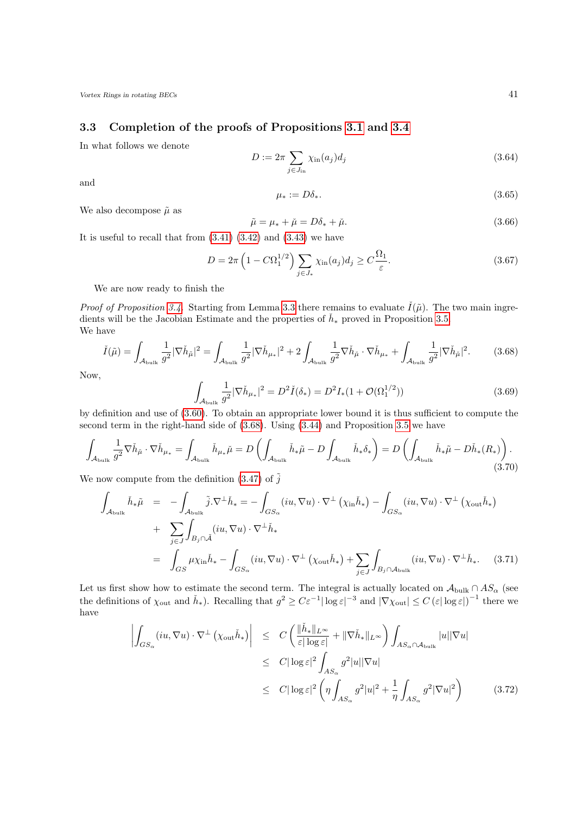### <span id="page-40-0"></span>3.3 Completion of the proofs of Propositions [3.1](#page-29-1) and [3.4](#page-34-0)

In what follows we denote

$$
D := 2\pi \sum_{j \in J_{\text{in}}} \chi_{\text{in}}(a_j) d_j \tag{3.64}
$$

and

<span id="page-40-5"></span>
$$
\mu_* := D\delta_*.\tag{3.65}
$$

We also decompose  $\tilde{\mu}$  as

$$
\tilde{\mu} = \mu_* + \check{\mu} = D\delta_* + \check{\mu}.\tag{3.66}
$$

It is useful to recall that from  $(3.41)$   $(3.42)$  and  $(3.43)$  we have

$$
D = 2\pi \left(1 - C\Omega_1^{1/2}\right) \sum_{j \in J_*} \chi_{\text{in}}(a_j) d_j \ge C \frac{\Omega_1}{\varepsilon}.
$$
 (3.67)

We are now ready to finish the

*Proof of Proposition [3.4.](#page-34-0)* Starting from Lemma [3.3](#page-37-0) there remains to evaluate  $\tilde{I}(\tilde{\mu})$ . The two main ingredients will be the Jacobian Estimate and the properties of  $\check{h}_*$  proved in Proposition [3.5.](#page-38-0) We have

<span id="page-40-1"></span>
$$
\check{I}(\tilde{\mu}) = \int_{\mathcal{A}_{\text{bulk}}} \frac{1}{g^2} |\nabla \check{h}_{\tilde{\mu}}|^2 = \int_{\mathcal{A}_{\text{bulk}}} \frac{1}{g^2} |\nabla \check{h}_{\mu_*}|^2 + 2 \int_{\mathcal{A}_{\text{bulk}}} \frac{1}{g^2} \nabla \check{h}_{\tilde{\mu}} \cdot \nabla \check{h}_{\mu_*} + \int_{\mathcal{A}_{\text{bulk}}} \frac{1}{g^2} |\nabla \check{h}_{\tilde{\mu}}|^2. \tag{3.68}
$$

<span id="page-40-6"></span>Now,

<span id="page-40-4"></span>
$$
\int_{\mathcal{A}_{\text{bulk}}} \frac{1}{g^2} |\nabla \check{h}_{\mu_*}|^2 = D^2 \check{I}(\delta_*) = D^2 I_*(1 + \mathcal{O}(\Omega_1^{1/2})) \tag{3.69}
$$

by definition and use of [\(3.60\)](#page-39-2). To obtain an appropriate lower bound it is thus sufficient to compute the second term in the right-hand side of [\(3.68\)](#page-40-1). Using [\(3.44\)](#page-36-4) and Proposition [3.5](#page-38-0) we have

$$
\int_{\mathcal{A}_{\text{bulk}}} \frac{1}{g^2} \nabla \check{h}_{\check{\mu}} \cdot \nabla \check{h}_{\mu_*} = \int_{\mathcal{A}_{\text{bulk}}} \check{h}_{\mu_*} \check{\mu} = D \left( \int_{\mathcal{A}_{\text{bulk}}} \check{h}_* \tilde{\mu} - D \int_{\mathcal{A}_{\text{bulk}}} \check{h}_* \delta_* \right) = D \left( \int_{\mathcal{A}_{\text{bulk}}} \check{h}_* \tilde{\mu} - D \check{h}_* (R_*) \right). \tag{3.70}
$$

We now compute from the definition  $(3.47)$  of  $\tilde{j}$ 

<span id="page-40-2"></span>
$$
\int_{\mathcal{A}_{\text{bulk}}} \check{h}_{*}\tilde{\mu} = -\int_{\mathcal{A}_{\text{bulk}}} \tilde{j} \cdot \nabla^{\perp} \check{h}_{*} = -\int_{GS_{\alpha}} (iu, \nabla u) \cdot \nabla^{\perp} (\chi_{\text{in}} \check{h}_{*}) - \int_{GS_{\alpha}} (iu, \nabla u) \cdot \nabla^{\perp} (\chi_{\text{out}} \check{h}_{*})
$$
\n
$$
+ \sum_{j \in J} \int_{B_{j} \cap \tilde{\mathcal{A}}} (iu, \nabla u) \cdot \nabla^{\perp} \check{h}_{*}
$$
\n
$$
= \int_{GS} \mu \chi_{\text{in}} \check{h}_{*} - \int_{GS_{\alpha}} (iu, \nabla u) \cdot \nabla^{\perp} (\chi_{\text{out}} \check{h}_{*}) + \sum_{j \in J} \int_{B_{j} \cap \mathcal{A}_{\text{bulk}}} (iu, \nabla u) \cdot \nabla^{\perp} \check{h}_{*}. \quad (3.71)
$$

Let us first show how to estimate the second term. The integral is actually located on  $\mathcal{A}_{\text{bulk}} \cap AS_{\alpha}$  (see the definitions of  $\chi_{\text{out}}$  and  $\check{h}_*$ ). Recalling that  $g^2 \geq C \varepsilon^{-1} |\log \varepsilon|^{-3}$  and  $|\nabla \chi_{\text{out}}| \leq C |\varepsilon| \log \varepsilon|^{-1}$  there we have

<span id="page-40-3"></span>
$$
\left| \int_{GS_{\alpha}} (iu, \nabla u) \cdot \nabla^{\perp} (\chi_{\text{out}} \check{h}_{*}) \right| \leq C \left( \frac{\|\check{h}_{*}\|_{L^{\infty}}}{\varepsilon |\log \varepsilon|} + \|\nabla \check{h}_{*}\|_{L^{\infty}} \right) \int_{AS_{\alpha} \cap \mathcal{A}_{\text{bulk}}} |u||\nabla u|
$$
  
\n
$$
\leq C |\log \varepsilon|^{2} \int_{AS_{\alpha}} g^{2} |u||\nabla u|
$$
  
\n
$$
\leq C |\log \varepsilon|^{2} \left( \eta \int_{AS_{\alpha}} g^{2} |u|^{2} + \frac{1}{\eta} \int_{AS_{\alpha}} g^{2} |\nabla u|^{2} \right) \qquad (3.72)
$$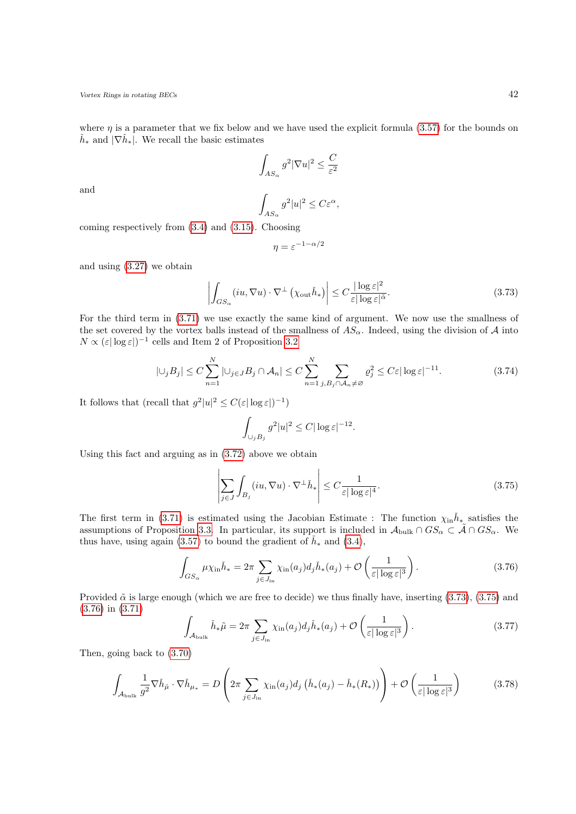where  $\eta$  is a parameter that we fix below and we have used the explicit formula [\(3.57\)](#page-38-3) for the bounds on  $\check{h}_*$  and  $|\nabla \check{h}_*|$ . We recall the basic estimates

$$
\int_{AS_{\alpha}} g^2 |\nabla u|^2 \le \frac{C}{\varepsilon^2}
$$

$$
\int g^2 |u|^2 \le C\varepsilon^{\alpha},
$$

and

$$
\int_{AS_{\alpha}} g^2 |u|^2 \leq C \varepsilon^{\alpha}
$$

coming respectively from [\(3.4\)](#page-30-1) and [\(3.15\)](#page-32-1). Choosing

$$
\eta = \varepsilon^{-1-\alpha/2}
$$

and using [\(3.27\)](#page-33-2) we obtain

<span id="page-41-0"></span>
$$
\left| \int_{GS_{\alpha}} (iu, \nabla u) \cdot \nabla^{\perp} \left( \chi_{\text{out}} \check{h}_{*} \right) \right| \leq C \frac{|\log \varepsilon|^{2}}{\varepsilon |\log \varepsilon|^{\tilde{\alpha}}}.
$$
\n(3.73)

For the third term in [\(3.71\)](#page-40-2) we use exactly the same kind of argument. We now use the smallness of the set covered by the vortex balls instead of the smallness of  $AS_{\alpha}$ . Indeed, using the division of A into  $N \propto (\varepsilon |\log \varepsilon|)^{-1}$  cells and Item 2 of Proposition [3.2](#page-31-0)

$$
|\bigcup_j B_j| \le C \sum_{n=1}^N |\bigcup_{j \in J} B_j \cap \mathcal{A}_n| \le C \sum_{n=1}^N \sum_{j, B_j \cap \mathcal{A}_n \ne \varnothing} \varrho_j^2 \le C \varepsilon |\log \varepsilon|^{-11}.
$$
 (3.74)

It follows that (recall that  $g^2|u|^2 \leq C(\varepsilon|\log \varepsilon|)^{-1}$ )

<span id="page-41-1"></span>
$$
\int_{\cup_j B_j} g^2 |u|^2 \le C |\log \varepsilon|^{-12}.
$$

Using this fact and arguing as in [\(3.72\)](#page-40-3) above we obtain

<span id="page-41-2"></span>
$$
\left| \sum_{j \in J} \int_{B_j} (iu, \nabla u) \cdot \nabla^{\perp} \check{h}_* \right| \le C \frac{1}{\varepsilon |\log \varepsilon|^4}.
$$
\n(3.75)

The first term in [\(3.71\)](#page-40-2) is estimated using the Jacobian Estimate : The function  $\chi_{in} \check{h}_{*}$  satisfies the assumptions of Proposition [3.3.](#page-31-1) In particular, its support is included in  $A_{\text{bulk}} \cap GS_{\alpha} \subset \tilde{A} \cap GS_{\alpha}$ . We thus have, using again [\(3.57\)](#page-38-3) to bound the gradient of  $\check{h}_*$  and [\(3.4\)](#page-30-1),

$$
\int_{GS_{\alpha}} \mu \chi_{\text{in}} \check{h}_* = 2\pi \sum_{j \in J_{\text{in}}} \chi_{\text{in}}(a_j) d_j \check{h}_*(a_j) + \mathcal{O}\left(\frac{1}{\varepsilon |\log \varepsilon|^3}\right). \tag{3.76}
$$

Provided  $\tilde{\alpha}$  is large enough (which we are free to decide) we thus finally have, inserting [\(3.73\)](#page-41-0), [\(3.75\)](#page-41-1) and [\(3.76\)](#page-41-2) in [\(3.71\)](#page-40-2)

$$
\int_{\mathcal{A}_{\text{bulk}}} \check{h}_{*}\tilde{\mu} = 2\pi \sum_{j \in J_{\text{in}}} \chi_{\text{in}}(a_{j}) d_{j} \check{h}_{*}(a_{j}) + \mathcal{O}\left(\frac{1}{\varepsilon |\log \varepsilon|^{3}}\right). \tag{3.77}
$$

Then, going back to [\(3.70\)](#page-40-4)

$$
\int_{\mathcal{A}_{\text{bulk}}} \frac{1}{g^2} \nabla \check{h}_{\check{\mu}} \cdot \nabla \check{h}_{\mu_*} = D \left( 2\pi \sum_{j \in J_{\text{in}}} \chi_{\text{in}}(a_j) d_j \left( \check{h}_*(a_j) - \check{h}_*(R_*) \right) \right) + \mathcal{O} \left( \frac{1}{\varepsilon |\log \varepsilon|^3} \right) \tag{3.78}
$$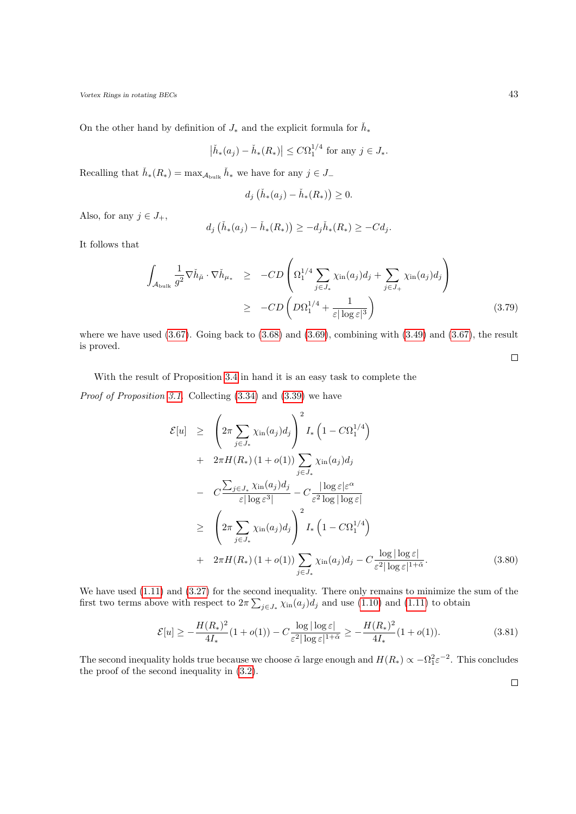On the other hand by definition of  $J_*$  and the explicit formula for  $\check{h}_*$ 

$$
\left|\check{h}_*(a_j) - \check{h}_*(R_*)\right| \leq C\Omega_1^{1/4} \text{ for any } j \in J_*.
$$

Recalling that  $\check{h}_*(R_*) = \max_{\mathcal{A}_{\text{bulk}}} \check{h}_*$  we have for any  $j \in J_-$ 

$$
d_j\left(\check{h}_*(a_j)-\check{h}_*(R_*)\right)\geq 0.
$$

Also, for any  $j \in J_+,$ 

$$
d_j\left(\check{h}_*(a_j) - \check{h}_*(R_*)\right) \ge -d_j\check{h}_*(R_*) \ge -Cd_j.
$$

It follows that

$$
\int_{\mathcal{A}_{\text{bulk}}} \frac{1}{g^2} \nabla \check{h}_{\check{\mu}} \cdot \nabla \check{h}_{\mu_*} \geq -CD \left( \Omega_1^{1/4} \sum_{j \in J_*} \chi_{\text{in}}(a_j) d_j + \sum_{j \in J_+} \chi_{\text{in}}(a_j) d_j \right) \geq -CD \left( D \Omega_1^{1/4} + \frac{1}{\varepsilon |\log \varepsilon|^3} \right) \tag{3.79}
$$

where we have used  $(3.67)$ . Going back to  $(3.68)$  and  $(3.69)$ , combining with  $(3.49)$  and  $(3.67)$ , the result is proved.  $\Box$ 

With the result of Proposition [3.4](#page-34-0) in hand it is an easy task to complete the

Proof of Proposition [3.1.](#page-29-1) Collecting [\(3.34\)](#page-34-2) and [\(3.39\)](#page-35-2) we have

<span id="page-42-0"></span>
$$
\mathcal{E}[u] \geq \left(2\pi \sum_{j \in J_*} \chi_{\text{in}}(a_j) d_j\right)^2 I_* \left(1 - C\Omega_1^{1/4}\right)
$$
  
+ 
$$
2\pi H(R_*)(1 + o(1)) \sum_{j \in J_*} \chi_{\text{in}}(a_j) d_j
$$
  
- 
$$
C \frac{\sum_{j \in J_*} \chi_{\text{in}}(a_j) d_j}{\varepsilon |\log \varepsilon^3|} - C \frac{|\log \varepsilon| \varepsilon^{\alpha}}{\varepsilon^2 \log |\log \varepsilon|}
$$
  

$$
\geq \left(2\pi \sum_{j \in J_*} \chi_{\text{in}}(a_j) d_j\right)^2 I_* \left(1 - C\Omega_1^{1/4}\right)
$$
  
+ 
$$
2\pi H(R_*)(1 + o(1)) \sum_{j \in J_*} \chi_{\text{in}}(a_j) d_j - C \frac{\log |\log \varepsilon|}{\varepsilon^2 |\log \varepsilon|^{1+\tilde{\alpha}}}.
$$
(3.80)

We have used [\(1.11\)](#page-3-2) and [\(3.27\)](#page-33-2) for the second inequality. There only remains to minimize the sum of the first two terms above with respect to  $2\pi \sum_{j\in J_*} \chi_{\text{in}}(a_j) d_j$  and use [\(1.10\)](#page-3-2) and [\(1.11\)](#page-3-2) to obtain

$$
\mathcal{E}[u] \ge -\frac{H(R_*)^2}{4I_*} (1 + o(1)) - C \frac{\log|\log \varepsilon|}{\varepsilon^2 |\log \varepsilon|^{1+\tilde{\alpha}}} \ge -\frac{H(R_*)^2}{4I_*} (1 + o(1)).\tag{3.81}
$$

The second inequality holds true because we choose  $\tilde{\alpha}$  large enough and  $H(R_*) \propto -\Omega_1^2 \varepsilon^{-2}$ . This concludes the proof of the second inequality in [\(3.2\)](#page-29-3).

 $\Box$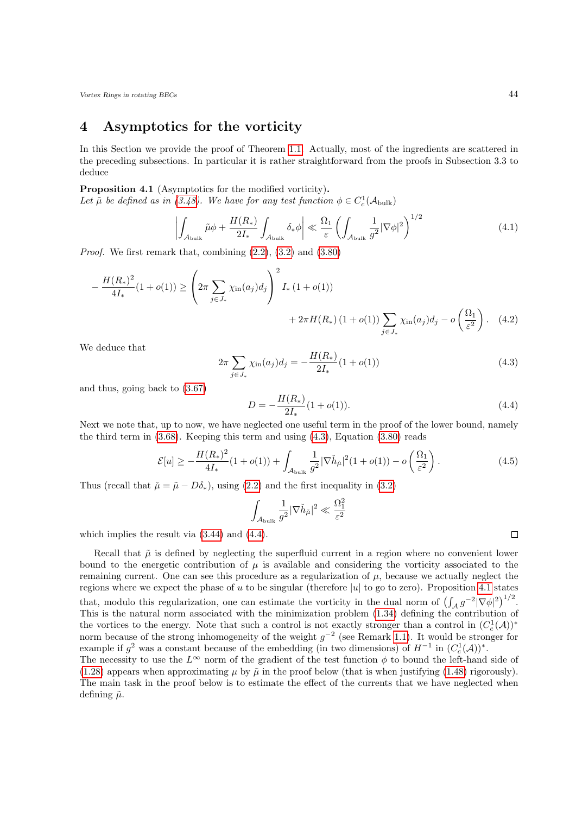## <span id="page-43-0"></span>4 Asymptotics for the vorticity

In this Section we provide the proof of Theorem [1.1.](#page-5-1) Actually, most of the ingredients are scattered in the preceding subsections. In particular it is rather straightforward from the proofs in Subsection 3.3 to deduce

<span id="page-43-3"></span>Proposition 4.1 (Asymptotics for the modified vorticity).

Let  $\tilde{\mu}$  be defined as in [\(3.48\)](#page-37-4). We have for any test function  $\phi \in C_c^1(\mathcal{A}_{\text{bulk}})$ 

$$
\left| \int_{\mathcal{A}_{\text{bulk}}} \tilde{\mu} \phi + \frac{H(R_*)}{2I_*} \int_{\mathcal{A}_{\text{bulk}}} \delta_* \phi \right| \ll \frac{\Omega_1}{\varepsilon} \left( \int_{\mathcal{A}_{\text{bulk}}} \frac{1}{g^2} |\nabla \phi|^2 \right)^{1/2} \tag{4.1}
$$

*Proof.* We first remark that, combining  $(2.2)$ ,  $(3.2)$  and  $(3.80)$ 

$$
-\frac{H(R_*)^2}{4I_*}(1+o(1)) \ge \left(2\pi \sum_{j \in J_*} \chi_{\text{in}}(a_j) d_j\right)^2 I_* (1+o(1)) + 2\pi H(R_*)(1+o(1)) \sum_{j \in J_*} \chi_{\text{in}}(a_j) d_j - o\left(\frac{\Omega_1}{\varepsilon^2}\right). \tag{4.2}
$$

<span id="page-43-1"></span>We deduce that

<span id="page-43-2"></span>
$$
2\pi \sum_{j \in J_*} \chi_{\text{in}}(a_j) d_j = -\frac{H(R_*)}{2I_*} (1 + o(1)) \tag{4.3}
$$

and thus, going back to [\(3.67\)](#page-40-5)

$$
D = -\frac{H(R_*)}{2I_*}(1 + o(1)).
$$
\n(4.4)

Next we note that, up to now, we have neglected one useful term in the proof of the lower bound, namely the third term in  $(3.68)$ . Keeping this term and using  $(4.3)$ , Equation  $(3.80)$  reads

$$
\mathcal{E}[u] \ge -\frac{H(R_*)^2}{4I_*} (1 + o(1)) + \int_{\mathcal{A}_{\text{bulk}}} \frac{1}{g^2} |\nabla \check{h}_{\check{\mu}}|^2 (1 + o(1)) - o\left(\frac{\Omega_1}{\varepsilon^2}\right). \tag{4.5}
$$

Thus (recall that  $\tilde{\mu} = \tilde{\mu} - D\delta_*$ ), using [\(2.2\)](#page-12-5) and the first inequality in [\(3.2\)](#page-29-3)

$$
\int_{\mathcal{A}_{\rm bulk}} \frac{1}{g^2} |\nabla \check{h}_{\check{\mu}}|^2 \ll \frac{\Omega_1^2}{\varepsilon^2}
$$

which implies the result via [\(3.44\)](#page-36-4) and [\(4.4\)](#page-43-2).

Recall that  $\tilde{\mu}$  is defined by neglecting the superfluid current in a region where no convenient lower bound to the energetic contribution of  $\mu$  is available and considering the vorticity associated to the remaining current. One can see this procedure as a regularization of  $\mu$ , because we actually neglect the regions where we expect the phase of u to be singular (therefore |u| to go to zero). Proposition [4.1](#page-43-3) states that, modulo this regularization, one can estimate the vorticity in the dual norm of  $\left(\int_A g^{-2} |\nabla \phi|^2\right)^{1/2}$ . This is the natural norm associated with the minimization problem [\(1.34\)](#page-7-1) defining the contribution of the vortices to the energy. Note that such a control is not exactly stronger than a control in  $(C_c^1(\mathcal{A}))^*$ norm because of the strong inhomogeneity of the weight  $g^{-2}$  (see Remark [1.1\)](#page-5-2). It would be stronger for example if  $g^2$  was a constant because of the embedding (in two dimensions) of  $H^{-1}$  in  $(C_c^1(\mathcal{A}))^*$ . The necessity to use the  $L^{\infty}$  norm of the gradient of the test function  $\phi$  to bound the left-hand side of

[\(1.28\)](#page-5-2) appears when approximating  $\mu$  by  $\tilde{\mu}$  in the proof below (that is when justifying [\(1.48\)](#page-10-2) rigorously). The main task in the proof below is to estimate the effect of the currents that we have neglected when defining  $\tilde{\mu}$ .

 $\Box$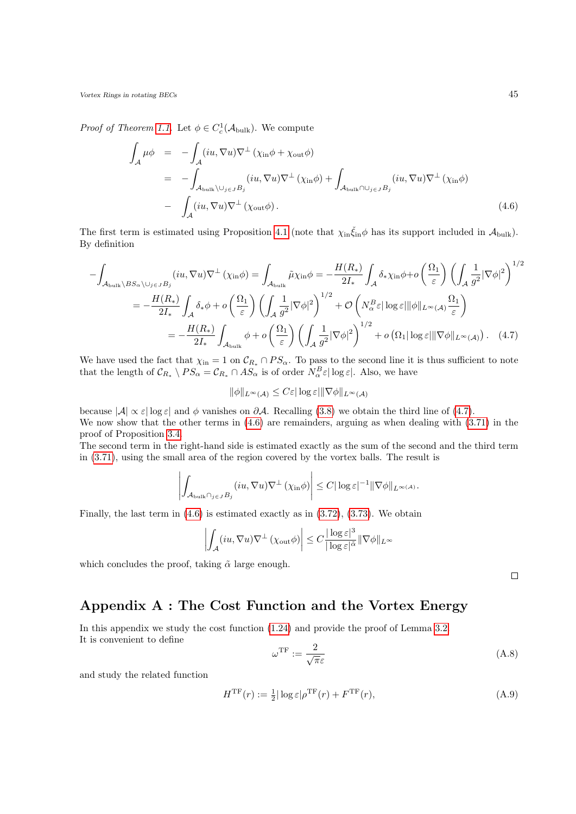*Proof of Theorem [1.1.](#page-5-1)* Let  $\phi \in C_c^1(\mathcal{A}_{\text{bulk}})$ . We compute

<span id="page-44-2"></span>
$$
\int_{\mathcal{A}} \mu \phi = - \int_{\mathcal{A}} (iu, \nabla u) \nabla^{\perp} (\chi_{\text{in}} \phi + \chi_{\text{out}} \phi)
$$
\n
$$
= - \int_{\mathcal{A}_{\text{bulk}} \setminus \cup_{j \in J} B_j} (iu, \nabla u) \nabla^{\perp} (\chi_{\text{in}} \phi) + \int_{\mathcal{A}_{\text{bulk}} \cap \cup_{j \in J} B_j} (iu, \nabla u) \nabla^{\perp} (\chi_{\text{in}} \phi)
$$
\n
$$
- \int_{\mathcal{A}} (iu, \nabla u) \nabla^{\perp} (\chi_{\text{out}} \phi). \tag{4.6}
$$

The first term is estimated using Proposition [4.1](#page-43-3) (note that  $\chi_{in} \xi_{in} \phi$  has its support included in  $\mathcal{A}_{bulk}$ ). By definition

$$
-\int_{\mathcal{A}_{\text{bulk}}\backslash BS_{\alpha}\backslash\bigcup_{j\in J}B_{j}}(iu,\nabla u)\nabla^{\perp}(\chi_{\text{in}}\phi) = \int_{\mathcal{A}_{\text{bulk}}}\tilde{\mu}\chi_{\text{in}}\phi = -\frac{H(R_{*})}{2I_{*}}\int_{\mathcal{A}}\delta_{*}\chi_{\text{in}}\phi + o\left(\frac{\Omega_{1}}{\varepsilon}\right)\left(\int_{\mathcal{A}}\frac{1}{g^{2}}|\nabla\phi|^{2}\right)^{1/2}
$$

$$
= -\frac{H(R_{*})}{2I_{*}}\int_{\mathcal{A}}\delta_{*}\phi + o\left(\frac{\Omega_{1}}{\varepsilon}\right)\left(\int_{\mathcal{A}}\frac{1}{g^{2}}|\nabla\phi|^{2}\right)^{1/2} + \mathcal{O}\left(N_{\alpha}^{B}\varepsilon|\log\varepsilon||\phi||_{L^{\infty}(\mathcal{A})}\frac{\Omega_{1}}{\varepsilon}\right)
$$

$$
= -\frac{H(R_{*})}{2I_{*}}\int_{\mathcal{A}_{\text{bulk}}}\phi + o\left(\frac{\Omega_{1}}{\varepsilon}\right)\left(\int_{\mathcal{A}}\frac{1}{g^{2}}|\nabla\phi|^{2}\right)^{1/2} + o\left(\Omega_{1}|\log\varepsilon||\nabla\phi||_{L^{\infty}(\mathcal{A})}\right). \quad (4.7)
$$

We have used the fact that  $\chi_{\text{in}} = 1$  on  $\mathcal{C}_{R_*} \cap PS_{\alpha}$ . To pass to the second line it is thus sufficient to note that the length of  $\mathcal{C}_{R_*} \setminus PS_{\alpha} = \mathcal{C}_{R_*} \cap AS_{\alpha}$  is of order  $N_{\alpha}^B \varepsilon |\log \varepsilon|$ . Also, we have

$$
\|\phi\|_{L^{\infty}(\mathcal{A})} \leq C\varepsilon |\log \varepsilon| \|\nabla \phi\|_{L^{\infty}(\mathcal{A})}
$$

because  $|\mathcal{A}| \propto \varepsilon |\log \varepsilon|$  and  $\phi$  vanishes on  $\partial \mathcal{A}$ . Recalling [\(3.8\)](#page-30-2) we obtain the third line of [\(4.7\)](#page-44-1). We now show that the other terms in  $(4.6)$  are remainders, arguing as when dealing with  $(3.71)$  in the proof of Proposition [3.4.](#page-34-0)

The second term in the right-hand side is estimated exactly as the sum of the second and the third term in [\(3.71\)](#page-40-2), using the small area of the region covered by the vortex balls. The result is

$$
\left| \int_{\mathcal{A}_{\text{bulk}} \cap_{j \in J} B_j} (iu, \nabla u) \nabla^{\perp} (\chi_{\text{in}} \phi) \right| \leq C |\log \varepsilon|^{-1} \|\nabla \phi\|_{L^{\infty}(\mathcal{A})}.
$$

Finally, the last term in [\(4.6\)](#page-44-2) is estimated exactly as in [\(3.72\)](#page-40-3), [\(3.73\)](#page-41-0). We obtain

$$
\left|\int_{\mathcal{A}} (iu, \nabla u) \nabla^{\perp} (\chi_{\text{out}} \phi)\right| \leq C \frac{|\log \varepsilon|^{3}}{|\log \varepsilon|^{\tilde{\alpha}}} \|\nabla \phi\|_{L^{\infty}}
$$

which concludes the proof, taking  $\tilde{\alpha}$  large enough.

<span id="page-44-1"></span> $\Box$ 

## <span id="page-44-0"></span>Appendix A : The Cost Function and the Vortex Energy

In this appendix we study the cost function [\(1.24\)](#page-5-0) and provide the proof of Lemma [3.2.](#page-35-0) It is convenient to define

$$
\omega^{\rm TF} := \frac{2}{\sqrt{\pi \varepsilon}}\tag{A.8}
$$

and study the related function

$$
H^{\rm TF}(r) := \frac{1}{2} |\log \varepsilon| \rho^{\rm TF}(r) + F^{\rm TF}(r),\tag{A.9}
$$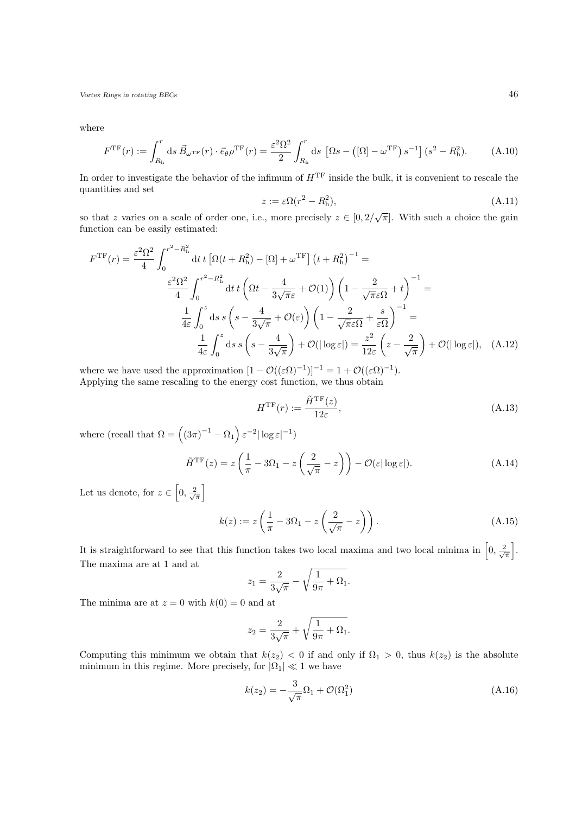where

$$
F^{\rm TF}(r) := \int_{R_{\rm h}}^r ds \, \vec{B}_{\omega^{\rm TF}}(r) \cdot \vec{e}_{\theta} \rho^{\rm TF}(r) = \frac{\varepsilon^2 \Omega^2}{2} \int_{R_{\rm h}}^r ds \, \left[ \Omega s - \left( [\Omega] - \omega^{\rm TF} \right) s^{-1} \right] (s^2 - R_{\rm h}^2). \tag{A.10}
$$

In order to investigate the behavior of the infimum of  $H<sup>TF</sup>$  inside the bulk, it is convenient to rescale the quantities and set

$$
z := \varepsilon \Omega(r^2 - R_h^2),\tag{A.11}
$$

so that z varies on a scale of order one, i.e., more precisely  $z \in [0, 2/\sqrt{\pi}]$ . With such a choice the gain function can be easily estimated:

$$
F^{\rm TF}(r) = \frac{\varepsilon^2 \Omega^2}{4} \int_0^{r^2 - R_h^2} dt \, t \left[ \Omega(t + R_h^2) - [\Omega] + \omega^{\rm TF} \right] \left( t + R_h^2 \right)^{-1} =
$$
  

$$
\frac{\varepsilon^2 \Omega^2}{4} \int_0^{r^2 - R_h^2} dt \, t \left( \Omega t - \frac{4}{3\sqrt{\pi}\varepsilon} + \mathcal{O}(1) \right) \left( 1 - \frac{2}{\sqrt{\pi}\varepsilon\Omega} + t \right)^{-1} =
$$
  

$$
\frac{1}{4\varepsilon} \int_0^z ds \, s \left( s - \frac{4}{3\sqrt{\pi}} + \mathcal{O}(\varepsilon) \right) \left( 1 - \frac{2}{\sqrt{\pi}\varepsilon\Omega} + \frac{s}{\varepsilon\Omega} \right)^{-1} =
$$
  

$$
\frac{1}{4\varepsilon} \int_0^z ds \, s \left( s - \frac{4}{3\sqrt{\pi}} \right) + \mathcal{O}(|\log \varepsilon|) = \frac{z^2}{12\varepsilon} \left( z - \frac{2}{\sqrt{\pi}} \right) + \mathcal{O}(|\log \varepsilon|), \quad \text{(A.12)}
$$

where we have used the approximation  $[1 - \mathcal{O}((\varepsilon \Omega)^{-1})]^{-1} = 1 + \mathcal{O}((\varepsilon \Omega)^{-1}).$ Applying the same rescaling to the energy cost function, we thus obtain

<span id="page-45-0"></span>
$$
H^{\rm TF}(r) := \frac{\tilde{H}^{\rm TF}(z)}{12\varepsilon},\tag{A.13}
$$

where (recall that  $\Omega = \left( (3\pi)^{-1} - \Omega_1 \right) \varepsilon^{-2} |\log \varepsilon|^{-1}$ )

$$
\tilde{H}^{\rm TF}(z) = z \left( \frac{1}{\pi} - 3\Omega_1 - z \left( \frac{2}{\sqrt{\pi}} - z \right) \right) - \mathcal{O}(\varepsilon |\log \varepsilon|). \tag{A.14}
$$

Let us denote, for  $z \in \left[0, \frac{2}{\sqrt{\pi}}\right]$ 

$$
k(z) := z\left(\frac{1}{\pi} - 3\Omega_1 - z\left(\frac{2}{\sqrt{\pi}} - z\right)\right). \tag{A.15}
$$

It is straightforward to see that this function takes two local maxima and two local minima in  $\left[0, \frac{2}{\sqrt{\pi}}\right]$ . The maxima are at 1 and at

$$
z_1 = \frac{2}{3\sqrt{\pi}} - \sqrt{\frac{1}{9\pi} + \Omega_1}.
$$

The minima are at  $z = 0$  with  $k(0) = 0$  and at

$$
z_2 = \frac{2}{3\sqrt{\pi}} + \sqrt{\frac{1}{9\pi} + \Omega_1}.
$$

Computing this minimum we obtain that  $k(z_2) < 0$  if and only if  $\Omega_1 > 0$ , thus  $k(z_2)$  is the absolute minimum in this regime. More precisely, for  $|\Omega_1| \ll 1$  we have

$$
k(z_2) = -\frac{3}{\sqrt{\pi}}\Omega_1 + \mathcal{O}(\Omega_1^2)
$$
\n(A.16)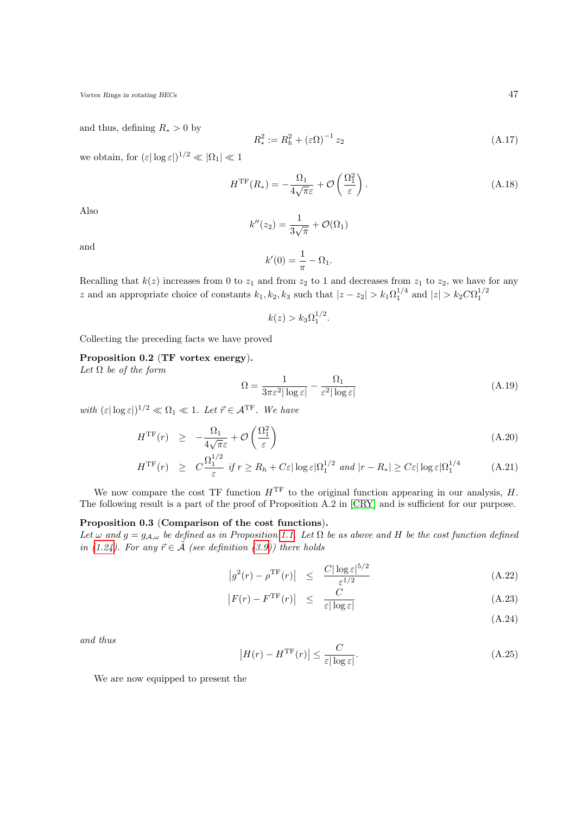and thus, defining  $R_* > 0$  by

<span id="page-46-0"></span>
$$
R_*^2 := R_h^2 + (\varepsilon \Omega)^{-1} z_2 \tag{A.17}
$$

we obtain, for  $(\varepsilon |\log \varepsilon|)^{1/2} \ll |\Omega_1| \ll 1$ 

$$
H^{\rm TF}(R_*) = -\frac{\Omega_1}{4\sqrt{\pi}\varepsilon} + \mathcal{O}\left(\frac{\Omega_1^2}{\varepsilon}\right). \tag{A.18}
$$

Also

$$
k''(z_2) = \frac{1}{3\sqrt{\pi}} + \mathcal{O}(\Omega_1)
$$

and

$$
k'(0) = \frac{1}{\pi} - \Omega_1.
$$

Recalling that  $k(z)$  increases from 0 to  $z_1$  and from  $z_2$  to 1 and decreases from  $z_1$  to  $z_2$ , we have for any z and an appropriate choice of constants  $k_1, k_2, k_3$  such that  $|z - z_2| > k_1 \Omega_1^{1/4}$  and  $|z| > k_2 C \Omega_1^{1/2}$ 

$$
k(z) > k_3 \Omega_1^{1/2}.
$$

<span id="page-46-2"></span>Collecting the preceding facts we have proved

### Proposition 0.2 (TF vortex energy).

Let  $\Omega$  be of the form

$$
\Omega = \frac{1}{3\pi\varepsilon^2 |\log\varepsilon|} - \frac{\Omega_1}{\varepsilon^2 |\log\varepsilon|} \tag{A.19}
$$

with  $(\varepsilon |\log \varepsilon|)^{1/2} \ll \Omega_1 \ll 1$ . Let  $\vec{r} \in \mathcal{A}^{\mathrm{TF}}$ . We have

$$
H^{\rm TF}(r) \quad \geq \quad -\frac{\Omega_1}{4\sqrt{\pi}\varepsilon} + \mathcal{O}\left(\frac{\Omega_1^2}{\varepsilon}\right) \tag{A.20}
$$

<span id="page-46-4"></span>
$$
H^{\rm TF}(r) \ge C \frac{\Omega_1^{1/2}}{\varepsilon} \text{ if } r \ge R_h + C\varepsilon |\log \varepsilon|\Omega_1^{1/2} \text{ and } |r - R_*| \ge C\varepsilon |\log \varepsilon|\Omega_1^{1/4} \tag{A.21}
$$

We now compare the cost TF function  $H<sup>TF</sup>$  to the original function appearing in our analysis, H. The following result is a part of the proof of Proposition A.2 in [\[CRY\]](#page-52-7) and is sufficient for our purpose.

### <span id="page-46-3"></span>Proposition 0.3 (Comparison of the cost functions).

Let  $\omega$  and  $g = g_{A,\omega}$  be defined as in Proposition [1.1.](#page-4-3) Let  $\Omega$  be as above and H be the cost function defined in [\(1.24\)](#page-5-0). For any  $\vec{r} \in \tilde{A}$  (see definition [\(3.9\)](#page-31-2)) there holds

$$
\left|g^2(r) - \rho^{\mathrm{TF}}(r)\right| \leq \frac{C|\log \varepsilon|^{5/2}}{\varepsilon^{1/2}} \tag{A.22}
$$

<span id="page-46-1"></span>
$$
\left| F(r) - F^{\rm TF}(r) \right| \leq \frac{C}{\varepsilon |\log \varepsilon|} \tag{A.23}
$$

(A.24)

<span id="page-46-5"></span>and thus

$$
\left|H(r) - H^{\rm TF}(r)\right| \le \frac{C}{\varepsilon |\log \varepsilon|}.\tag{A.25}
$$

We are now equipped to present the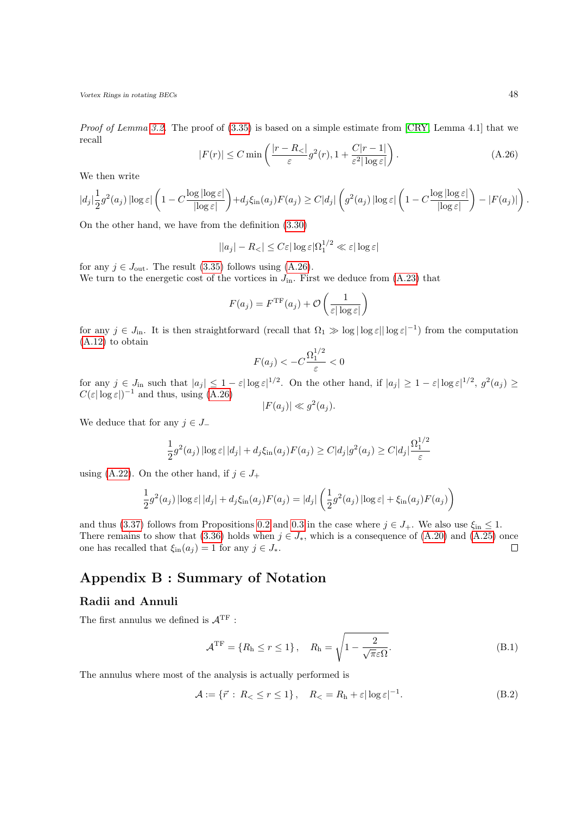<span id="page-47-2"></span>*Proof of Lemma [3.2.](#page-35-0)* The proof of  $(3.35)$  is based on a simple estimate from  $[CRY, Lemma 4.1]$  that we recall

$$
|F(r)| \le C \min\left(\frac{|r - R_{<}|}{\varepsilon} g^2(r), 1 + \frac{C|r - 1|}{\varepsilon^2 |\log \varepsilon|}\right). \tag{A.26}
$$

We then write

$$
|d_j|\frac{1}{2}g^2(a_j)\left|\log\varepsilon\right|\left(1-C\frac{\log|\log\varepsilon|}{|\log\varepsilon|}\right)+d_j\xi_{\rm in}(a_j)F(a_j)\geq C|d_j|\left(g^2(a_j)\left|\log\varepsilon\right|\left(1-C\frac{\log|\log\varepsilon|}{|\log\varepsilon|}\right)-|F(a_j)|\right).
$$

On the other hand, we have from the definition [\(3.30\)](#page-34-3)

$$
||a_j| - R_<| \le C\varepsilon |\log \varepsilon |\Omega_1^{1/2} \ll \varepsilon |\log \varepsilon|
$$

for any  $j \in J_{\text{out}}$ . The result [\(3.35\)](#page-35-4) follows using [\(A.26\)](#page-47-2). We turn to the energetic cost of the vortices in  $J_{\text{in}}$ . First we deduce from [\(A.23\)](#page-46-1) that

$$
F(a_j) = FTF(a_j) + \mathcal{O}\left(\frac{1}{\varepsilon |\log \varepsilon|}\right)
$$

for any  $j \in J_{\text{in}}$ . It is then straightforward (recall that  $\Omega_1 \gg \log |\log \varepsilon|$  log  $\varepsilon^{-1}$ ) from the computation [\(A.12\)](#page-45-0) to obtain

$$
F(a_j) < -C \frac{\Omega_1^{1/2}}{\varepsilon} < 0
$$

for any  $j \in J_{\text{in}}$  such that  $|a_j| \leq 1 - \varepsilon |\log \varepsilon|^{1/2}$ . On the other hand, if  $|a_j| \geq 1 - \varepsilon |\log \varepsilon|^{1/2}$ ,  $g^2(a_j) \geq$  $C(\varepsilon|\log \varepsilon|)^{-1}$  and thus, using  $(A.26)$ 

$$
|F(a_j)| \ll g^2(a_j).
$$

We deduce that for any  $j \in J$ <sub>−</sub>

$$
\frac{1}{2}g^{2}(a_{j}) \left| \log \varepsilon \right| |d_{j}| + d_{j} \xi_{\text{in}}(a_{j}) F(a_{j}) \geq C |d_{j}| g^{2}(a_{j}) \geq C |d_{j}| \frac{\Omega_{1}^{1/2}}{\varepsilon}
$$

using [\(A.22\)](#page-46-1). On the other hand, if  $j \in J_+$ 

$$
\frac{1}{2}g^2(a_j)\left|\log\varepsilon\right||d_j| + d_j\xi_{\rm in}(a_j)F(a_j) = |d_j|\left(\frac{1}{2}g^2(a_j)\left|\log\varepsilon\right| + \xi_{\rm in}(a_j)F(a_j)\right)
$$

and thus [\(3.37\)](#page-35-5) follows from Propositions [0.2](#page-46-2) and [0.3](#page-46-3) in the case where  $j \in J_+$ . We also use  $\xi_{\text{in}} \leq 1$ . There remains to show that [\(3.36\)](#page-35-6) holds when  $j \in J_*$ , which is a consequence of [\(A.20\)](#page-46-4) and [\(A.25\)](#page-46-5) once one has recalled that  $\xi_{\text{in}}(a_j) = 1$  for any  $j \in J_*$ .  $\Box$ 

## <span id="page-47-0"></span>Appendix B : Summary of Notation

### <span id="page-47-1"></span>Radii and Annuli

The first annulus we defined is  $\mathcal{A}^{\mathrm{TF}}$  :

$$
\mathcal{A}^{\mathrm{TF}} = \{R_{\mathrm{h}} \le r \le 1\}, \quad R_{\mathrm{h}} = \sqrt{1 - \frac{2}{\sqrt{\pi}\varepsilon\Omega}}.\tag{B.1}
$$

The annulus where most of the analysis is actually performed is

$$
\mathcal{A} := \{ \vec{r} : R_{<} \le r \le 1 \}, \quad R_{<} = R_{\rm h} + \varepsilon |\log \varepsilon|^{-1}.
$$
\n(B.2)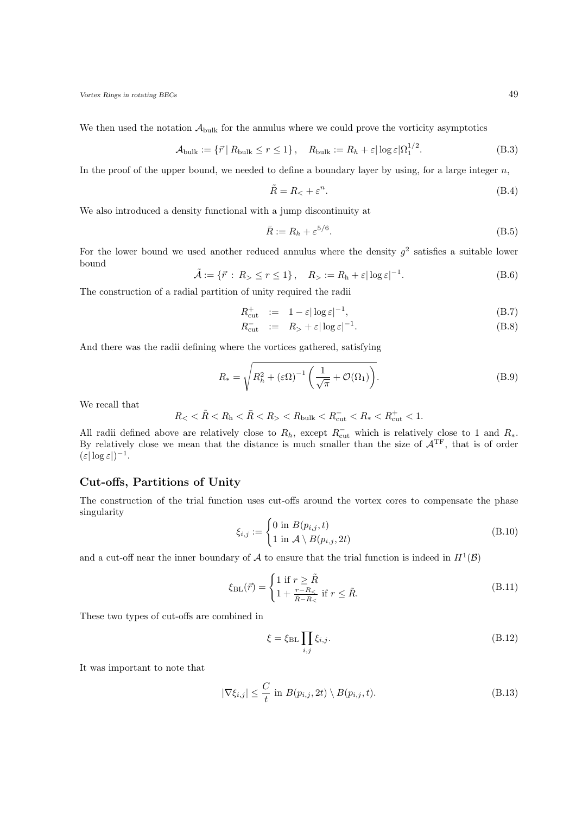We then used the notation  $A_{\text{bulk}}$  for the annulus where we could prove the vorticity asymptotics

$$
\mathcal{A}_{\text{bulk}} := \{ \vec{r} \mid R_{\text{bulk}} \le r \le 1 \}, \quad R_{\text{bulk}} := R_h + \varepsilon |\log \varepsilon| \Omega_1^{1/2}.
$$
 (B.3)

In the proof of the upper bound, we needed to define a boundary layer by using, for a large integer  $n$ ,

$$
\tilde{R} = R_{\lt} + \varepsilon^n. \tag{B.4}
$$

 $\frac{1}{2}$ 

We also introduced a density functional with a jump discontinuity at

$$
\bar{R} := R_h + \varepsilon^{5/6}.\tag{B.5}
$$

For the lower bound we used another reduced annulus where the density  $g^2$  satisfies a suitable lower bound

$$
\tilde{\mathcal{A}} := \{ \vec{r} : R_{> \le r \le 1} \}, \quad R_{>} := R_{\rm h} + \varepsilon |\log \varepsilon|^{-1}.
$$
\n(B.6)

The construction of a radial partition of unity required the radii

$$
R_{\text{cut}}^+ := 1 - \varepsilon |\log \varepsilon|^{-1}, \tag{B.7}
$$

$$
R_{\text{cut}}^{-} := R_{>} + \varepsilon |\log \varepsilon|^{-1}.
$$
\n(B.8)

And there was the radii defining where the vortices gathered, satisfying

$$
R_* = \sqrt{R_h^2 + (\varepsilon \Omega)^{-1} \left(\frac{1}{\sqrt{\pi}} + \mathcal{O}(\Omega_1)\right)}.
$$
\n(B.9)

We recall that

$$
R_{\rm <} < \tilde{R} < R_{\rm h} < \bar{R} < R_{\rm >} < R_{\rm bulk} < R_{\rm cut} < R_{\rm *} < R_{\rm cut}^+ < 1.
$$

All radii defined above are relatively close to  $R_h$ , except  $R_{\text{cut}}^-$  which is relatively close to 1 and  $R_*$ . By relatively close we mean that the distance is much smaller than the size of  $A<sup>TF</sup>$ , that is of order  $(\varepsilon |\log \varepsilon|)^{-1}.$ 

### <span id="page-48-0"></span>Cut-offs, Partitions of Unity

The construction of the trial function uses cut-offs around the vortex cores to compensate the phase singularity

$$
\xi_{i,j} := \begin{cases} 0 \text{ in } B(p_{i,j}, t) \\ 1 \text{ in } \mathcal{A} \setminus B(p_{i,j}, 2t) \end{cases}
$$
 (B.10)

and a cut-off near the inner boundary of A to ensure that the trial function is indeed in  $H^1(\mathcal{B})$ 

$$
\xi_{\rm BL}(\vec{r}) = \begin{cases} 1 \text{ if } r \ge \tilde{R} \\ 1 + \frac{r - R_{\le}}{\tilde{R} - R_{<}} \text{ if } r \le \tilde{R}. \end{cases}
$$
(B.11)

These two types of cut-offs are combined in

$$
\xi = \xi_{\rm BL} \prod_{i,j} \xi_{i,j}.
$$
 (B.12)

It was important to note that

$$
|\nabla \xi_{i,j}| \leq \frac{C}{t} \text{ in } B(p_{i,j}, 2t) \setminus B(p_{i,j}, t). \tag{B.13}
$$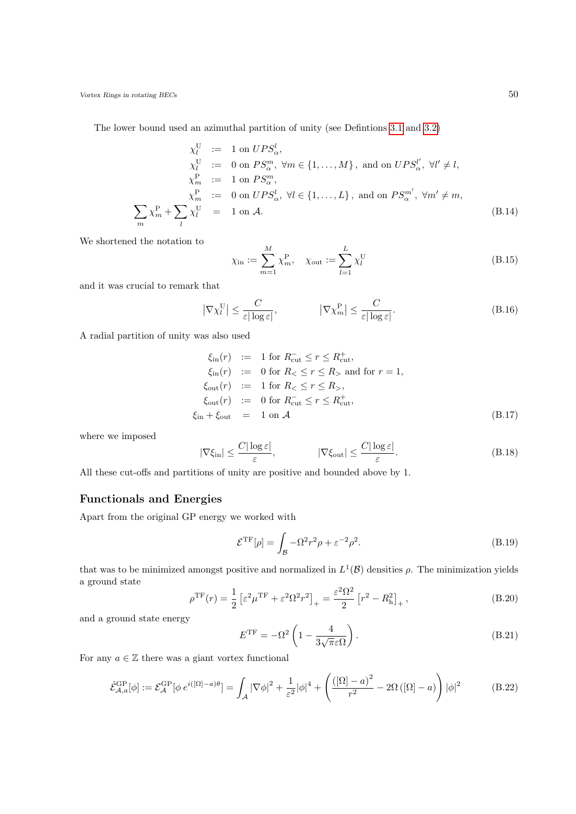The lower bound used an azimuthal partition of unity (see Defintions [3.1](#page-30-3) and [3.2\)](#page-31-3)

$$
\chi_l^U := 1 \text{ on } UPS_\alpha^l,
$$
  
\n
$$
\chi_l^U := 0 \text{ on } PS_\alpha^m, \forall m \in \{1, ..., M\}, \text{ and on } UPS_\alpha^{l'}, \forall l' \neq l,
$$
  
\n
$$
\chi_m^P := 1 \text{ on } PS_\alpha^m,
$$
  
\n
$$
\chi_m^P := 0 \text{ on } UPS_\alpha^l, \forall l \in \{1, ..., L\}, \text{ and on } PS_\alpha^{m'}, \forall m' \neq m,
$$
  
\n
$$
\sum_m \chi_m^P + \sum_l \chi_l^U = 1 \text{ on } \mathcal{A}.
$$
  
\n(B.14)

We shortened the notation to

$$
\chi_{\text{in}} := \sum_{m=1}^{M} \chi_m^{\text{P}}, \quad \chi_{\text{out}} := \sum_{l=1}^{L} \chi_l^{\text{U}}
$$
\n(B.15)

and it was crucial to remark that

$$
\left|\nabla\chi_{l}^{\text{U}}\right| \leq \frac{C}{\varepsilon|\log\varepsilon|}, \qquad \left|\nabla\chi_{m}^{\text{P}}\right| \leq \frac{C}{\varepsilon|\log\varepsilon|}. \tag{B.16}
$$

A radial partition of unity was also used

$$
\xi_{\text{in}}(r) := 1 \text{ for } R_{\text{cut}}^{-} \le r \le R_{\text{cut}}^{+},
$$
\n
$$
\xi_{\text{in}}(r) := 0 \text{ for } R_{<} \le r \le R_{>} \text{ and for } r = 1,
$$
\n
$$
\xi_{\text{out}}(r) := 1 \text{ for } R_{<} \le r \le R_{>},
$$
\n
$$
\xi_{\text{out}}(r) := 0 \text{ for } R_{\text{cut}}^{-} \le r \le R_{\text{cut}}^{+},
$$
\n
$$
\xi_{\text{in}} + \xi_{\text{out}} = 1 \text{ on } \mathcal{A}
$$
\n(B.17)

where we imposed

$$
|\nabla \xi_{\rm in}| \le \frac{C|\log \varepsilon|}{\varepsilon}, \qquad |\nabla \xi_{\rm out}| \le \frac{C|\log \varepsilon|}{\varepsilon}.
$$
 (B.18)

All these cut-offs and partitions of unity are positive and bounded above by 1.

### <span id="page-49-0"></span>Functionals and Energies

Apart from the original GP energy we worked with

$$
\mathcal{E}^{\rm TF}[\rho] = \int_{\mathcal{B}} -\Omega^2 r^2 \rho + \varepsilon^{-2} \rho^2. \tag{B.19}
$$

that was to be minimized amongst positive and normalized in  $L^1(\mathcal{B})$  densities  $\rho$ . The minimization yields a ground state

$$
\rho^{\rm TF}(r) = \frac{1}{2} \left[ \varepsilon^2 \mu^{\rm TF} + \varepsilon^2 \Omega^2 r^2 \right]_+ = \frac{\varepsilon^2 \Omega^2}{2} \left[ r^2 - R_{\rm h}^2 \right]_+, \tag{B.20}
$$

and a ground state energy

$$
E^{\rm TF} = -\Omega^2 \left( 1 - \frac{4}{3\sqrt{\pi}\varepsilon\Omega} \right). \tag{B.21}
$$

For any  $a \in \mathbb{Z}$  there was a giant vortex functional

$$
\hat{\mathcal{E}}_{\mathcal{A},a}^{\text{GP}}[\phi] := \mathcal{E}_{\mathcal{A}}^{\text{GP}}[\phi e^{i([\Omega]-a)\theta}] = \int_{\mathcal{A}} |\nabla \phi|^2 + \frac{1}{\varepsilon^2} |\phi|^4 + \left( \frac{([\Omega]-a)^2}{r^2} - 2\Omega\left([\Omega]-a\right) \right) |\phi|^2 \tag{B.22}
$$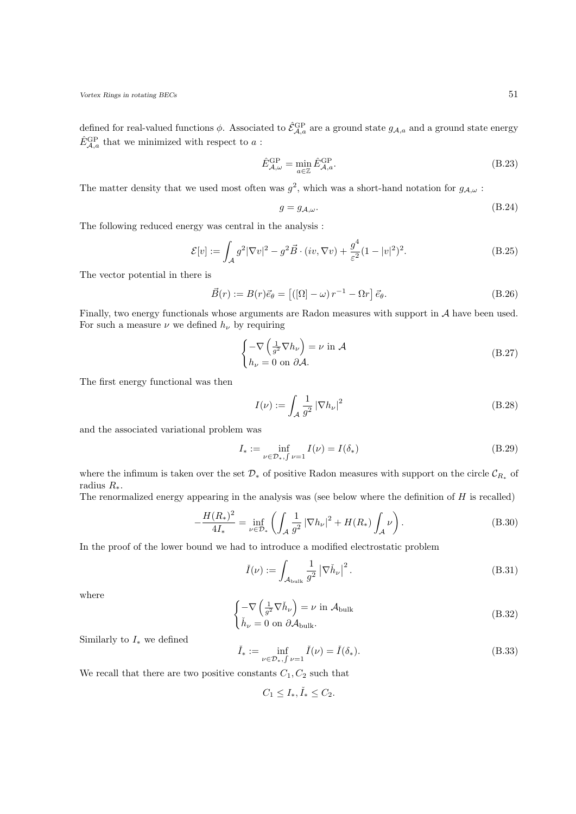defined for real-valued functions  $\phi$ . Associated to  $\hat{\mathcal{E}}_{\mathcal{A},a}^{\text{GP}}$  are a ground state  $g_{\mathcal{A},a}$  and a ground state energy  $\hat{E}^{\rm GP}_{\mathcal{A},a}$  that we minimized with respect to  $a$ :

$$
\hat{E}_{\mathcal{A},\omega}^{\text{GP}} = \min_{a \in \mathbb{Z}} \hat{E}_{\mathcal{A},a}^{\text{GP}}.
$$
\n(B.23)

The matter density that we used most often was  $g^2$ , which was a short-hand notation for  $g_{\mathcal{A},\omega}$ :

$$
g = g_{A,\omega}.\tag{B.24}
$$

The following reduced energy was central in the analysis :

$$
\mathcal{E}[v] := \int_{\mathcal{A}} g^2 |\nabla v|^2 - g^2 \vec{B} \cdot (iv, \nabla v) + \frac{g^4}{\varepsilon^2} (1 - |v|^2)^2.
$$
 (B.25)

The vector potential in there is

$$
\vec{B}(r) := B(r)\vec{e}_{\theta} = [([\Omega] - \omega) r^{-1} - \Omega r] \vec{e}_{\theta}.
$$
\n(B.26)

Finally, two energy functionals whose arguments are Radon measures with support in A have been used. For such a measure  $\nu$  we defined  $h_{\nu}$  by requiring

$$
\begin{cases}\n-\nabla \left(\frac{1}{g^2} \nabla h_{\nu}\right) = \nu \text{ in } \mathcal{A} \\
h_{\nu} = 0 \text{ on } \partial \mathcal{A}.\n\end{cases}
$$
\n(B.27)

The first energy functional was then

$$
I(\nu) := \int_{\mathcal{A}} \frac{1}{g^2} \left| \nabla h_{\nu} \right|^2 \tag{B.28}
$$

and the associated variational problem was

$$
I_* := \inf_{\nu \in \mathcal{D}_*, \int \nu = 1} I(\nu) = I(\delta_*)
$$
 (B.29)

where the infimum is taken over the set  $\mathcal{D}_*$  of positive Radon measures with support on the circle  $\mathcal{C}_{R_*}$  of radius  $R_*$ .

The renormalized energy appearing in the analysis was (see below where the definition of  $H$  is recalled)

$$
-\frac{H(R_*)^2}{4I_*} = \inf_{\nu \in \mathcal{D}_*} \left( \int_{\mathcal{A}} \frac{1}{g^2} \left| \nabla h_{\nu} \right|^2 + H(R_*) \int_{\mathcal{A}} \nu \right). \tag{B.30}
$$

In the proof of the lower bound we had to introduce a modified electrostatic problem

$$
\check{I}(\nu) := \int_{\mathcal{A}_{\text{bulk}}} \frac{1}{g^2} \left| \nabla \check{h}_{\nu} \right|^2.
$$
\n(B.31)

where

$$
\begin{cases}\n-\nabla \left(\frac{1}{g^2} \nabla \check{h}_{\nu}\right) = \nu \text{ in } \mathcal{A}_{\text{bulk}} \\
\check{h}_{\nu} = 0 \text{ on } \partial \mathcal{A}_{\text{bulk}}.\n\end{cases}
$$
\n(B.32)

Similarly to  $I_*$  we defined

$$
\check{I}_* := \inf_{\nu \in \mathcal{D}_*, \int \nu = 1} \check{I}(\nu) = \check{I}(\delta_*). \tag{B.33}
$$

We recall that there are two positive constants  $C_1, C_2$  such that

$$
C_1 \le I_*, \check{I}_* \le C_2.
$$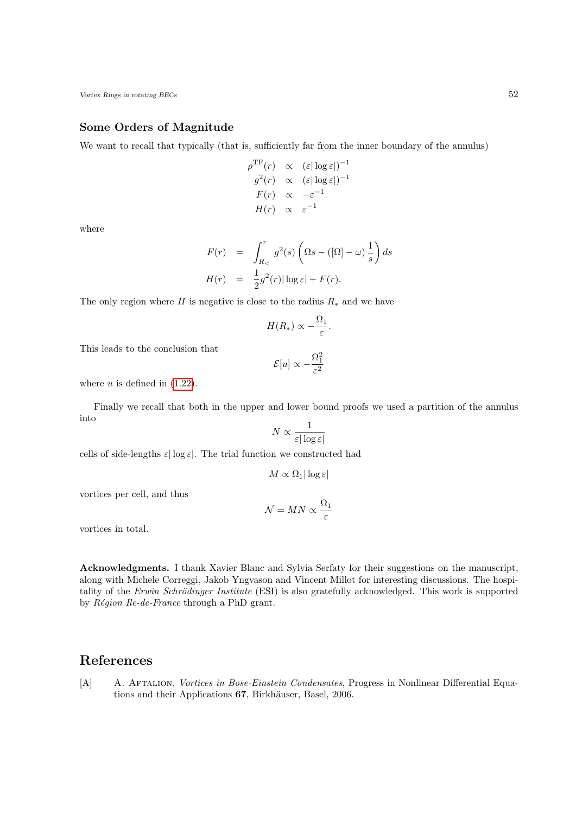### <span id="page-51-0"></span>Some Orders of Magnitude

We want to recall that typically (that is, sufficiently far from the inner boundary of the annulus)

$$
\rho^{\text{TF}}(r) \propto (\varepsilon |\log \varepsilon|)^{-1}
$$

$$
g^{2}(r) \propto (\varepsilon |\log \varepsilon|)^{-1}
$$

$$
F(r) \propto -\varepsilon^{-1}
$$

$$
H(r) \propto \varepsilon^{-1}
$$

where

$$
F(r) = \int_{R_{<}}^{r} g^{2}(s) \left( \Omega s - (\Omega) - \omega \right) \frac{1}{s} \right) ds
$$
  

$$
H(r) = \frac{1}{2} g^{2}(r) |\log \varepsilon| + F(r).
$$

The only region where H is negative is close to the radius  $R_*$  and we have

$$
H(R_*) \propto -\frac{\Omega_1}{\varepsilon}.
$$

This leads to the conclusion that

$$
\mathcal{E}[u] \propto -\frac{\Omega_1^2}{\varepsilon^2}
$$

where  $u$  is defined in  $(1.22)$ .

Finally we recall that both in the upper and lower bound proofs we used a partition of the annulus into

$$
N \propto \frac{1}{\varepsilon |\log \varepsilon|}
$$

cells of side-lengths  $\varepsilon |\log \varepsilon|$ . The trial function we constructed had

$$
M \propto \Omega_1 |\log \varepsilon|
$$

vortices per cell, and thus

$$
\mathcal{N} = MN \propto \frac{\Omega_1}{\varepsilon}
$$

vortices in total.

Acknowledgments. I thank Xavier Blanc and Sylvia Serfaty for their suggestions on the manuscript, along with Michele Correggi, Jakob Yngvason and Vincent Millot for interesting discussions. The hospitality of the Erwin Schrödinger Institute (ESI) is also gratefully acknowledged. This work is supported by  $Région$  Ile-de-France through a PhD grant.

## References

<span id="page-51-1"></span>[A] A. Aftalion, Vortices in Bose-Einstein Condensates, Progress in Nonlinear Differential Equations and their Applications 67, Birkhäuser, Basel, 2006.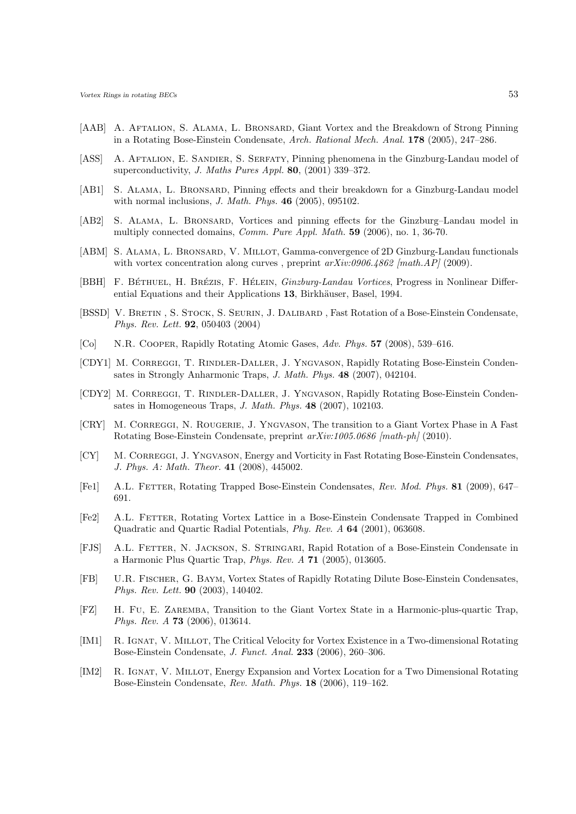- <span id="page-52-15"></span>[AAB] A. AFTALION, S. ALAMA, L. BRONSARD, Giant Vortex and the Breakdown of Strong Pinning in a Rotating Bose-Einstein Condensate, Arch. Rational Mech. Anal. 178 (2005), 247–286.
- <span id="page-52-18"></span>[ASS] A. AFTALION, E. SANDIER, S. SERFATY, Pinning phenomena in the Ginzburg-Landau model of superconductivity, *J. Maths Pures Appl.* **80**, (2001) 339-372.
- <span id="page-52-13"></span>[AB1] S. ALAMA, L. BRONSARD, Pinning effects and their breakdown for a Ginzburg-Landau model with normal inclusions, J. Math. Phys. 46 (2005), 095102.
- <span id="page-52-14"></span>[AB2] S. ALAMA, L. BRONSARD, Vortices and pinning effects for the Ginzburg–Landau model in multiply connected domains, Comm. Pure Appl. Math. 59 (2006), no. 1, 36-70.
- <span id="page-52-11"></span>[ABM] S. ALAMA, L. BRONSARD, V. MILLOT, Gamma-convergence of 2D Ginzburg-Landau functionals with vortex concentration along curves , preprint  $arXiv:0906.4862$  [math.AP] (2009).
- <span id="page-52-12"></span>[BBH] F. BÉTHUEL, H. BRÉZIS, F. HÉLEIN, *Ginzburg-Landau Vortices*, Progress in Nonlinear Differential Equations and their Applications 13, Birkhäuser, Basel, 1994.
- <span id="page-52-1"></span>[BSSD] V. BRETIN, S. STOCK, S. SEURIN, J. DALIBARD, Fast Rotation of a Bose-Einstein Condensate, Phys. Rev. Lett. 92, 050403 (2004)
- <span id="page-52-2"></span>[Co] N.R. Cooper, Rapidly Rotating Atomic Gases, Adv. Phys. 57 (2008), 539–616.
- <span id="page-52-8"></span>[CDY1] M. CORREGGI, T. RINDLER-DALLER, J. YNGVASON, Rapidly Rotating Bose-Einstein Condensates in Strongly Anharmonic Traps, J. Math. Phys. 48 (2007), 042104.
- <span id="page-52-10"></span>[CDY2] M. CORREGGI, T. RINDLER-DALLER, J. YNGVASON, Rapidly Rotating Bose-Einstein Condensates in Homogeneous Traps, J. Math. Phys. 48 (2007), 102103.
- <span id="page-52-7"></span>[CRY] M. CORREGGI, N. ROUGERIE, J. YNGVASON, The transition to a Giant Vortex Phase in A Fast Rotating Bose-Einstein Condensate, preprint arXiv:1005.0686 [math-ph] (2010).
- <span id="page-52-9"></span>[CY] M. CORREGGI, J. YNGVASON, Energy and Vorticity in Fast Rotating Bose-Einstein Condensates, J. Phys. A: Math. Theor. 41 (2008), 445002.
- <span id="page-52-0"></span>[Fe1] A.L. Fetter, Rotating Trapped Bose-Einstein Condensates, Rev. Mod. Phys. 81 (2009), 647– 691.
- <span id="page-52-3"></span>[Fe2] A.L. Fetter, Rotating Vortex Lattice in a Bose-Einstein Condensate Trapped in Combined Quadratic and Quartic Radial Potentials, Phy. Rev. A 64 (2001), 063608.
- <span id="page-52-5"></span>[FJS] A.L. Fetter, N. Jackson, S. Stringari, Rapid Rotation of a Bose-Einstein Condensate in a Harmonic Plus Quartic Trap, Phys. Rev. A 71 (2005), 013605.
- <span id="page-52-4"></span>[FB] U.R. Fischer, G. Baym, Vortex States of Rapidly Rotating Dilute Bose-Einstein Condensates, Phys. Rev. Lett. 90 (2003), 140402.
- <span id="page-52-6"></span>[FZ] H. Fu, E. Zaremba, Transition to the Giant Vortex State in a Harmonic-plus-quartic Trap, Phys. Rev. A 73 (2006), 013614.
- <span id="page-52-16"></span>[IM1] R. Ignat, V. Millot, The Critical Velocity for Vortex Existence in a Two-dimensional Rotating Bose-Einstein Condensate, J. Funct. Anal. 233 (2006), 260–306.
- <span id="page-52-17"></span>[IM2] R. IGNAT, V. MILLOT, Energy Expansion and Vortex Location for a Two Dimensional Rotating Bose-Einstein Condensate, Rev. Math. Phys. 18 (2006), 119–162.